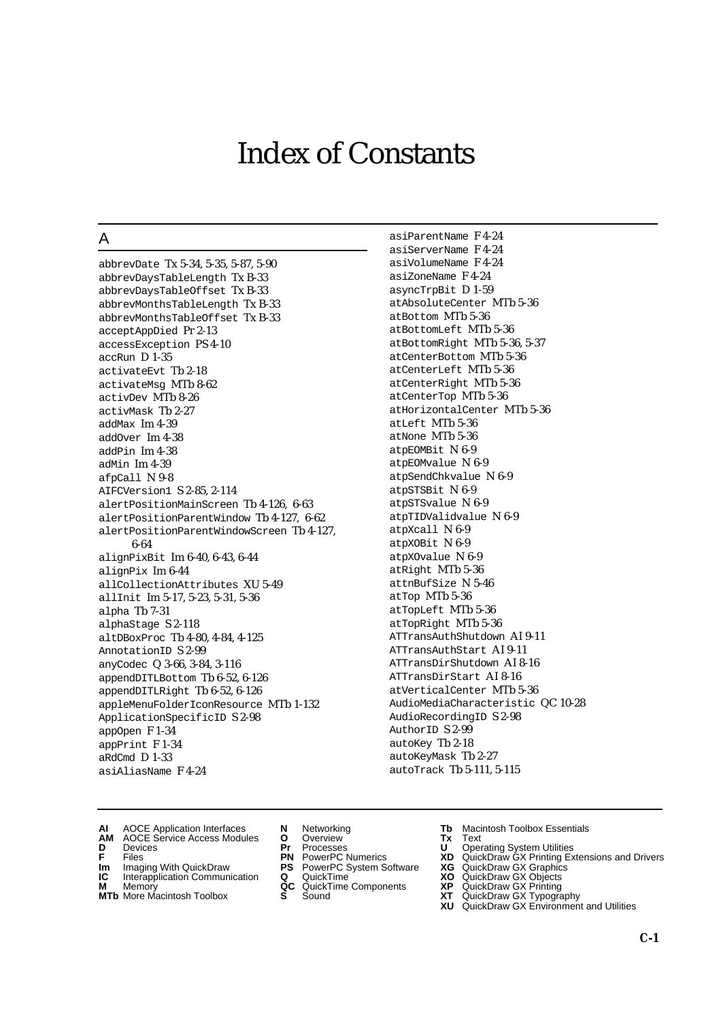# Index of Constants

## A

abbrevDate Tx 5-34, 5-35, 5-87, 5-90 abbrevDaysTableLength Tx B-33 abbrevDaysTableOffset Tx B-33 abbrevMonthsTableLength Tx B-33 abbrevMonthsTableOffset Tx B-33 acceptAppDied Pr 2-13 accessException PS 4-10 accRun D 1-35 activateEvt Tb 2-18 activateMsg MTb 8-62 activDev MTb 8-26 activMask Tb 2-27 addMax Im 4-39 addOver Im 4-38 addPin Im 4-38 adMin Im 4-39 afpCall N 9-8 AIFCVersion1 S 2-85, 2-114 alertPositionMainScreen Tb 4-126, 6-63 alertPositionParentWindow Tb 4-127, 6-62 alertPositionParentWindowScreen Tb 4-127, 6-64 alignPixBit Im 6-40, 6-43, 6-44 alignPix Im 6-44 allCollectionAttributes XU 5-49 allInit Im 5-17, 5-23, 5-31, 5-36 alpha Tb 7-31 alphaStage S 2-118 altDBoxProc Tb 4-80, 4-84, 4-125 AnnotationID S 2-99 anyCodec Q 3-66, 3-84, 3-116 appendDITLBottom Tb 6-52, 6-126 appendDITLRight Tb 6-52, 6-126 appleMenuFolderIconResource MTb 1-132 ApplicationSpecificID S 2-98 appOpen F 1-34 appPrint F 1-34 aRdCmd D 1-33 asiAliasName F 4-24

asiParentName F 4-24 asiServerName F 4-24 asiVolumeName F 4-24 asiZoneName F 4-24 asyncTrpBit D 1-59 atAbsoluteCenter MTb 5-36 atBottom MTb 5-36 atBottomLeft MTb 5-36 atBottomRight MTb 5-36, 5-37 atCenterBottom MTb 5-36 atCenterLeft MTb 5-36 atCenterRight MTb 5-36 atCenterTop MTb 5-36 atHorizontalCenter MTb 5-36 atLeft MTb 5-36 atNone MTb 5-36 atpEOMBit N 6-9 atpEOMvalue N 6-9 atpSendChkvalue N 6-9 atpSTSBit N 6-9 atpSTSvalue N 6-9 atpTIDValidvalue N 6-9 atpXcall N 6-9 atpXOBit N 6-9 atpXOvalue N 6-9 atRight MTb 5-36 attnBufSize N 5-46 atTop MTb 5-36 atTopLeft MTb 5-36 atTopRight MTb 5-36 ATTransAuthShutdown AI 9-11 ATTransAuthStart AI 9-11 ATTransDirShutdown AI 8-16 ATTransDirStart AI 8-16 atVerticalCenter MTb 5-36 AudioMediaCharacteristic QC 10-28 AudioRecordingID S 2-98 AuthorID S 2-99 autoKey Tb 2-18 autoKeyMask Tb 2-27 autoTrack Tb 5-111, 5-115

- **AI** AOCE Application Interfaces **N** Networking **Tb** Macintosh Toolbox Essentials<br> **AM** AOCE Service Access Modules **O** Overview **Tx** Text<br> **D** Devices **Pr** Processes **U** Operating System Utilities
- AOCE Service Access Modules **O** Overview **Tx** Text<br>Devices **Devices Devices Devices D** Oper **D** Devices **Pr** Processes **U** Operating System Utilities
- 
- **Im** Imaging With QuickDraw **PS** PowerPC System Software **XG IC** Interapplication Communication **Q** QuickTime **XO**
- **IC** Interapplication Communication **Q** QuickTime **XO M** Memory **XO QC** QuickTime Components **XP**
- **M** Memory **QC** QuickTime Components **XP**<br>**MTb** More Macintosh Toolbox **S** Sound **XT**
- 
- 
- 
- -
	-
- 
- 
- **F** Files **PN** PowerPC Numerics **XD** QuickDraw GX Printing Extensions and Drivers
	-
	-
	-
- **MTb** More Macintosh Toolbox **S** Sound **XT** QuickDraw GX Typography
	- **XU** QuickDraw GX Environment and Utilities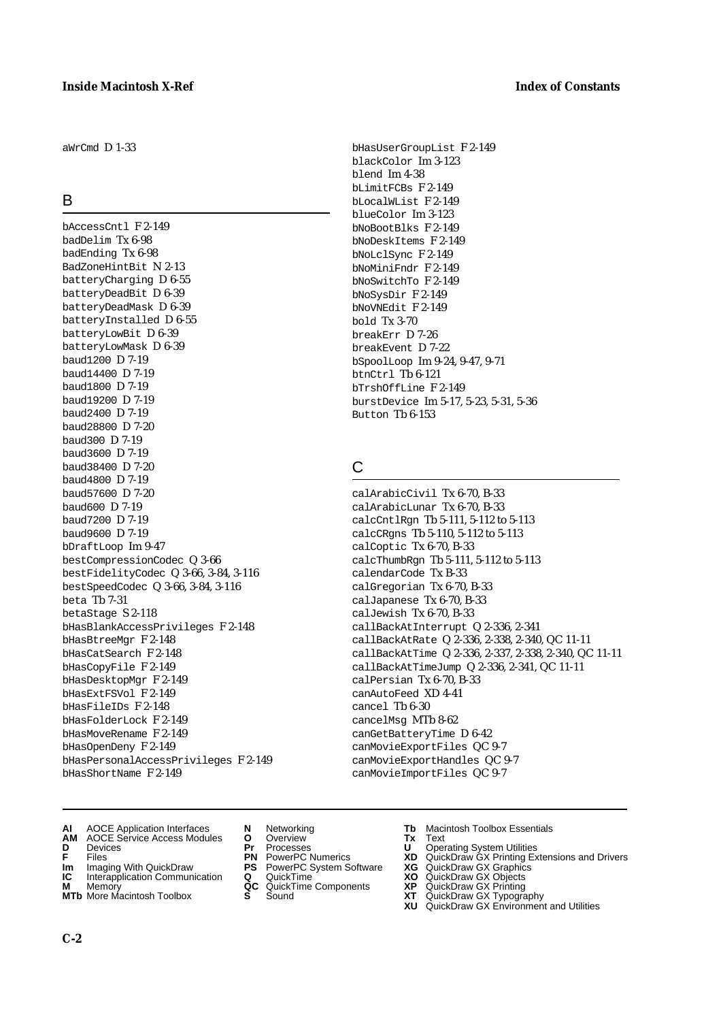$a$ WrCmd  $D$  1-33

#### B

 $h\Delta$ ccessCntl  $F$  2-149 badDelim Tx 6-98 badEnding Tx 6-98 BadZoneHintBit N 2-13 batteryCharging D 6-55 batteryDeadBit D 6-39 batteryDeadMask D 6-39 batteryInstalled D 6-55 batteryLowBit D 6-39 batteryLowMask D 6-39 baud1200 D 7-19 baud14400 D 7-19 baud1800 D 7-19 baud19200 D 7-19 baud2400 D 7-19 baud28800 D 7-20 baud300 D 7-19 baud3600 D 7-19 baud38400 D 7-20 baud4800 D 7-19 baud57600 D 7-20 baud600 D 7-19 baud7200 D 7-19 baud9600 D 7-19 bDraftLoop Im 9-47 bestCompressionCodec Q 3-66 bestFidelityCodec Q 3-66, 3-84, 3-116 bestSpeedCodec Q 3-66, 3-84, 3-116 beta Tb 7-31 betaStage S 2-118 bHasBlankAccessPrivileges F 2-148 bHasBtreeMgr F 2-148 bHasCatSearch F 2-148 bHasCopyFile F 2-149 bHasDesktopMgr F 2-149 bHasExtFSVol F 2-149 bHasFileIDs F 2-148 bHasFolderLock F 2-149 bHasMoveRename F 2-149 bHasOpenDeny F 2-149 bHasPersonalAccessPrivileges F 2-149 bHasShortName F 2-149

bHasUserGroupList F 2-149 blackColor Im 3-123 blend Im 4-38 bLimitFCBs F 2-149 bLocalWList F 2-149 blueColor Im 3-123 bNoBootBlks F 2-149 bNoDeskItems F 2-149 bNoLclSync F 2-149 bNoMiniFndr F 2-149 bNoSwitchTo F 2-149 bNoSysDir F 2-149 bNoVNEdit F 2-149 bold Tx 3-70 breakErr D 7-26 breakEvent D 7-22 bSpoolLoop Im 9-24, 9-47, 9-71 btnCtrl Tb 6-121 bTrshOffLine F 2-149 burstDevice Im 5-17, 5-23, 5-31, 5-36 Button Tb 6-153

## C

calArabicCivil Tx 6-70, B-33 calArabicLunar Tx 6-70, B-33 calcCntlRgn Tb 5-111, 5-112 to 5-113 calcCRgns Tb 5-110, 5-112 to 5-113 calCoptic Tx 6-70, B-33 calcThumbRgn Tb 5-111, 5-112 to 5-113 calendarCode Tx B-33 calGregorian Tx 6-70, B-33 calJapanese Tx 6-70, B-33 calJewish Tx 6-70, B-33 callBackAtInterrupt Q 2-336, 2-341 callBackAtRate Q 2-336, 2-338, 2-340, QC 11-11 callBackAtTime Q 2-336, 2-337, 2-338, 2-340, QC 11-11 callBackAtTimeJump Q 2-336, 2-341, QC 11-11 calPersian Tx 6-70, B-33 canAutoFeed XD 4-41 cancel Tb 6-30 cancelMsg MTb 8-62 canGetBatteryTime D 6-42 canMovieExportFiles QC 9-7 canMovieExportHandles QC 9-7 canMovieImportFiles QC 9-7

- **AI** AOCE Application Interfaces **N** Networking **Tb** Macintosh Toolbox Essentials<br> **AM** AOCE Service Access Modules **O** Overview **Tx** Text<br> **D** Devices **Pr** Processes **U** Operating System Utilities
- **AM** AOCE Service Access Modules **O** Overview **Tx** Text
- 
- 
- **Im** Imaging With QuickDraw **PS** PowerPC System Software **XG IC** Interapplication Communication **Q** QuickTime **COVIC**
- **IC** Interapplication Communication **Q** QuickTime **XO M** Memory **XP C** QuickTime Components **XP**
- **M** Memory **CONSISTENT CONSIDER**<br> **MITE** More Macintosh Toolbox **CONSISTENT S** Sound **CONSISTER MTb** More Macintosh Toolbox **S** Sound **XT** QuickDraw GX Typography
- 
- 
- 
- 
- -
- 
- **D** Devices **Pr** Processes **U** Operating System Utilities
- **FRICAG CONSISTS IN THE PROCESSES CONSISTS AND CONSIST CONSISTENT CONSISTS CONSISTS PROCESSES**<br> **F** Files **PN** PowerPC Numerics **XD** QuickDraw GX Printing Extensions and Drivers<br> **Im** Imaging With QuickDraw **PS** PowerPC Sy
	-
	-
	-
	- **XU** QuickDraw GX Environment and Utilities

**C-2**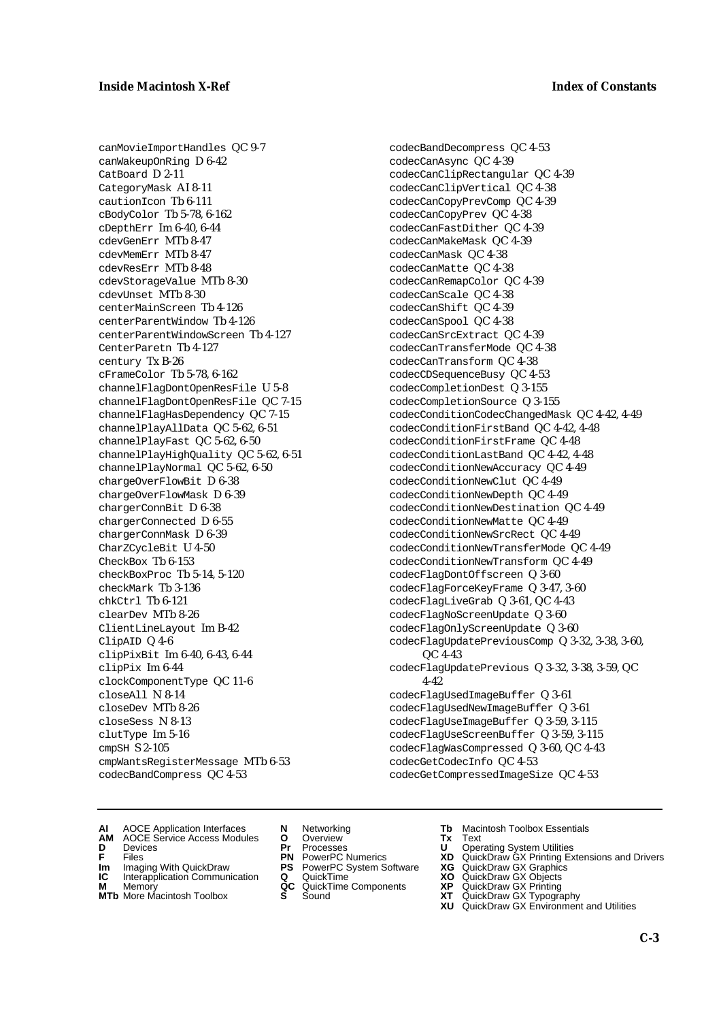canMovieImportHandles QC 9-7 canWakeupOnRing D 6-42 CatBoard D 2-11 CategoryMask AI 8-11 cautionIcon Tb 6-111 cBodyColor Tb 5-78, 6-162 cDepthErr Im 6-40, 6-44 cdevGenErr MTb 8-47 cdevMemErr MTb 8-47 cdevResErr MTb 8-48 cdevStorageValue MTb 8-30 cdevUnset MTb 8-30 centerMainScreen Tb 4-126 centerParentWindow Tb 4-126 centerParentWindowScreen Tb 4-127 CenterParetn Tb 4-127 century Tx B-26 cFrameColor Tb 5-78, 6-162 channelFlagDontOpenResFile U 5-8 channelFlagDontOpenResFile QC 7-15 channelFlagHasDependency QC 7-15 channelPlayAllData QC 5-62, 6-51 channelPlayFast QC 5-62, 6-50 channelPlayHighQuality QC 5-62, 6-51 channelPlayNormal QC 5-62, 6-50 chargeOverFlowBit D 6-38 chargeOverFlowMask D 6-39 chargerConnBit D 6-38 chargerConnected D 6-55 chargerConnMask D 6-39 CharZCycleBit U 4-50 CheckBox Tb 6-153 checkBoxProc Tb 5-14, 5-120 checkMark Tb 3-136 chkCtrl Tb 6-121 clearDev MTb 8-26 ClientLineLayout Im B-42 ClipAID Q 4-6 clipPixBit Im 6-40, 6-43, 6-44 clipPix Im 6-44 clockComponentType QC 11-6 closeAll N 8-14 closeDev MTb 8-26 closeSess N 8-13 clutType Im 5-16 cmpSH S 2-105 cmpWantsRegisterMessage MTb 6-53 codecBandCompress QC 4-53

codecBandDecompress QC 4-53 codecCanAsync QC 4-39 codecCanClipRectangular QC 4-39 codecCanClipVertical QC 4-38 codecCanCopyPrevComp QC 4-39 codecCanCopyPrev QC 4-38 codecCanFastDither QC 4-39 codecCanMakeMask QC 4-39 codecCanMask QC 4-38 codecCanMatte QC 4-38 codecCanRemapColor QC 4-39 codecCanScale QC 4-38 codecCanShift QC 4-39 codecCanSpool QC 4-38 codecCanSrcExtract QC 4-39 codecCanTransferMode QC 4-38 codecCanTransform QC 4-38 codecCDSequenceBusy QC 4-53 codecCompletionDest Q 3-155 codecCompletionSource Q 3-155 codecConditionCodecChangedMask QC 4-42, 4-49 codecConditionFirstBand QC 4-42, 4-48 codecConditionFirstFrame QC 4-48 codecConditionLastBand QC 4-42, 4-48 codecConditionNewAccuracy QC 4-49 codecConditionNewClut QC 4-49 codecConditionNewDepth QC 4-49 codecConditionNewDestination QC 4-49 codecConditionNewMatte QC 4-49 codecConditionNewSrcRect QC 4-49 codecConditionNewTransferMode QC 4-49 codecConditionNewTransform QC 4-49 codecFlagDontOffscreen Q 3-60 codecFlagForceKeyFrame Q 3-47, 3-60 codecFlagLiveGrab Q 3-61, QC 4-43 codecFlagNoScreenUpdate Q 3-60 codecFlagOnlyScreenUpdate Q 3-60 codecFlagUpdatePreviousComp Q 3-32, 3-38, 3-60, QC 4-43 codecFlagUpdatePrevious Q 3-32, 3-38, 3-59, QC 4-42 codecFlagUsedImageBuffer Q 3-61 codecFlagUsedNewImageBuffer Q 3-61 codecFlagUseImageBuffer Q 3-59, 3-115 codecFlagUseScreenBuffer Q 3-59, 3-115 codecFlagWasCompressed Q 3-60, QC 4-43 codecGetCodecInfo QC 4-53 codecGetCompressedImageSize QC 4-53

- **AI** AOCE Application Interfaces **N** Networking **Tb** Macintosh Toolbox Essentials
- **AM** AOCE Service Access Modules **O** Overview **Tx** Text
- 
- 
- **Im** Files<br> **Im** Imaging With QuickDraw **PS** PowerPC System Software **XG**<br> **IC** Interapplication Communication **Q** QuickTime **XO IC** Interapplication Communication **Q** QuickTime **XO M** Memory **XP QC** QuickTime Components **XP**
- **M** Memory **Manufacture Communication**<br> **M** Memory **QC** QuickTime Components **XP**<br> **MTb** More Macintosh Toolbox **S** Sound **XT**
- **MTb** More Macintosh Toolbox **S** Sound **XT** QuickDraw GX Typography
- 
- **D** Devices **Pr** Processes **U** Operating System Utilities
	-
	-
	-
	-
- 
- 
- **F** Files **PN** PowerPC Numerics **XD** QuickDraw GX Printing Extensions and Drivers
	-
	-
	-
	-
	- **XU** QuickDraw GX Environment and Utilities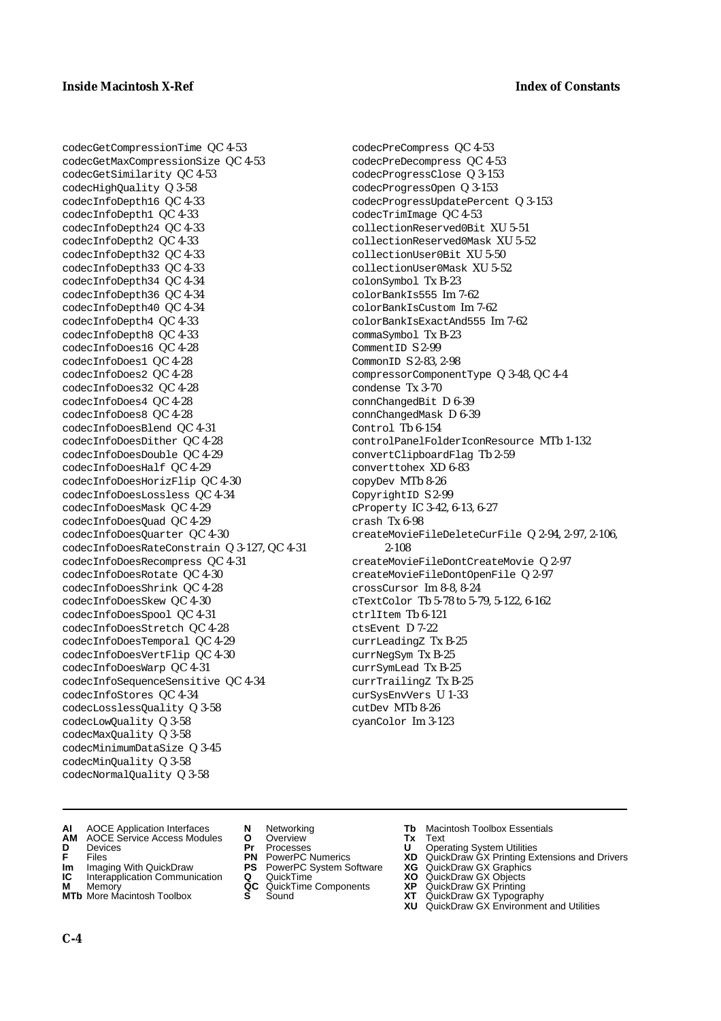codecGetCompressionTime QC 4-53 codecGetMaxCompressionSize QC 4-53 codecGetSimilarity QC 4-53 codecHighQuality Q 3-58 codecInfoDepth16 QC 4-33 codecInfoDepth1 QC 4-33 codecInfoDepth24 QC 4-33 codecInfoDepth2 QC 4-33 codecInfoDepth32 QC 4-33 codecInfoDepth33 QC 4-33 codecInfoDepth34 QC 4-34 codecInfoDepth36 QC 4-34 codecInfoDepth40 QC 4-34 codecInfoDepth4 QC 4-33 codecInfoDepth8 QC 4-33 codecInfoDoes16 QC 4-28 codecInfoDoes1 QC 4-28 codecInfoDoes2 QC 4-28 codecInfoDoes32 QC 4-28 codecInfoDoes4 QC 4-28 codecInfoDoes8 QC 4-28 codecInfoDoesBlend QC 4-31 codecInfoDoesDither QC 4-28 codecInfoDoesDouble QC 4-29 codecInfoDoesHalf QC 4-29 codecInfoDoesHorizFlip QC 4-30 codecInfoDoesLossless QC 4-34 codecInfoDoesMask QC 4-29 codecInfoDoesQuad QC 4-29 codecInfoDoesQuarter QC 4-30 codecInfoDoesRateConstrain Q 3-127, QC 4-31 codecInfoDoesRecompress QC 4-31 codecInfoDoesRotate QC 4-30 codecInfoDoesShrink QC 4-28 codecInfoDoesSkew QC 4-30 codecInfoDoesSpool QC 4-31 codecInfoDoesStretch QC 4-28 codecInfoDoesTemporal QC 4-29 codecInfoDoesVertFlip QC 4-30 codecInfoDoesWarp QC 4-31 codecInfoSequenceSensitive QC 4-34 codecInfoStores QC 4-34 codecLosslessQuality Q 3-58 codecLowQuality Q 3-58 codecMaxQuality Q 3-58 codecMinimumDataSize Q 3-45 codecMinQuality Q 3-58 codecNormalQuality Q 3-58

codecPreCompress QC 4-53 codecPreDecompress QC 4-53 codecProgressClose Q 3-153 codecProgressOpen Q 3-153 codecProgressUpdatePercent Q 3-153 codecTrimImage QC 4-53 collectionReserved0Bit XU 5-51 collectionReserved0Mask XU 5-52 collectionUser0Bit XU 5-50 collectionUser0Mask XU 5-52 colonSymbol Tx B-23 colorBankIs555 Im 7-62 colorBankIsCustom Im 7-62 colorBankIsExactAnd555 Im 7-62 commaSymbol Tx B-23 CommentID S 2-99 CommonID S 2-83, 2-98 compressorComponentType Q 3-48, QC 4-4 condense Tx 3-70 connChangedBit D 6-39 connChangedMask D 6-39 Control Tb 6-154 controlPanelFolderIconResource MTb 1-132 convertClipboardFlag Tb 2-59 converttohex XD 6-83 copyDev MTb 8-26 CopyrightID S 2-99 cProperty IC 3-42, 6-13, 6-27 crash Tx 6-98 createMovieFileDeleteCurFile Q 2-94, 2-97, 2-106, 2-108 createMovieFileDontCreateMovie Q 2-97 createMovieFileDontOpenFile Q 2-97 crossCursor Im 8-8, 8-24 cTextColor Tb 5-78 to 5-79, 5-122, 6-162 ctrlItem Tb 6-121 ctsEvent D 7-22 currLeadingZ Tx B-25 currNegSym Tx B-25 currSymLead Tx B-25 currTrailingZ Tx B-25 curSysEnvVers U 1-33 cutDev MTb 8-26

- **AI** AOCE Application Interfaces **N** Networking **Tb** Macintosh Toolbox Essentials<br> **AM** AOCE Service Access Modules **O** Overview **Tx** Text<br> **D** Devices **Pr** Processes **U** Operating System Utilities
- **AM** AOCE Service Access Modules **O** Overview **Tx** Text
- 
- 
- **Im** Imaging With QuickDraw **PS** PowerPC System Software<br> **IC** Interapplication Communication **Q** QuickTime<br> **M** Memory **GC** QuickTime Components
- 
- **M** Memory **QC** QuickTime COMPONENT **COMPONENTS COMPONENTS COMPONENTS COMPONENTS COMPONENTS COMPONENTS COMPONENTS COMPONENTS COMPONENTS COMPONENTS COMPONENTS COMPONENTS COMPONENTS COMPONENTS COMPONENTS COMPONENTS COMPONENT MTb** More Macintosh Toolbox **S** Sound **XT** QuickDraw GX Typography
- 
- **D** Devices **Pr** Processes **U** Operating System Utilities
	-
- **Im** Imaging With QuickDraw **PS** PowerPC System Software **XG** QuickDraw GX Graphics
	-
	-
- 
- 

cyanColor Im 3-123

- **F** Files **PN** PowerPC Numerics **XD** QuickDraw GX Printing Extensions and Drivers
	-
	-
	-
	-
	- **XU** QuickDraw GX Environment and Utilities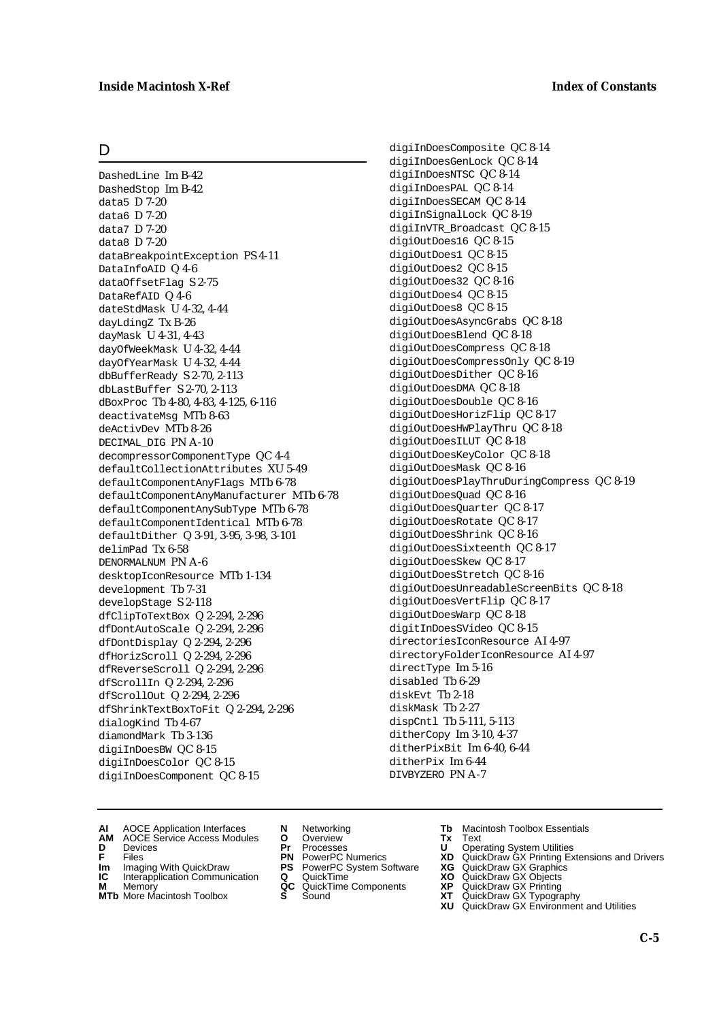#### **Inside Macintosh X-Ref Index of Constants**

#### D

DashedLine Im B-42 DashedStop Im B-42 data5 D 7-20 data6 D 7-20 data7 D 7-20 data8 D 7-20 dataBreakpointException PS 4-11 DataInfoAID Q 4-6 dataOffsetFlag S 2-75 DataRefAID Q 4-6 dateStdMask U 4-32, 4-44 dayLdingZ Tx B-26 dayMask U 4-31, 4-43 dayOfWeekMask U 4-32, 4-44 dayOfYearMask U 4-32, 4-44 dbBufferReady S 2-70, 2-113 dbLastBuffer S 2-70, 2-113 dBoxProc Tb 4-80, 4-83, 4-125, 6-116 deactivateMsg MTb 8-63 deActivDev MTb 8-26 DECIMAL DIG PN A-10 decompressorComponentType QC 4-4 defaultCollectionAttributes XU 5-49 defaultComponentAnyFlags MTb 6-78 defaultComponentAnyManufacturer MTb 6-78 defaultComponentAnySubType MTb 6-78 defaultComponentIdentical MTb 6-78 defaultDither Q 3-91, 3-95, 3-98, 3-101 delimPad Tx 6-58 DENORMALNUM PN A-6 desktopIconResource MTb 1-134 development Tb 7-31 developStage S 2-118 dfClipToTextBox Q 2-294, 2-296 dfDontAutoScale Q 2-294, 2-296 dfDontDisplay Q 2-294, 2-296 dfHorizScroll Q 2-294, 2-296 dfReverseScroll Q 2-294, 2-296 dfScrollIn Q 2-294, 2-296 dfScrollOut Q 2-294, 2-296 dfShrinkTextBoxToFit Q 2-294, 2-296 dialogKind Tb 4-67 diamondMark Tb 3-136 digiInDoesBW QC 8-15 digiInDoesColor QC 8-15 digiInDoesComponent QC 8-15

digiInDoesComposite QC 8-14 digiInDoesGenLock QC 8-14 digiInDoesNTSC QC 8-14 digiInDoesPAL QC 8-14 digiInDoesSECAM QC 8-14 digiInSignalLock QC 8-19 digiInVTR\_Broadcast QC 8-15 digiOutDoes16 QC 8-15 digiOutDoes1 QC 8-15 digiOutDoes2 QC 8-15 digiOutDoes32 QC 8-16 digiOutDoes4 QC 8-15 digiOutDoes8 QC 8-15 digiOutDoesAsyncGrabs QC 8-18 digiOutDoesBlend QC 8-18 digiOutDoesCompress QC 8-18 digiOutDoesCompressOnly QC 8-19 digiOutDoesDither QC 8-16 digiOutDoesDMA QC 8-18 digiOutDoesDouble QC 8-16 digiOutDoesHorizFlip QC 8-17 digiOutDoesHWPlayThru QC 8-18 digiOutDoesILUT QC 8-18 digiOutDoesKeyColor QC 8-18 digiOutDoesMask QC 8-16 digiOutDoesPlayThruDuringCompress QC 8-19 digiOutDoesQuad QC 8-16 digiOutDoesQuarter QC 8-17 digiOutDoesRotate QC 8-17 digiOutDoesShrink QC 8-16 digiOutDoesSixteenth QC 8-17 digiOutDoesSkew QC 8-17 digiOutDoesStretch QC 8-16 digiOutDoesUnreadableScreenBits QC 8-18 digiOutDoesVertFlip QC 8-17 digiOutDoesWarp QC 8-18 digitInDoesSVideo QC 8-15 directoriesIconResource AI 4-97 directoryFolderIconResource AI 4-97 directType Im 5-16 disabled Tb 6-29 diskEvt Tb 2-18 diskMask Tb 2-27 dispCntl Tb 5-111, 5-113 ditherCopy Im 3-10, 4-37 ditherPixBit Im 6-40, 6-44 ditherPix Im 6-44 DIVBYZERO PN A-7

- **AI** AOCE Application Interfaces **N** Networking **Tb** Macintosh Toolbox Essentials
- **AM** AOCE Service Access Modules **O** Overview **Tx** Text
- 
- 
- **Im** Imaging With QuickDraw **PS** PowerPC System Software **XG IC** Interapplication Communication **Q** QuickTime **XO IC** Interapplication Communication **Q** QuickTime **XO M** Memory **XP QC** QuickTime Components **XP**
- **M** Memory **Manufacture Communication**<br> **M** Memory **QC** QuickTime Components **XP**<br> **MTb** More Macintosh Toolbox **S** Sound **XT**
- 
- 
- **D** Devices **Pr** Processes **U** Operating System Utilities
	-
	-
	-
	-
- 
- 
- **F** Files **PN** PowerPC Numerics **XD** QuickDraw GX Printing Extensions and Drivers
	-
	-
	-
- **MTb** More Macintosh Toolbox **S** Sound **XT** QuickDraw GX Typography
	- **XU** QuickDraw GX Environment and Utilities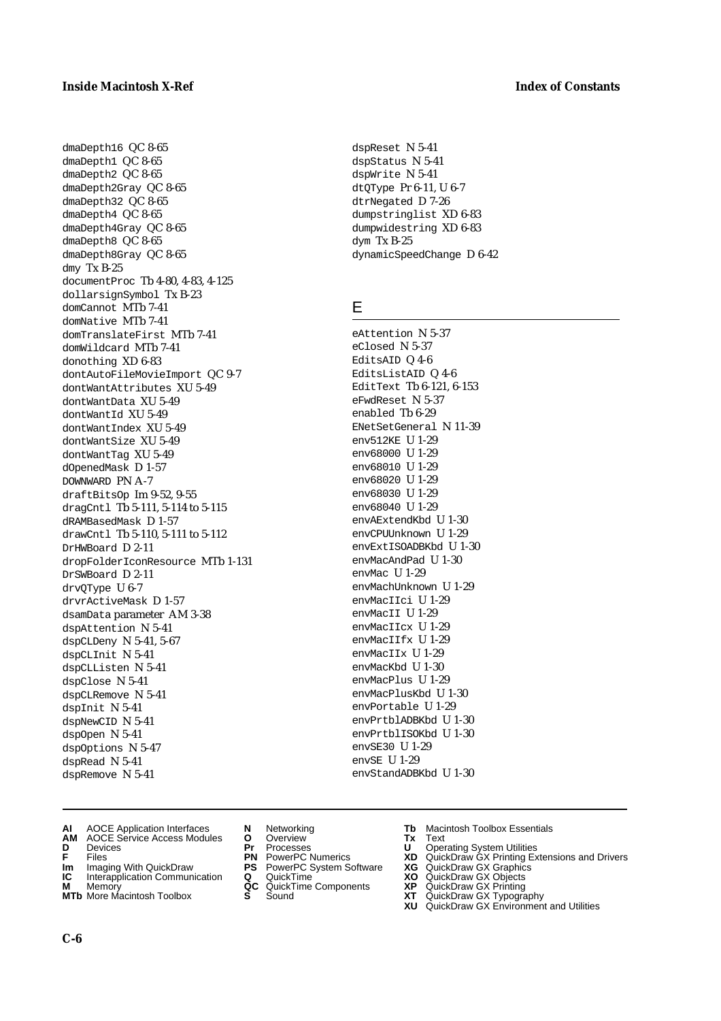dmaDepth16 QC 8-65 dmaDepth1 QC 8-65 dmaDepth2 QC 8-65 dmaDepth2Gray QC 8-65 dmaDepth32 QC 8-65 dmaDepth4 QC 8-65 dmaDepth4Gray QC 8-65 dmaDepth8 QC 8-65 dmaDepth8Gray QC 8-65 dmy Tx B-25 documentProc Tb 4-80, 4-83, 4-125 dollarsignSymbol Tx B-23 domCannot MTb 7-41 domNative MTb 7-41 domTranslateFirst MTb 7-41 domWildcard MTb 7-41 donothing XD 6-83 dontAutoFileMovieImport QC 9-7 dontWantAttributes XU 5-49 dontWantData XU 5-49 dontWantId XU 5-49 dontWantIndex XU 5-49 dontWantSize XU 5-49 dontWantTag XU 5-49 dOpenedMask D 1-57 DOWNWARD PN A-7 draftBitsOp Im 9-52, 9-55 dragCntl Tb 5-111, 5-114 to 5-115 dRAMBasedMask D 1-57 drawCntl Tb 5-110, 5-111 to 5-112 DrHWBoard D 2-11 dropFolderIconResource MTb 1-131 DrSWBoard D 2-11 drvQType U 6-7 drvrActiveMask D 1-57 dsamData parameter AM 3-38 dspAttention N 5-41 dspCLDeny N 5-41, 5-67 dspCLInit N 5-41 dspCLListen N 5-41 dspClose N 5-41 dspCLRemove N 5-41 dspInit N 5-41 dspNewCID N 5-41 dspOpen N 5-41 dspOptions N 5-47 dspRead N 5-41 dspRemove N 5-41

- **AI** AOCE Application Interfaces **N** Networking **Tb** Macintosh Toolbox Essentials
- **AM** AOCE Service Access Modules **O** Overview **Tx** Text
- 
- 
- **Im** Imaging With QuickDraw **PS** PowerPC System Software<br> **IC** Interapplication Communication **Q** QuickTime<br> **M** Memory **GC** QuickTime Components
- 
- **M** Memory **COMPONENTS COMPONENTS COMPONENTS COMPONENTS <b>XP** QC QuickT<br> **MTb** More Macintosh Toolbox **S** Sound **MTb** More Macintosh Toolbox **S** Sound **XT** QuickDraw GX Typography
- 
- 
- 
- **Im** Imaging With QuickDraw **PS** PowerPC System Software **XG** QuickDraw GX Graphics
	-
	-
- 
- **D** Devices **Pr** Processes **U** Operating System Utilities
- **F** Files **PN** PowerPC Numerics **XD** QuickDraw GX Printing Extensions and Drivers
	-
	-
	-
	- **XU** QuickDraw GX Environment and Utilities

dspReset N 5-41 dspStatus N 5-41 dspWrite N 5-41 dtQType Pr 6-11, U 6-7 dtrNegated D 7-26 dumpstringlist XD 6-83 dumpwidestring XD 6-83 dym Tx B-25 dynamicSpeedChange D 6-42

## E

eAttention N 5-37 eClosed N 5-37 EditsAID Q 4-6 EditsListAID Q 4-6 EditText Tb 6-121, 6-153 eFwdReset N 5-37 enabled Tb 6-29 ENetSetGeneral N 11-39 env512KE U 1-29 env68000 U 1-29 env68010 U 1-29 env68020 U 1-29 env68030 U 1-29 env68040 U 1-29 envAExtendKbd U 1-30 envCPUUnknown U 1-29 envExtISOADBKbd U 1-30 envMacAndPad U 1-30 envMac U 1-29 envMachUnknown U 1-29 envMacIIci U 1-29 envMacII U 1-29 envMacIIcx U 1-29 envMacIIfx U 1-29 envMacIIx U 1-29 envMacKbd U 1-30 envMacPlus U 1-29 envMacPlusKbd U 1-30 envPortable U 1-29 envPrtblADBKbd U 1-30 envPrtblISOKbd U 1-30 envSE30 U 1-29 envSE U 1-29 envStandADBKbd U 1-30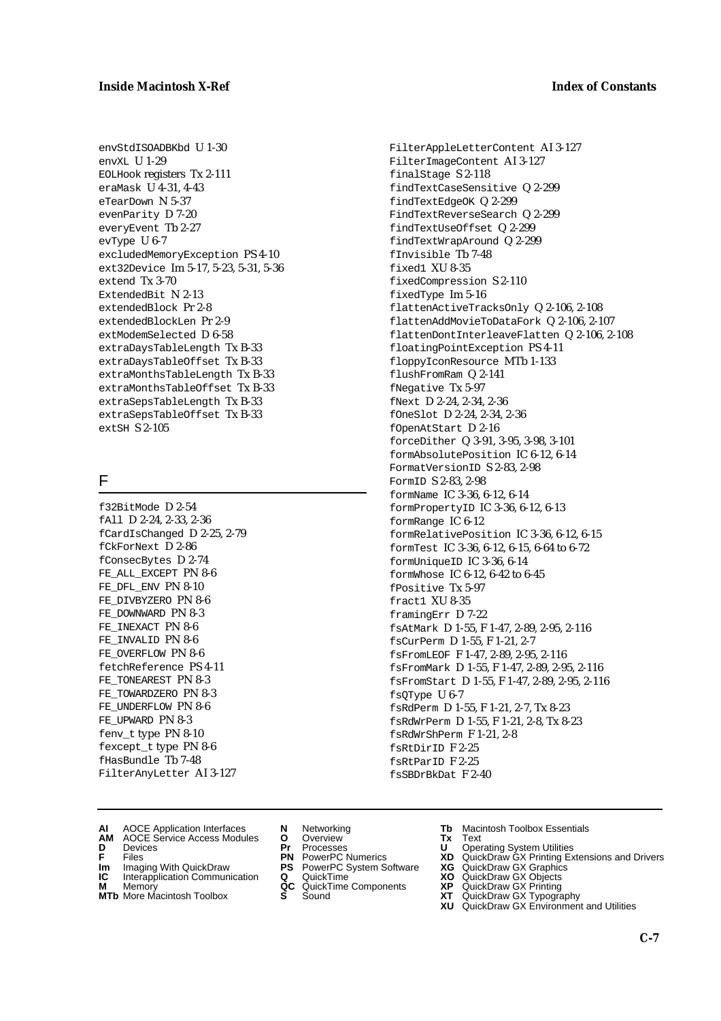envStdISOADBKbd U 1-30 envXL U 1-29 EOLHook registers Tx 2-111 eraMask U 4-31, 4-43 eTearDown N 5-37 evenParity D 7-20 everyEvent Tb 2-27 evType U 6-7 excludedMemoryException PS 4-10 ext32Device Im 5-17, 5-23, 5-31, 5-36 extend Tx 3-70 ExtendedBit N 2-13 extendedBlock Pr 2-8 extendedBlockLen Pr 2-9 extModemSelected D 6-58 extraDaysTableLength Tx B-33 extraDaysTableOffset Tx B-33 extraMonthsTableLength Tx B-33 extraMonthsTableOffset Tx B-33 extraSepsTableLength Tx B-33 extraSepsTableOffset Tx B-33 extSH S 2-105

## F

f32BitMode D 2-54 fAll D 2-24, 2-33, 2-36 fCardIsChanged D 2-25, 2-79 fCkForNext D 2-86 fConsecBytes D 2-74 FE\_ALL\_EXCEPT PN 8-6 FE\_DFL\_ENV PN 8-10 FE\_DIVBYZERO PN 8-6 FE\_DOWNWARD PN 8-3 FE\_INEXACT PN 8-6 FE\_INVALID PN 8-6 FE\_OVERFLOW PN 8-6 fetchReference PS 4-11 FE\_TONEAREST PN 8-3 FE\_TOWARDZERO PN 8-3 FE\_UNDERFLOW PN 8-6 FE\_UPWARD PN 8-3 fenv\_t type PN 8-10 fexcept\_t type PN 8-6 fHasBundle Tb 7-48 FilterAnyLetter AI 3-127

- FilterAppleLetterContent AI 3-127 FilterImageContent AI 3-127 finalStage S 2-118 findTextCaseSensitive Q 2-299 findTextEdgeOK Q 2-299 FindTextReverseSearch Q 2-299 findTextUseOffset Q 2-299 findTextWrapAround Q 2-299 fInvisible Tb 7-48 fixed1 XU 8-35 fixedCompression S 2-110 fixedType Im 5-16 flattenActiveTracksOnly Q 2-106, 2-108 flattenAddMovieToDataFork Q 2-106, 2-107 flattenDontInterleaveFlatten Q 2-106, 2-108 floatingPointException PS 4-11 floppyIconResource MTb 1-133 flushFromRam Q 2-141 fNegative Tx 5-97 fNext D 2-24, 2-34, 2-36 fOneSlot D 2-24, 2-34, 2-36 fOpenAtStart D 2-16 forceDither Q 3-91, 3-95, 3-98, 3-101 formAbsolutePosition IC 6-12, 6-14 FormatVersionID S 2-83, 2-98 FormID S 2-83, 2-98 formName IC 3-36, 6-12, 6-14 formPropertyID IC 3-36, 6-12, 6-13 formRange IC 6-12 formRelativePosition IC 3-36, 6-12, 6-15 formTest IC 3-36, 6-12, 6-15, 6-64 to 6-72 formUniqueID IC 3-36, 6-14 formWhose IC 6-12, 6-42 to 6-45 fPositive Tx 5-97 fract1 XU 8-35 framingErr D 7-22 fsAtMark D 1-55, F 1-47, 2-89, 2-95, 2-116 fsCurPerm D 1-55, F 1-21, 2-7 fsFromLEOF F 1-47, 2-89, 2-95, 2-116 fsFromMark D 1-55, F 1-47, 2-89, 2-95, 2-116 fsFromStart D 1-55, F 1-47, 2-89, 2-95, 2-116 fsQType U 6-7 fsRdPerm D 1-55, F 1-21, 2-7, Tx 8-23 fsRdWrPerm D 1-55, F 1-21, 2-8, Tx 8-23 fsRdWrShPerm F 1-21, 2-8 fsRtDirID F 2-25 fsRtParID F 2-25 fsSBDrBkDat F 2-40
- **AI** AOCE Application Interfaces **N** Networking **Tb** Macintosh Toolbox Essentials
- **AM** AOCE Service Access Modules **O** Overview **Tx** Text
- 
- 
- **Im** Imaging With QuickDraw **PS** PowerPC System Software **XG IC** Interapplication Communication **Q** QuickTime **XO IC** Interapplication Communication **Q** QuickTime **XO M** Memory **XP QC** QuickTime Components **XP**
- **M** Memory **Manufacture Communication**<br> **M** Memory **QC** QuickTime Components **XP**<br> **MTb** More Macintosh Toolbox **S** Sound **XT**
- **MTb** More Macintosh Toolbox **S** Sound **XT** QuickDraw GX Typography
- 
- **D** Devices **Pr** Processes **U** Operating System Utilities
	-
	-
	-
	-
- 
- 
- **F** Files **PN** PowerPC Numerics **XD** QuickDraw GX Printing Extensions and Drivers
	-
	-
	-
	- **XU** QuickDraw GX Environment and Utilities
		- **C-7**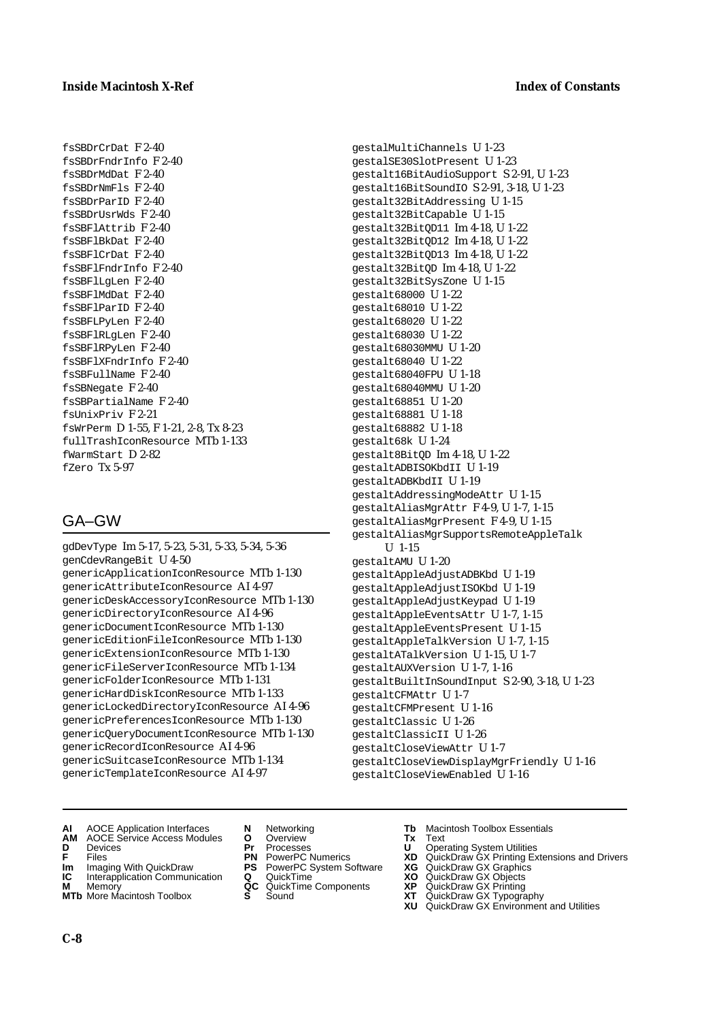fsSBDrCrDat F 2-40 fsSBDrFndrInfo F 2-40 fsSBDrMdDat F 2-40 fsSBDrNmFls F 2-40 fsSBDrParID F 2-40 fsSBDrUsrWds F 2-40 fsSBFlAttrib F 2-40 fsSBFlBkDat F 2-40 fsSBFlCrDat F 2-40 fsSBFlFndrInfo F 2-40 fsSBFlLgLen F 2-40 fsSBFlMdDat F 2-40 fsSBFlParID F 2-40 fsSBFLPyLen F 2-40 fsSBFlRLgLen F 2-40 fsSBFlRPyLen F 2-40 fsSBFlXFndrInfo F 2-40 fsSBFullName F 2-40 fsSBNegate F 2-40 fsSBPartialName F 2-40 fsUnixPriv F 2-21 fsWrPerm D 1-55, F 1-21, 2-8, Tx 8-23 fullTrashIconResource MTb 1-133 fWarmStart D 2-82 fZero Tx 5-97

## GA–GW

gdDevType Im 5-17, 5-23, 5-31, 5-33, 5-34, 5-36 genCdevRangeBit U 4-50 genericApplicationIconResource MTb 1-130 genericAttributeIconResource AI 4-97 genericDeskAccessoryIconResource MTb 1-130 genericDirectoryIconResource AI 4-96 genericDocumentIconResource MTb 1-130 genericEditionFileIconResource MTb 1-130 genericExtensionIconResource MTb 1-130 genericFileServerIconResource MTb 1-134 genericFolderIconResource MTb 1-131 genericHardDiskIconResource MTb 1-133 genericLockedDirectoryIconResource AI 4-96 genericPreferencesIconResource MTb 1-130 genericQueryDocumentIconResource MTb 1-130 genericRecordIconResource AI 4-96 genericSuitcaseIconResource MTb 1-134 genericTemplateIconResource AI 4-97

gestalMultiChannels U 1-23 gestalSE30SlotPresent U 1-23 gestalt16BitAudioSupport S 2-91, U 1-23 gestalt16BitSoundIO S 2-91, 3-18, U 1-23 gestalt32BitAddressing U 1-15 gestalt32BitCapable U 1-15 gestalt32BitQD11 Im 4-18, U 1-22 gestalt32BitQD12 Im 4-18, U 1-22 gestalt32BitQD13 Im 4-18, U 1-22 gestalt32BitQD Im 4-18, U 1-22 gestalt32BitSysZone U 1-15 gestalt68000 U 1-22 gestalt68010 U 1-22 gestalt68020 U 1-22 gestalt68030 U 1-22 gestalt68030MMU U 1-20 gestalt68040 U 1-22 gestalt68040FPU U 1-18 gestalt68040MMU U 1-20 gestalt68851 U 1-20 gestalt68881 U 1-18 gestalt68882 U 1-18 gestalt68k U 1-24 gestalt8BitQD Im 4-18, U 1-22 gestaltADBISOKbdII U 1-19 gestaltADBKbdII U 1-19 gestaltAddressingModeAttr U 1-15 gestaltAliasMgrAttr F 4-9, U 1-7, 1-15 gestaltAliasMgrPresent F 4-9, U 1-15 gestaltAliasMgrSupportsRemoteAppleTalk U 1-15 gestaltAMU U 1-20 gestaltAppleAdjustADBKbd U 1-19 gestaltAppleAdjustISOKbd U 1-19 gestaltAppleAdjustKeypad U 1-19 gestaltAppleEventsAttr U 1-7, 1-15 gestaltAppleEventsPresent U 1-15 gestaltAppleTalkVersion U 1-7, 1-15 gestaltATalkVersion U 1-15, U 1-7 gestaltAUXVersion U 1-7, 1-16 gestaltBuiltInSoundInput S 2-90, 3-18, U 1-23 gestaltCFMAttr U 1-7 gestaltCFMPresent U 1-16 gestaltClassic U 1-26 gestaltClassicII U 1-26 gestaltCloseViewAttr U 1-7 gestaltCloseViewDisplayMgrFriendly U 1-16 gestaltCloseViewEnabled U 1-16

- **AI** AOCE Application Interfaces **N** Networking **Tb** Macintosh Toolbox Essentials
- **AM** AOCE Service Access Modules **O** Overview **Tx** Text<br> **D** Devices **Pr** Processes **U** Oper
- 
- 
- **Im** Imaging With QuickDraw **PS** PowerPC System Software<br> **IC** Interapplication Communication **Q** QuickTime<br> **M** Memory **GC** QuickTime Components
- 
- **MTb** More Macintosh Toolbox **S** Sound **XT** QuickDraw GX Typography
- 
- **D** Devices **Pr** Processes **U** Operating System Utilities
	-
	-
	-
	-
- 
- 
- **F** Files **PN** PowerPC Numerics **XD** QuickDraw GX Printing Extensions and Drivers
- **Im** Imaging With QuickDraw **PS** PowerPC System Software **XG** QuickDraw GX Graphics
	-
- **M** Memory **QC** QuickTime Components **XP** QuickDraw GX Printing
	-
	- **XU** QuickDraw GX Environment and Utilities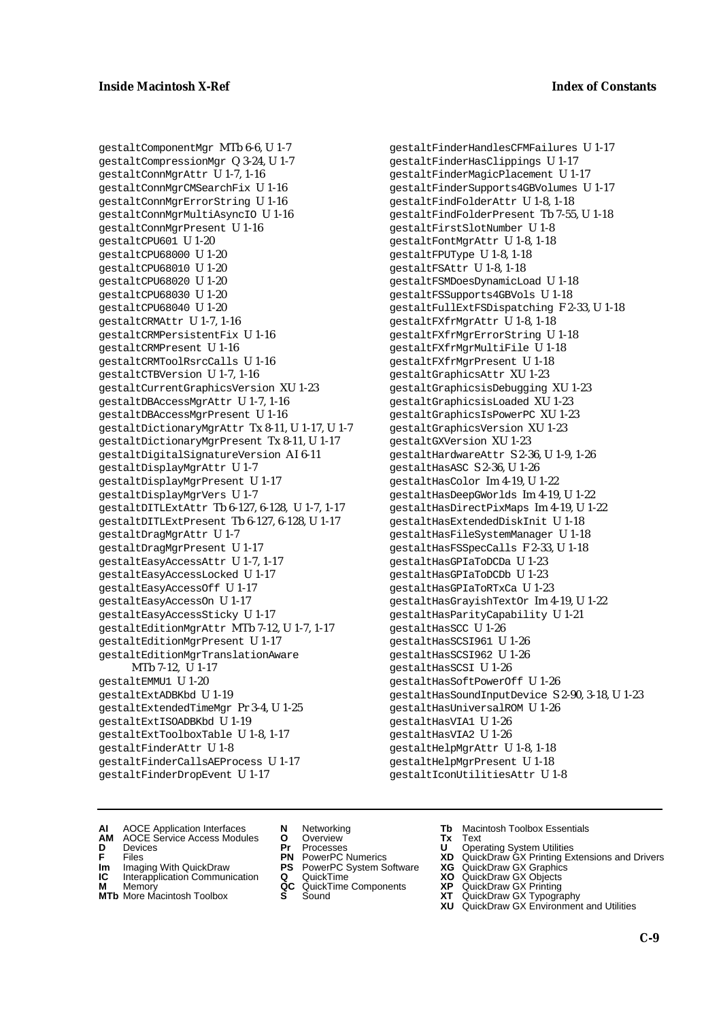gestaltComponentMgr MTb 6-6, U 1-7 gestaltCompressionMgr Q 3-24, U 1-7 gestaltConnMgrAttr U 1-7, 1-16 gestaltConnMgrCMSearchFix U 1-16 gestaltConnMgrErrorString U 1-16 gestaltConnMgrMultiAsyncIO U 1-16 gestaltConnMgrPresent U 1-16 gestaltCPU601 U 1-20 gestaltCPU68000 U 1-20 gestaltCPU68010 U 1-20 gestaltCPU68020 U 1-20 gestaltCPU68030 U 1-20 gestaltCPU68040 U 1-20 gestaltCRMAttr U 1-7, 1-16 gestaltCRMPersistentFix U 1-16 gestaltCRMPresent U 1-16 gestaltCRMToolRsrcCalls U 1-16 gestaltCTBVersion U 1-7, 1-16 gestaltCurrentGraphicsVersion XU 1-23 gestaltDBAccessMgrAttr U 1-7, 1-16 gestaltDBAccessMgrPresent U 1-16 gestaltDictionaryMgrAttr Tx 8-11, U 1-17, U 1-7 gestaltDictionaryMgrPresent Tx 8-11, U 1-17 gestaltDigitalSignatureVersion AI 6-11 gestaltDisplayMgrAttr U 1-7 gestaltDisplayMgrPresent U 1-17 gestaltDisplayMgrVers U 1-7 gestaltDITLExtAttr Tb 6-127, 6-128, U 1-7, 1-17 gestaltDITLExtPresent Tb 6-127, 6-128, U 1-17 gestaltDragMgrAttr U 1-7 gestaltDragMgrPresent U 1-17 gestaltEasyAccessAttr U 1-7, 1-17 gestaltEasyAccessLocked U 1-17 gestaltEasyAccessOff U 1-17 gestaltEasyAccessOn U 1-17 gestaltEasyAccessSticky U 1-17 gestaltEditionMgrAttr MTb 7-12, U 1-7, 1-17 gestaltEditionMgrPresent U 1-17 gestaltEditionMgrTranslationAware MTb 7-12, U 1-17 gestaltEMMU1 U 1-20 gestaltExtADBKbd U 1-19 gestaltExtendedTimeMgr Pr 3-4, U 1-25 gestaltExtISOADBKbd U 1-19 gestaltExtToolboxTable U 1-8, 1-17 gestaltFinderAttr U 1-8 gestaltFinderCallsAEProcess U 1-17 gestaltFinderDropEvent U 1-17

gestaltFinderHandlesCFMFailures U 1-17 gestaltFinderHasClippings U 1-17 gestaltFinderMagicPlacement U 1-17 gestaltFinderSupports4GBVolumes U 1-17 gestaltFindFolderAttr U 1-8, 1-18 gestaltFindFolderPresent Tb 7-55, U 1-18 gestaltFirstSlotNumber U 1-8 gestaltFontMgrAttr U 1-8, 1-18 gestaltFPUType U 1-8, 1-18 gestaltFSAttr U 1-8, 1-18 gestaltFSMDoesDynamicLoad U 1-18 gestaltFSSupports4GBVols U 1-18 gestaltFullExtFSDispatching F 2-33, U 1-18 gestaltFXfrMgrAttr U 1-8, 1-18 gestaltFXfrMgrErrorString U 1-18 gestaltFXfrMgrMultiFile U 1-18 gestaltFXfrMgrPresent U 1-18 gestaltGraphicsAttr XU 1-23 gestaltGraphicsisDebugging XU 1-23 gestaltGraphicsisLoaded XU 1-23 gestaltGraphicsIsPowerPC XU 1-23 gestaltGraphicsVersion XU 1-23 gestaltGXVersion XU 1-23 gestaltHardwareAttr S 2-36, U 1-9, 1-26 gestaltHasASC S 2-36, U 1-26 gestaltHasColor Im 4-19, U 1-22 gestaltHasDeepGWorlds Im 4-19, U 1-22 gestaltHasDirectPixMaps Im 4-19, U 1-22 gestaltHasExtendedDiskInit U 1-18 gestaltHasFileSystemManager U 1-18 gestaltHasFSSpecCalls F 2-33, U 1-18 gestaltHasGPIaToDCDa U 1-23 gestaltHasGPIaToDCDb U 1-23 gestaltHasGPIaToRTxCa U 1-23 gestaltHasGrayishTextOr Im 4-19, U 1-22 gestaltHasParityCapability U 1-21 gestaltHasSCC U 1-26 gestaltHasSCSI961 U 1-26 gestaltHasSCSI962 U 1-26 gestaltHasSCSI U 1-26 gestaltHasSoftPowerOff U 1-26 gestaltHasSoundInputDevice S 2-90, 3-18, U 1-23 gestaltHasUniversalROM U 1-26 gestaltHasVIA1 U 1-26 gestaltHasVIA2 U 1-26 gestaltHelpMgrAttr U 1-8, 1-18 gestaltHelpMgrPresent U 1-18 gestaltIconUtilitiesAttr U 1-8

- **AI** AOCE Application Interfaces **N** Networking **Tb** Macintosh Toolbox Essentials
- **AM** AOCE Service Access Modules **O** Overview **Tx** Text
- 
- 
- **Im** Files<br> **Im** Imaging With QuickDraw **PS** PowerPC System Software **XG**<br> **IC** Interapplication Communication **Q** QuickTime **XQ IC** Interapplication Communication **Q** QuickTime **XO M** Memory **XO QC** QuickTime Components **XP**
- **M** Memory **District Acc** QuickTime Components **XP**<br> **MTb** More Macintosh Toolbox **S** Sound **XT**
- **MTb** More Macintosh Toolbox **S** Sound **XT** QuickDraw GX Typography
- 
- **D** Devices **Pr** Processes **U** Operating System Utilities
	-
	-
	-
	-
- 
- 
- **F** Files **PN** PowerPC Numerics **XD** QuickDraw GX Printing Extensions and Drivers
	-
	-
	-
	-
	- **XU** QuickDraw GX Environment and Utilities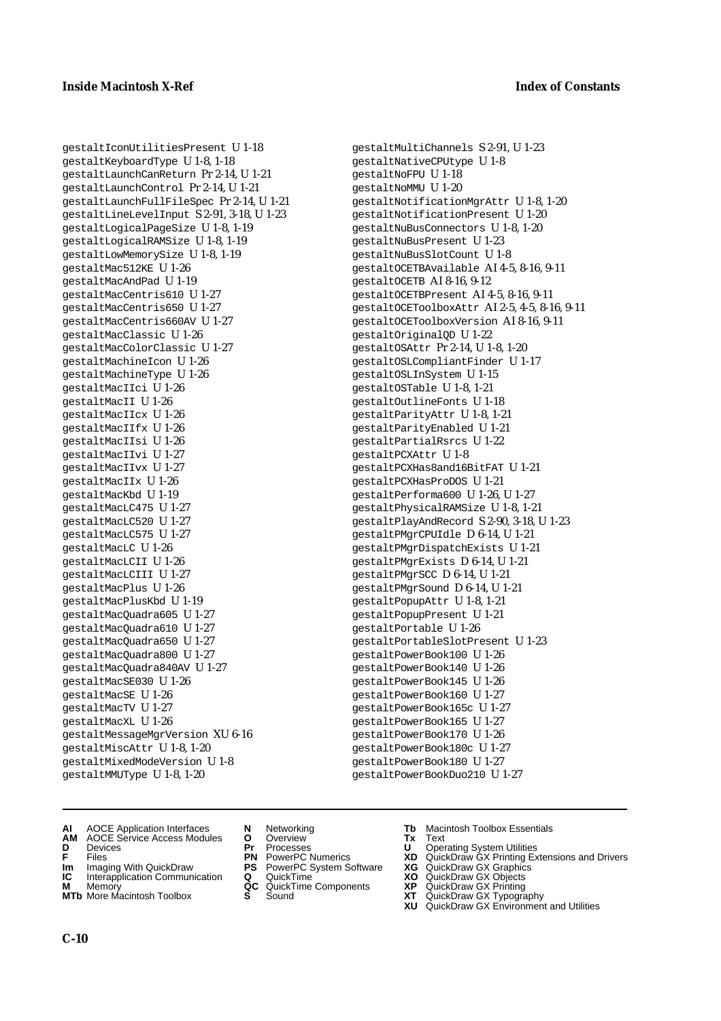gestaltIconUtilitiesPresent U 1-18 gestaltKeyboardType U 1-8, 1-18 gestaltLaunchCanReturn Pr 2-14, U 1-21 gestaltLaunchControl Pr 2-14, U 1-21 gestaltLaunchFullFileSpec Pr 2-14, U 1-21 gestaltLineLevelInput S 2-91, 3-18, U 1-23 gestaltLogicalPageSize U 1-8, 1-19 gestaltLogicalRAMSize U 1-8, 1-19 gestaltLowMemorySize U 1-8, 1-19 gestaltMac512KE U 1-26 gestaltMacAndPad U 1-19 gestaltMacCentris610 U 1-27 gestaltMacCentris650 U 1-27 gestaltMacCentris660AV U 1-27 gestaltMacClassic U 1-26 gestaltMacColorClassic U 1-27 gestaltMachineIcon U 1-26 gestaltMachineType U 1-26 gestaltMacIIci U 1-26 gestaltMacII U 1-26 gestaltMacIIcx U 1-26 gestaltMacIIfx U 1-26 gestaltMacIIsi U 1-26 gestaltMacIIvi U 1-27 gestaltMacIIvx U 1-27 gestaltMacIIx U 1-26 gestaltMacKbd U 1-19 gestaltMacLC475 U 1-27 gestaltMacLC520 U 1-27 gestaltMacLC575 U 1-27 gestaltMacLC U 1-26 gestaltMacLCII U 1-26 gestaltMacLCIII U 1-27 gestaltMacPlus U 1-26 gestaltMacPlusKbd U 1-19 gestaltMacQuadra605 U 1-27 gestaltMacQuadra610 U 1-27 gestaltMacQuadra650 U 1-27 gestaltMacQuadra800 U 1-27 gestaltMacQuadra840AV U 1-27 gestaltMacSE030 U 1-26 gestaltMacSE U 1-26 gestaltMacTV U 1-27 gestaltMacXL U 1-26 gestaltMessageMgrVersion XU 6-16 gestaltMiscAttr U 1-8, 1-20 gestaltMixedModeVersion U 1-8 gestaltMMUType U 1-8, 1-20

gestaltMultiChannels S 2-91, U 1-23 gestaltNativeCPUtype U 1-8 gestaltNoFPU U 1-18 gestaltNoMMU U 1-20 gestaltNotificationMgrAttr U 1-8, 1-20 gestaltNotificationPresent U 1-20 gestaltNuBusConnectors U 1-8, 1-20 gestaltNuBusPresent U 1-23 gestaltNuBusSlotCount U 1-8 gestaltOCETBAvailable AI 4-5, 8-16, 9-11 gestaltOCETB AI 8-16, 9-12 gestaltOCETBPresent AI 4-5, 8-16, 9-11 gestaltOCEToolboxAttr AI 2-5, 4-5, 8-16, 9-11 gestaltOCEToolboxVersion AI 8-16, 9-11 gestaltOriginalQD U 1-22 gestaltOSAttr Pr 2-14, U 1-8, 1-20 gestaltOSLCompliantFinder U 1-17 gestaltOSLInSystem U 1-15 gestaltOSTable U 1-8, 1-21 gestaltOutlineFonts U 1-18 gestaltParityAttr U 1-8, 1-21 gestaltParityEnabled U 1-21 gestaltPartialRsrcs U 1-22 gestaltPCXAttr U 1-8 gestaltPCXHas8and16BitFAT U 1-21 gestaltPCXHasProDOS U 1-21 gestaltPerforma600 U 1-26, U 1-27 gestaltPhysicalRAMSize U 1-8, 1-21 gestaltPlayAndRecord S 2-90, 3-18, U 1-23 gestaltPMgrCPUIdle D 6-14, U 1-21 gestaltPMgrDispatchExists U 1-21 gestaltPMgrExists D 6-14, U 1-21 gestaltPMgrSCC D 6-14, U 1-21 gestaltPMgrSound D 6-14, U 1-21 gestaltPopupAttr U 1-8, 1-21 gestaltPopupPresent U 1-21 gestaltPortable U 1-26 gestaltPortableSlotPresent U 1-23 gestaltPowerBook100 U 1-26 gestaltPowerBook140 U 1-26 gestaltPowerBook145 U 1-26 gestaltPowerBook160 U 1-27 gestaltPowerBook165c U 1-27 gestaltPowerBook165 U 1-27 gestaltPowerBook170 U 1-26 gestaltPowerBook180c U 1-27 gestaltPowerBook180 U 1-27 gestaltPowerBookDuo210 U 1-27

- **AI** AOCE Application Interfaces **N** Networking **Tb** Macintosh Toolbox Essentials<br> **AM** AOCE Service Access Modules **O** Overview **Tx** Text<br> **D** Devices **Pr** Processes **U** Operating System Utilities
- AOCE Service Access Modules **O** Overview **Tx** Text<br>Devices Modules **Pr** Processes **U** Oper
- 
- 
- **Im** Imaging With QuickDraw **PS** PowerPC System Software<br> **IC** Interapplication Communication **Q** QuickTime<br> **M** Memory **GC** QuickTime Components
- 
- **MTb** More Macintosh Toolbox **S** Sound **XT** QuickDraw GX Typography
- 
- **D** Devices **Pr** Processes **U** Operating System Utilities
	-
	-
	-
	-
- 
- 
- **F** Files **PN** PowerPC Numerics **XD** QuickDraw GX Printing Extensions and Drivers
- **Im** Imaging With QuickDraw **PS** PowerPC System Software **XG** QuickDraw GX Graphics
	-
- **M** Memory **QC** QuickTime Components **XP** QuickDraw GX Printing
	-
	- **XU** QuickDraw GX Environment and Utilities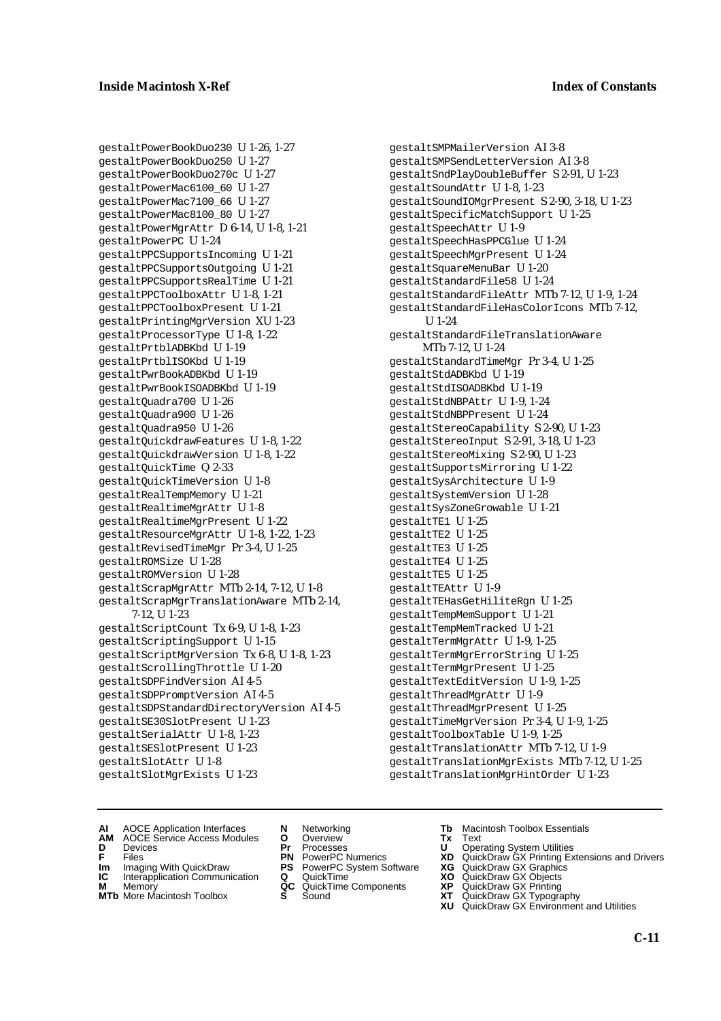gestaltPowerBookDuo230 U 1-26, 1-27 gestaltPowerBookDuo250 U 1-27 gestaltPowerBookDuo270c U 1-27 gestaltPowerMac6100\_60 U 1-27 gestaltPowerMac7100\_66 U 1-27 gestaltPowerMac8100\_80 U 1-27 gestaltPowerMgrAttr D 6-14, U 1-8, 1-21 gestaltPowerPC U 1-24 gestaltPPCSupportsIncoming U 1-21 gestaltPPCSupportsOutgoing U 1-21 gestaltPPCSupportsRealTime U 1-21 gestaltPPCToolboxAttr U 1-8, 1-21 gestaltPPCToolboxPresent U 1-21 gestaltPrintingMgrVersion XU 1-23 gestaltProcessorType U 1-8, 1-22 gestaltPrtblADBKbd U 1-19 gestaltPrtblISOKbd U 1-19 gestaltPwrBookADBKbd U 1-19 gestaltPwrBookISOADBKbd U 1-19 gestaltQuadra700 U 1-26 gestaltQuadra900 U 1-26 gestaltQuadra950 U 1-26 gestaltQuickdrawFeatures U 1-8, 1-22 gestaltQuickdrawVersion U 1-8, 1-22 gestaltQuickTime Q 2-33 gestaltQuickTimeVersion U 1-8 gestaltRealTempMemory U 1-21 gestaltRealtimeMgrAttr U 1-8 gestaltRealtimeMgrPresent U 1-22 gestaltResourceMgrAttr U 1-8, 1-22, 1-23 gestaltRevisedTimeMgr Pr 3-4, U 1-25 gestaltROMSize U 1-28 gestaltROMVersion U 1-28 gestaltScrapMgrAttr MTb 2-14, 7-12, U 1-8 gestaltScrapMgrTranslationAware MTb 2-14, 7-12, U 1-23 gestaltScriptCount Tx 6-9, U 1-8, 1-23 gestaltScriptingSupport U 1-15 gestaltScriptMgrVersion Tx 6-8, U 1-8, 1-23 gestaltScrollingThrottle U 1-20 gestaltSDPFindVersion AI 4-5 gestaltSDPPromptVersion AI 4-5 gestaltSDPStandardDirectoryVersion AI 4-5 gestaltSE30SlotPresent U 1-23 gestaltSerialAttr U 1-8, 1-23 gestaltSESlotPresent U 1-23 gestaltSlotAttr U 1-8 gestaltSlotMgrExists U 1-23

gestaltSMPMailerVersion AI 3-8 gestaltSMPSendLetterVersion AI 3-8 gestaltSndPlayDoubleBuffer S 2-91, U 1-23 gestaltSoundAttr U 1-8, 1-23 gestaltSoundIOMgrPresent S 2-90, 3-18, U 1-23 gestaltSpecificMatchSupport U 1-25 gestaltSpeechAttr U 1-9 gestaltSpeechHasPPCGlue U 1-24 gestaltSpeechMgrPresent U 1-24 gestaltSquareMenuBar U 1-20 gestaltStandardFile58 U 1-24 gestaltStandardFileAttr MTb 7-12, U 1-9, 1-24 gestaltStandardFileHasColorIcons MTb 7-12, U 1-24 gestaltStandardFileTranslationAware MTb 7-12, U 1-24 gestaltStandardTimeMgr Pr 3-4, U 1-25 gestaltStdADBKbd U 1-19 gestaltStdISOADBKbd U 1-19 gestaltStdNBPAttr U 1-9, 1-24 gestaltStdNBPPresent U 1-24 gestaltStereoCapability S 2-90, U 1-23 gestaltStereoInput S 2-91, 3-18, U 1-23 gestaltStereoMixing S 2-90, U 1-23 gestaltSupportsMirroring U 1-22 gestaltSysArchitecture U 1-9 gestaltSystemVersion U 1-28 gestaltSysZoneGrowable U 1-21 gestaltTE1 U 1-25 gestaltTE2 U 1-25 gestaltTE3 U 1-25 gestaltTE4 U 1-25 gestaltTE5 U 1-25 gestaltTEAttr U 1-9 gestaltTEHasGetHiliteRgn U 1-25 gestaltTempMemSupport U 1-21 gestaltTempMemTracked U 1-21 gestaltTermMgrAttr U 1-9, 1-25 gestaltTermMgrErrorString U 1-25 gestaltTermMgrPresent U 1-25 gestaltTextEditVersion U 1-9, 1-25 gestaltThreadMgrAttr U 1-9 gestaltThreadMgrPresent U 1-25 gestaltTimeMgrVersion Pr 3-4, U 1-9, 1-25 gestaltToolboxTable U 1-9, 1-25 gestaltTranslationAttr MTb 7-12, U 1-9 gestaltTranslationMgrExists MTb 7-12, U 1-25 gestaltTranslationMgrHintOrder U 1-23

- **AI** AOCE Application Interfaces **N** Networking **Tb** Macintosh Toolbox Essentials
- **AM** AOCE Service Access Modules **O** Overview **Tx** Text
- 
- 
- **Im** Files<br> **Im** Imaging With QuickDraw **PS** PowerPC System Software **XG**<br> **IC** Interapplication Communication **Q** QuickTime **XO IC** Interapplication Communication **Q** QuickTime **XO M** Memory **XO QC** QuickTime Components **XP**
- **M** Memory **CONSISTENT COMPONENT MEMORY MEMORY MEMORY AND MEMORY OF A VIDEO MEMORY CONSISTENT CONSISTENT CONSISTENT CONSISTENT CONSISTENT CONSISTENT CONSISTENT CONSISTENT CONSISTENT CONSISTENT CONSISTENT CONSISTENT CONSIST**
- **MTb** More Macintosh Toolbox **S** Sound **XT** QuickDraw GX Typography
- 
- **D** Devices **Pr** Processes **U** Operating System Utilities
	-
	-
	-
	-
- 
- 
- **F** Files **PN** PowerPC Numerics **XD** QuickDraw GX Printing Extensions and Drivers
	-
	-
	-
	-
	- **XU** QuickDraw GX Environment and Utilities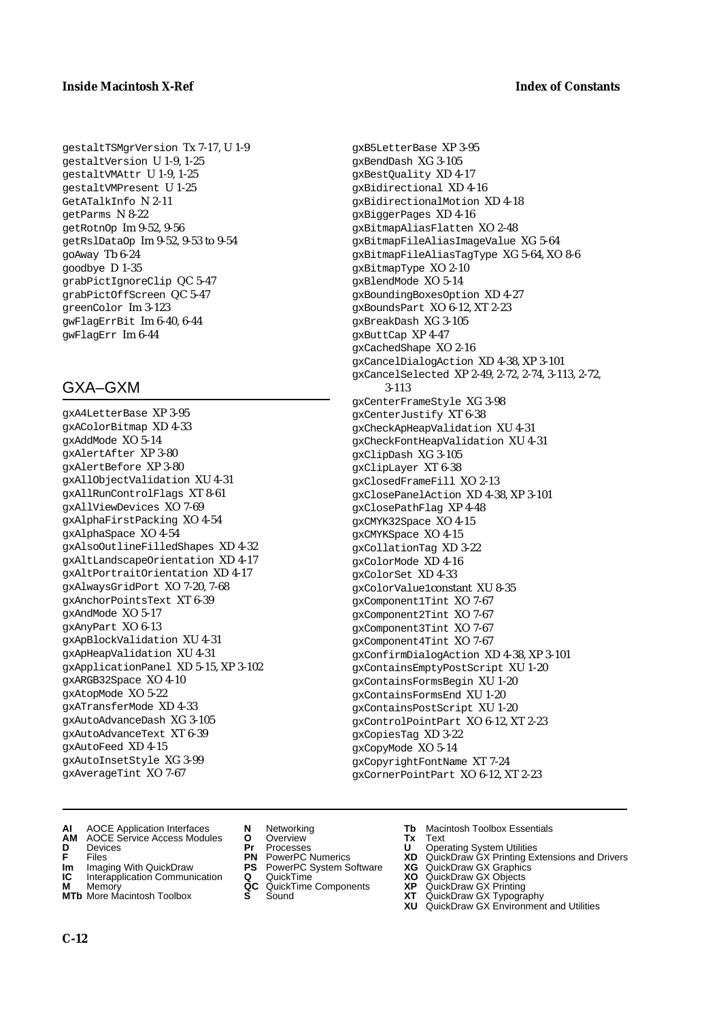#### **Inside Macintosh X-Ref** Index of Constants

gestaltTSMgrVersion Tx 7-17, U 1-9 gestaltVersion U 1-9, 1-25 gestaltVMAttr U 1-9, 1-25 gestaltVMPresent U 1-25 GetATalkInfo N 2-11 getParms N 8-22 getRotnOp Im 9-52, 9-56 getRslDataOp Im 9-52, 9-53 to 9-54 goAway Tb 6-24 goodbye D 1-35 grabPictIgnoreClip QC 5-47 grabPictOffScreen QC 5-47 greenColor Im 3-123 gwFlagErrBit Im 6-40, 6-44 gwFlagErr Im 6-44

## GXA–GXM

gxA4LetterBase XP 3-95 gxAColorBitmap XD 4-33 gxAddMode XO 5-14 gxAlertAfter XP 3-80 gxAlertBefore XP 3-80 gxAllObjectValidation XU 4-31 gxAllRunControlFlags XT 8-61 gxAllViewDevices XO 7-69 gxAlphaFirstPacking XO 4-54 gxAlphaSpace XO 4-54 gxAlsoOutlineFilledShapes XD 4-32 gxAltLandscapeOrientation XD 4-17 gxAltPortraitOrientation XD 4-17 gxAlwaysGridPort XO 7-20, 7-68 gxAnchorPointsText XT 6-39 gxAndMode XO 5-17 gxAnyPart XO 6-13 gxApBlockValidation XU 4-31 gxApHeapValidation XU 4-31 gxApplicationPanel XD 5-15, XP 3-102 gxARGB32Space XO 4-10 gxAtopMode XO 5-22 gxATransferMode XD 4-33 gxAutoAdvanceDash XG 3-105 gxAutoAdvanceText XT 6-39 gxAutoFeed XD 4-15 gxAutoInsetStyle XG 3-99 gxAverageTint XO 7-67

gxB5LetterBase XP 3-95 gxBendDash XG 3-105 gxBestQuality XD 4-17 gxBidirectional XD 4-16 gxBidirectionalMotion XD 4-18 gxBiggerPages XD 4-16 gxBitmapAliasFlatten XO 2-48 gxBitmapFileAliasImageValue XG 5-64 gxBitmapFileAliasTagType XG 5-64, XO 8-6 gxBitmapType XO 2-10 gxBlendMode XO 5-14 gxBoundingBoxesOption XD 4-27 gxBoundsPart XO 6-12, XT 2-23 gxBreakDash XG 3-105 gxButtCap XP 4-47 gxCachedShape XO 2-16 gxCancelDialogAction XD 4-38, XP 3-101 gxCancelSelected XP 2-49, 2-72, 2-74, 3-113, 2-72, 3-113 gxCenterFrameStyle XG 3-98 gxCenterJustify XT 6-38 gxCheckApHeapValidation XU 4-31 gxCheckFontHeapValidation XU 4-31 gxClipDash XG 3-105 gxClipLayer XT 6-38 gxClosedFrameFill XO 2-13 gxClosePanelAction XD 4-38, XP 3-101 gxClosePathFlag XP 4-48 gxCMYK32Space XO 4-15 gxCMYKSpace XO 4-15 gxCollationTag XD 3-22 gxColorMode XD 4-16 gxColorSet XD 4-33 gxColorValue1constant XU 8-35 gxComponent1Tint XO 7-67 gxComponent2Tint XO 7-67 gxComponent3Tint XO 7-67 gxComponent4Tint XO 7-67 gxConfirmDialogAction XD 4-38, XP 3-101 gxContainsEmptyPostScript XU 1-20 gxContainsFormsBegin XU 1-20 gxContainsFormsEnd XU 1-20 gxContainsPostScript XU 1-20 gxControlPointPart XO 6-12, XT 2-23 gxCopiesTag XD 3-22 gxCopyMode XO 5-14 gxCopyrightFontName XT 7-24 gxCornerPointPart XO 6-12, XT 2-23

- **AI** AOCE Application Interfaces **N** Networking **Tb** Macintosh Toolbox Essentials
- **AM** AOCE Service Access Modules **O** Overview **Tx** Text
- 
- 
- **Im** Imaging With QuickDraw **PS** PowerPC System Software<br> **IC** Interapplication Communication **Q** QuickTime<br> **M** Memorv **GC** QuickTime Components
- **M** Memory **Manual Components QC** QuickTime Components **MTb** More Macintosh Toolbox **S** Sound
- **MTb** More Macintosh Toolbox **S** Sound **XT** QuickDraw GX Typography
- 
- **D** Devices **Pr** Processes **U** Operating System Utilities
	-
- **Im** Imaging With QuickDraw **PS** PowerPC System Software **XG** QuickDraw GX Graphics
	-
	-
- 
- 
- **F** Files **PN** PowerPC Numerics **XD** QuickDraw GX Printing Extensions and Drivers
	-
	-
	-
	- **XU** QuickDraw GX Environment and Utilities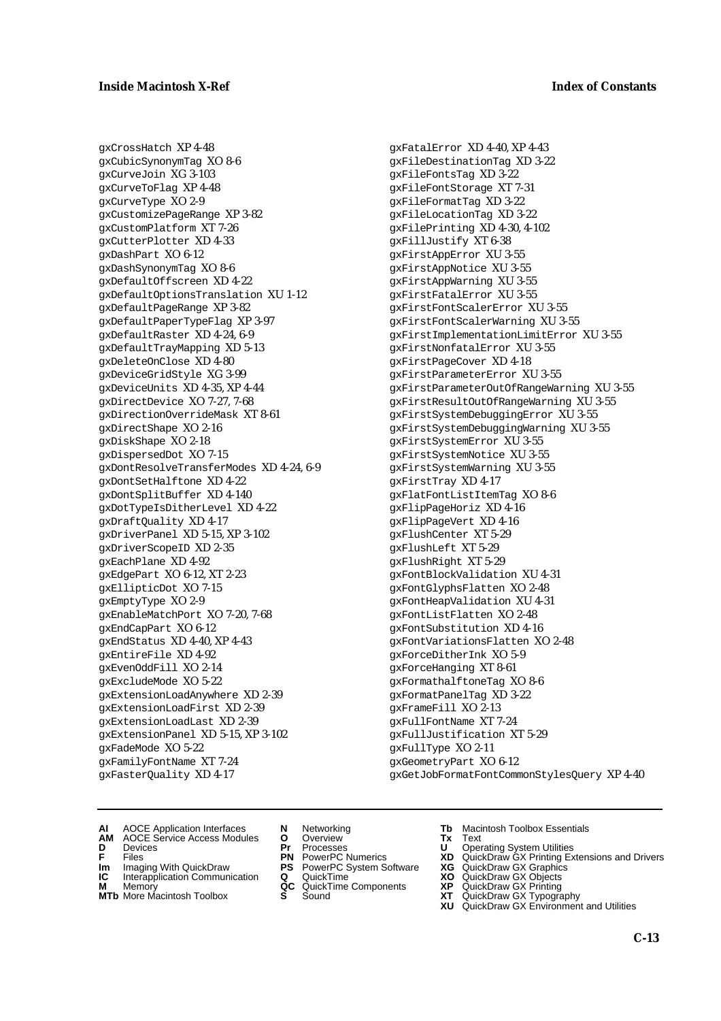gxCrossHatch XP 4-48 gxCubicSynonymTag XO 8-6 gxCurveJoin XG 3-103 gxCurveToFlag XP 4-48 gxCurveType XO 2-9 gxCustomizePageRange XP 3-82 gxCustomPlatform XT 7-26 gxCutterPlotter XD 4-33 gxDashPart XO 6-12 gxDashSynonymTag XO 8-6 gxDefaultOffscreen XD 4-22 gxDefaultOptionsTranslation XU 1-12 gxDefaultPageRange XP 3-82 gxDefaultPaperTypeFlag XP 3-97 gxDefaultRaster XD 4-24, 6-9 gxDefaultTrayMapping XD 5-13 gxDeleteOnClose XD 4-80 gxDeviceGridStyle XG 3-99 gxDeviceUnits XD 4-35, XP 4-44 gxDirectDevice XO 7-27, 7-68 gxDirectionOverrideMask XT 8-61 gxDirectShape XO 2-16 gxDiskShape XO 2-18 gxDispersedDot XO 7-15 gxDontResolveTransferModes XD 4-24, 6-9 gxDontSetHalftone XD 4-22 gxDontSplitBuffer XD 4-140 gxDotTypeIsDitherLevel XD 4-22 gxDraftQuality XD 4-17 gxDriverPanel XD 5-15, XP 3-102 gxDriverScopeID XD 2-35 gxEachPlane XD 4-92 gxEdgePart XO 6-12, XT 2-23 gxEllipticDot XO 7-15 gxEmptyType XO 2-9 gxEnableMatchPort XO 7-20, 7-68 gxEndCapPart XO 6-12 gxEndStatus XD 4-40, XP 4-43 gxEntireFile XD 4-92 gxEvenOddFill XO 2-14 gxExcludeMode XO 5-22 gxExtensionLoadAnywhere XD 2-39 gxExtensionLoadFirst XD 2-39 gxExtensionLoadLast XD 2-39 gxExtensionPanel XD 5-15, XP 3-102 gxFadeMode XO 5-22 gxFamilyFontName XT 7-24 gxFasterQuality XD 4-17

gxFatalError XD 4-40, XP 4-43 gxFileDestinationTag XD 3-22 gxFileFontsTag XD 3-22 gxFileFontStorage XT 7-31 gxFileFormatTag XD 3-22 gxFileLocationTag XD 3-22 gxFilePrinting XD 4-30, 4-102 gxFillJustify XT 6-38 gxFirstAppError XU 3-55 gxFirstAppNotice XU 3-55 gxFirstAppWarning XU 3-55 gxFirstFatalError XU 3-55 gxFirstFontScalerError XU 3-55 gxFirstFontScalerWarning XU 3-55 gxFirstImplementationLimitError XU 3-55 gxFirstNonfatalError XU 3-55 gxFirstPageCover XD 4-18 gxFirstParameterError XU 3-55 gxFirstParameterOutOfRangeWarning XU 3-55 gxFirstResultOutOfRangeWarning XU 3-55 gxFirstSystemDebuggingError XU 3-55 gxFirstSystemDebuggingWarning XU 3-55 gxFirstSystemError XU 3-55 gxFirstSystemNotice XU 3-55 gxFirstSystemWarning XU 3-55 gxFirstTray XD 4-17 gxFlatFontListItemTag XO 8-6 gxFlipPageHoriz XD 4-16 gxFlipPageVert XD 4-16 gxFlushCenter XT 5-29 gxFlushLeft XT 5-29 gxFlushRight XT 5-29 gxFontBlockValidation XU 4-31 gxFontGlyphsFlatten XO 2-48 gxFontHeapValidation XU 4-31 gxFontListFlatten XO 2-48 gxFontSubstitution XD 4-16 gxFontVariationsFlatten XO 2-48 gxForceDitherInk XO 5-9 gxForceHanging XT 8-61 gxFormathalftoneTag XO 8-6 gxFormatPanelTag XD 3-22 gxFrameFill XO 2-13 gxFullFontName XT 7-24 gxFullJustification XT 5-29 gxFullType XO 2-11 gxGeometryPart XO 6-12 gxGetJobFormatFontCommonStylesQuery XP 4-40

- **AI** AOCE Application Interfaces **N** Networking **Tb** Macintosh Toolbox Essentials
- **AM** AOCE Service Access Modules **O** Overview **Tx** Text
- 
- **Im** Files<br> **Im** Imaging With QuickDraw **PS** PowerPC System Software **XG**<br> **IC** Interapplication Communication **Q** QuickTime **XO**
- **IC** Interapplication Communication **Q** QuickTime **XO M** Memory **XO QC** QuickTime Components **XP**
- **M** Memory **CONSISTENT COMPONENT MEMORY MEMORY MEMORY AND MEMORY OF A VIDEO MEMORY CONSISTENT CONSISTENT CONSISTENT CONSISTENT CONSISTENT CONSISTENT CONSISTENT CONSISTENT CONSISTENT CONSISTENT CONSISTENT CONSISTENT CONSIST**
- 
- 
- **D** Devices **Pr** Processes **U** Operating System Utilities
	-
	-
	-
	-
- 
- 
- **F** Files **PN** PowerPC Numerics **XD** QuickDraw GX Printing Extensions and Drivers
	-
	-
	-
- **MTb** More Macintosh Toolbox **S** Sound **XT** QuickDraw GX Typography
	- **XU** QuickDraw GX Environment and Utilities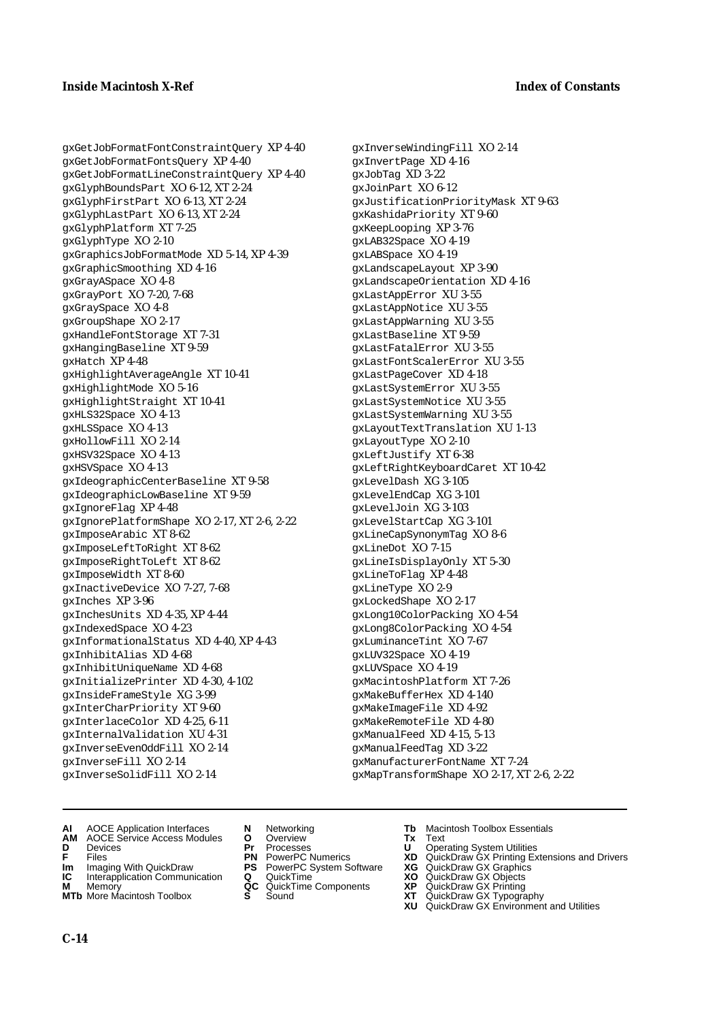gxGetJobFormatFontConstraintQuery XP 4-40 gxGetJobFormatFontsQuery XP 4-40 gxGetJobFormatLineConstraintQuery XP 4-40 gxGlyphBoundsPart XO 6-12, XT 2-24 gxGlyphFirstPart XO 6-13, XT 2-24 gxGlyphLastPart XO 6-13, XT 2-24 gxGlyphPlatform XT 7-25 gxGlyphType XO 2-10 gxGraphicsJobFormatMode XD 5-14, XP 4-39 gxGraphicSmoothing XD 4-16 gxGrayASpace XO 4-8 gxGrayPort XO 7-20, 7-68 gxGraySpace XO 4-8 gxGroupShape XO 2-17 gxHandleFontStorage XT 7-31 gxHangingBaseline XT 9-59 gxHatch XP 4-48 gxHighlightAverageAngle XT 10-41 gxHighlightMode XO 5-16 gxHighlightStraight XT 10-41 gxHLS32Space XO 4-13 gxHLSSpace XO 4-13 gxHollowFill XO 2-14 gxHSV32Space XO 4-13 gxHSVSpace XO 4-13 gxIdeographicCenterBaseline XT 9-58 gxIdeographicLowBaseline XT 9-59 gxIgnoreFlag XP 4-48 gxIgnorePlatformShape XO 2-17, XT 2-6, 2-22 gxImposeArabic XT 8-62 gxImposeLeftToRight XT 8-62 gxImposeRightToLeft XT 8-62 gxImposeWidth XT 8-60 gxInactiveDevice XO 7-27, 7-68 gxInches XP 3-96 gxInchesUnits XD 4-35, XP 4-44 gxIndexedSpace XO 4-23 gxInformationalStatus XD 4-40, XP 4-43 gxInhibitAlias XD 4-68 gxInhibitUniqueName XD 4-68 gxInitializePrinter XD 4-30, 4-102 gxInsideFrameStyle XG 3-99 gxInterCharPriority XT 9-60 gxInterlaceColor XD 4-25, 6-11 gxInternalValidation XU 4-31 gxInverseEvenOddFill XO 2-14 gxInverseFill XO 2-14 gxInverseSolidFill XO 2-14

gxInverseWindingFill XO 2-14 gxInvertPage XD 4-16 gxJobTag XD 3-22 gxJoinPart XO 6-12 gxJustificationPriorityMask XT 9-63 gxKashidaPriority XT 9-60 gxKeepLooping XP 3-76 gxLAB32Space XO 4-19 gxLABSpace XO 4-19 gxLandscapeLayout XP 3-90 gxLandscapeOrientation XD 4-16 gxLastAppError XU 3-55 gxLastAppNotice XU 3-55 gxLastAppWarning XU 3-55 gxLastBaseline XT 9-59 gxLastFatalError XU 3-55 gxLastFontScalerError XU 3-55 gxLastPageCover XD 4-18 gxLastSystemError XU 3-55 gxLastSystemNotice XU 3-55 gxLastSystemWarning XU 3-55 gxLayoutTextTranslation XU 1-13 gxLayoutType XO 2-10 gxLeftJustify XT 6-38 gxLeftRightKeyboardCaret XT 10-42 gxLevelDash XG 3-105 gxLevelEndCap XG 3-101 gxLevelJoin XG 3-103 gxLevelStartCap XG 3-101 gxLineCapSynonymTag XO 8-6 gxLineDot XO 7-15 gxLineIsDisplayOnly XT 5-30 gxLineToFlag XP 4-48 gxLineType XO 2-9 gxLockedShape XO 2-17 gxLong10ColorPacking XO 4-54 gxLong8ColorPacking XO 4-54 gxLuminanceTint XO 7-67 gxLUV32Space XO 4-19 gxLUVSpace XO 4-19 gxMacintoshPlatform XT 7-26 gxMakeBufferHex XD 4-140 gxMakeImageFile XD 4-92 gxMakeRemoteFile XD 4-80 gxManualFeed XD 4-15, 5-13 gxManualFeedTag XD 3-22 gxManufacturerFontName XT 7-24 gxMapTransformShape XO 2-17, XT 2-6, 2-22

- **AI** AOCE Application Interfaces **N** Networking **Tb** Macintosh Toolbox Essentials
- **AM** AOCE Service Access Modules **O** Overview **Tx** Text
- 
- 
- **Im** Imaging With QuickDraw **PS** PowerPC System Software<br> **IC** Interapplication Communication **Q** QuickTime<br> **M** Memorv **GC** QuickTime Components
- 
- **M** Memory **Markt Communication**<br> **M** Memory **QC** QuickTime Components<br> **MTb** More Macintosh Toolbox **S** Sound **MTb** More Macintosh Toolbox **S** Sound **XT** QuickDraw GX Typography
- 
- **D** Devices **Pr** Processes **U** Operating System Utilities
	-
	-
	-
	-
- 
- 
- **F** Files **PN** PowerPC Numerics **XD** QuickDraw GX Printing Extensions and Drivers
- **Im** Imaging With QuickDraw **PS** PowerPC System Software **XG** QuickDraw GX Graphics
	-
	-
	-
	- **XU** QuickDraw GX Environment and Utilities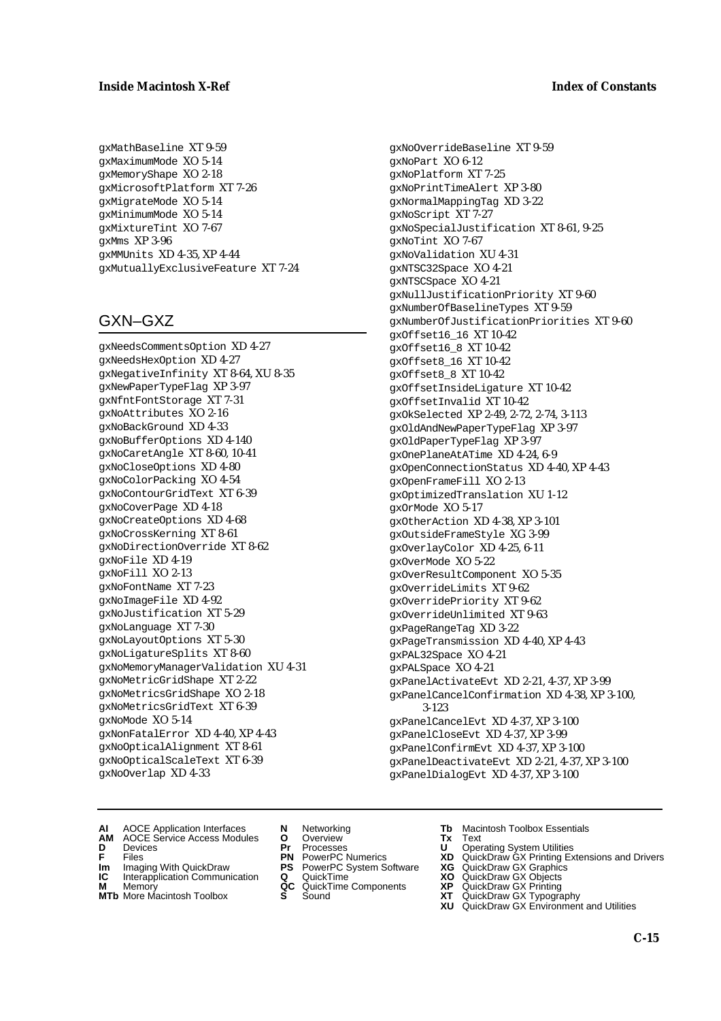### **Inside Macintosh X-Ref Index of Constants**

gxMathBaseline XT 9-59 gxMaximumMode XO 5-14 gxMemoryShape XO 2-18 gxMicrosoftPlatform XT 7-26 gxMigrateMode XO 5-14 gxMinimumMode XO 5-14 gxMixtureTint XO 7-67 gxMms XP 3-96 gxMMUnits XD 4-35, XP 4-44 gxMutuallyExclusiveFeature XT 7-24

## GXN–GXZ

gxNeedsCommentsOption XD 4-27 gxNeedsHexOption XD 4-27 gxNegativeInfinity XT 8-64, XU 8-35 gxNewPaperTypeFlag XP 3-97 gxNfntFontStorage XT 7-31 gxNoAttributes XO 2-16 gxNoBackGround XD 4-33 gxNoBufferOptions XD 4-140 gxNoCaretAngle XT 8-60, 10-41 gxNoCloseOptions XD 4-80 gxNoColorPacking XO 4-54 gxNoContourGridText XT 6-39 gxNoCoverPage XD 4-18 gxNoCreateOptions XD 4-68 gxNoCrossKerning XT 8-61 gxNoDirectionOverride XT 8-62 gxNoFile XD 4-19 gxNoFill XO 2-13 gxNoFontName XT 7-23 gxNoImageFile XD 4-92 gxNoJustification XT 5-29 gxNoLanguage XT 7-30 gxNoLayoutOptions XT 5-30 gxNoLigatureSplits XT 8-60 gxNoMemoryManagerValidation XU 4-31 gxNoMetricGridShape XT 2-22 gxNoMetricsGridShape XO 2-18 gxNoMetricsGridText XT 6-39 gxNoMode XO 5-14 gxNonFatalError XD 4-40, XP 4-43 gxNoOpticalAlignment XT 8-61 gxNoOpticalScaleText XT 6-39 gxNoOverlap XD 4-33

## gxNoOverrideBaseline XT 9-59 gxNoPart XO 6-12 gxNoPlatform XT 7-25

gxNoPrintTimeAlert XP 3-80 gxNormalMappingTag XD 3-22 gxNoScript XT 7-27 gxNoSpecialJustification XT 8-61, 9-25 gxNoTint XO 7-67 gxNoValidation XU 4-31 gxNTSC32Space XO 4-21 gxNTSCSpace XO 4-21 gxNullJustificationPriority XT 9-60 gxNumberOfBaselineTypes XT 9-59 gxNumberOfJustificationPriorities XT 9-60 gxOffset16\_16 XT 10-42 gxOffset16\_8 XT 10-42 gxOffset8\_16 XT 10-42 gxOffset8\_8 XT 10-42 gxOffsetInsideLigature XT 10-42 gxOffsetInvalid XT 10-42 gxOkSelected XP 2-49, 2-72, 2-74, 3-113 gxOldAndNewPaperTypeFlag XP 3-97 gxOldPaperTypeFlag XP 3-97 gxOnePlaneAtATime XD 4-24, 6-9 gxOpenConnectionStatus XD 4-40, XP 4-43 gxOpenFrameFill XO 2-13 gxOptimizedTranslation XU 1-12 gxOrMode XO 5-17 gxOtherAction XD 4-38, XP 3-101 gxOutsideFrameStyle XG 3-99 gxOverlayColor XD 4-25, 6-11 gxOverMode XO 5-22 gxOverResultComponent XO 5-35 gxOverrideLimits XT 9-62 gxOverridePriority XT 9-62 gxOverrideUnlimited XT 9-63 gxPageRangeTag XD 3-22 gxPageTransmission XD 4-40, XP 4-43 gxPAL32Space XO 4-21 gxPALSpace XO 4-21 gxPanelActivateEvt XD 2-21, 4-37, XP 3-99 gxPanelCancelConfirmation XD 4-38, XP 3-100, 3-123 gxPanelCancelEvt XD 4-37, XP 3-100 gxPanelCloseEvt XD 4-37, XP 3-99 gxPanelConfirmEvt XD 4-37, XP 3-100 gxPanelDeactivateEvt XD 2-21, 4-37, XP 3-100 gxPanelDialogEvt XD 4-37, XP 3-100

- **AI** AOCE Application Interfaces **N** Networking **Tb** Macintosh Toolbox Essentials
- **AM** AOCE Service Access Modules **O** Overview **Tx** Text
- 
- 
- **Im** Files<br> **Im** Imaging With QuickDraw **PS** PowerPC System Software **XG**<br> **IC** Interapplication Communication **Q** QuickTime **XO IC** Interapplication Communication **Q** QuickTime **XO M** Memory **XP QC** QuickTime Components **XP**
- **M** Memory **CC** QuickTime Components **XP**<br> **MTb** More Macintosh Toolbox **S** Sound **XT**
- 
- 
- **D** Devices **Pr** Processes **U** Operating System Utilities
	-
	-
	-
	-
- 
- 
- **F** Files **PN** PowerPC Numerics **XD** QuickDraw GX Printing Extensions and Drivers
	-
	-
	-
- **MTb** More Macintosh Toolbox **S** Sound **XT** QuickDraw GX Typography
	- **XU** QuickDraw GX Environment and Utilities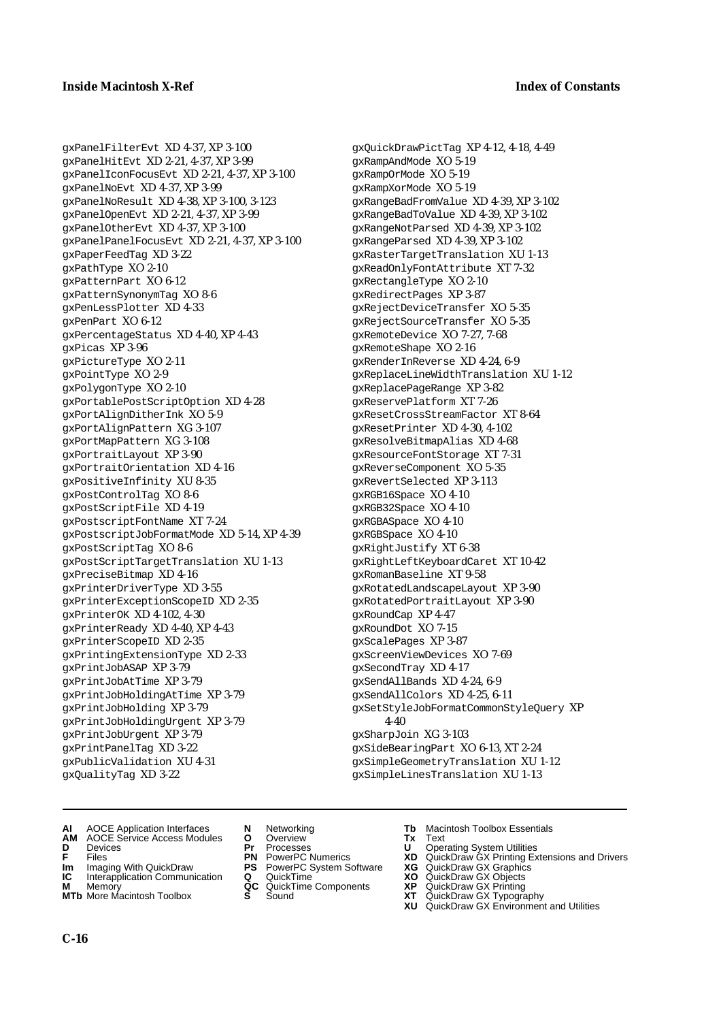gxPanelFilterEvt XD 4-37, XP 3-100 gxPanelHitEvt XD 2-21, 4-37, XP 3-99 gxPanelIconFocusEvt XD 2-21, 4-37, XP 3-100 gxPanelNoEvt XD 4-37, XP 3-99 gxPanelNoResult XD 4-38, XP 3-100, 3-123 gxPanelOpenEvt XD 2-21, 4-37, XP 3-99 gxPanelOtherEvt XD 4-37, XP 3-100 gxPanelPanelFocusEvt XD 2-21, 4-37, XP 3-100 gxPaperFeedTag XD 3-22 gxPathType XO 2-10 gxPatternPart XO 6-12 gxPatternSynonymTag XO 8-6 gxPenLessPlotter XD 4-33 gxPenPart XO 6-12 gxPercentageStatus XD 4-40, XP 4-43 gxPicas XP 3-96 gxPictureType XO 2-11 gxPointType XO 2-9 gxPolygonType XO 2-10 gxPortablePostScriptOption XD 4-28 gxPortAlignDitherInk XO 5-9 gxPortAlignPattern XG 3-107 gxPortMapPattern XG 3-108 gxPortraitLayout XP 3-90 gxPortraitOrientation XD 4-16 gxPositiveInfinity XU 8-35 gxPostControlTag XO 8-6 gxPostScriptFile XD 4-19 gxPostscriptFontName XT 7-24 gxPostscriptJobFormatMode XD 5-14, XP 4-39 gxPostScriptTag XO 8-6 gxPostScriptTargetTranslation XU 1-13 gxPreciseBitmap XD 4-16 gxPrinterDriverType XD 3-55 gxPrinterExceptionScopeID XD 2-35 gxPrinterOK XD 4-102, 4-30 gxPrinterReady XD 4-40, XP 4-43 gxPrinterScopeID XD 2-35 gxPrintingExtensionType XD 2-33 gxPrintJobASAP XP 3-79 gxPrintJobAtTime XP 3-79 gxPrintJobHoldingAtTime XP 3-79 gxPrintJobHolding XP 3-79 gxPrintJobHoldingUrgent XP 3-79 gxPrintJobUrgent XP 3-79 gxPrintPanelTag XD 3-22 gxPublicValidation XU 4-31 gxQualityTag XD 3-22

gxQuickDrawPictTag XP 4-12, 4-18, 4-49 gxRampAndMode XO 5-19 gxRampOrMode XO 5-19 gxRampXorMode XO 5-19 gxRangeBadFromValue XD 4-39, XP 3-102 gxRangeBadToValue XD 4-39, XP 3-102 gxRangeNotParsed XD 4-39, XP 3-102 gxRangeParsed XD 4-39, XP 3-102 gxRasterTargetTranslation XU 1-13 gxReadOnlyFontAttribute XT 7-32 gxRectangleType XO 2-10 gxRedirectPages XP 3-87 gxRejectDeviceTransfer XO 5-35 gxRejectSourceTransfer XO 5-35 gxRemoteDevice XO 7-27, 7-68 gxRemoteShape XO 2-16 gxRenderInReverse XD 4-24, 6-9 gxReplaceLineWidthTranslation XU 1-12 gxReplacePageRange XP 3-82 gxReservePlatform XT 7-26 gxResetCrossStreamFactor XT 8-64 gxResetPrinter XD 4-30, 4-102 gxResolveBitmapAlias XD 4-68 gxResourceFontStorage XT 7-31 gxReverseComponent XO 5-35 gxRevertSelected XP 3-113 gxRGB16Space XO 4-10 gxRGB32Space XO 4-10 gxRGBASpace XO 4-10 gxRGBSpace XO 4-10 gxRightJustify XT 6-38 gxRightLeftKeyboardCaret XT 10-42 gxRomanBaseline XT 9-58 gxRotatedLandscapeLayout XP 3-90 gxRotatedPortraitLayout XP 3-90 gxRoundCap XP 4-47 gxRoundDot XO 7-15 gxScalePages XP 3-87 gxScreenViewDevices XO 7-69 gxSecondTray XD 4-17 gxSendAllBands XD 4-24, 6-9 gxSendAllColors XD 4-25, 6-11 gxSetStyleJobFormatCommonStyleQuery XP 4-40 gxSharpJoin XG 3-103 gxSideBearingPart XO 6-13, XT 2-24 gxSimpleGeometryTranslation XU 1-12 gxSimpleLinesTranslation XU 1-13

- **AI** AOCE Application Interfaces **N** Networking **Tb** Macintosh Toolbox Essentials
- **AM** AOCE Service Access Modules **O** Overview **Tx** Text
- 
- 
- **Im** Imaging With QuickDraw **PS** PowerPC System Software<br> **IC** Interapplication Communication **Q** QuickTime<br> **M** Memorv **GC** QuickTime Components
- **M** Memory **Manual Components QC** QuickTime Components **MTb** More Macintosh Toolbox **S** Sound
- **MTb** More Macintosh Toolbox **S** Sound **XT** QuickDraw GX Typography
- 
- **D** Devices **Pr** Processes **U** Operating System Utilities
	-
	-
	-
	-
- 
- 
- **F** Files **PN** PowerPC Numerics **XD** QuickDraw GX Printing Extensions and Drivers
- **Im** Imaging With QuickDraw **PS** PowerPC System Software **XG** QuickDraw GX Graphics
	-
	-
	-
	- **XU** QuickDraw GX Environment and Utilities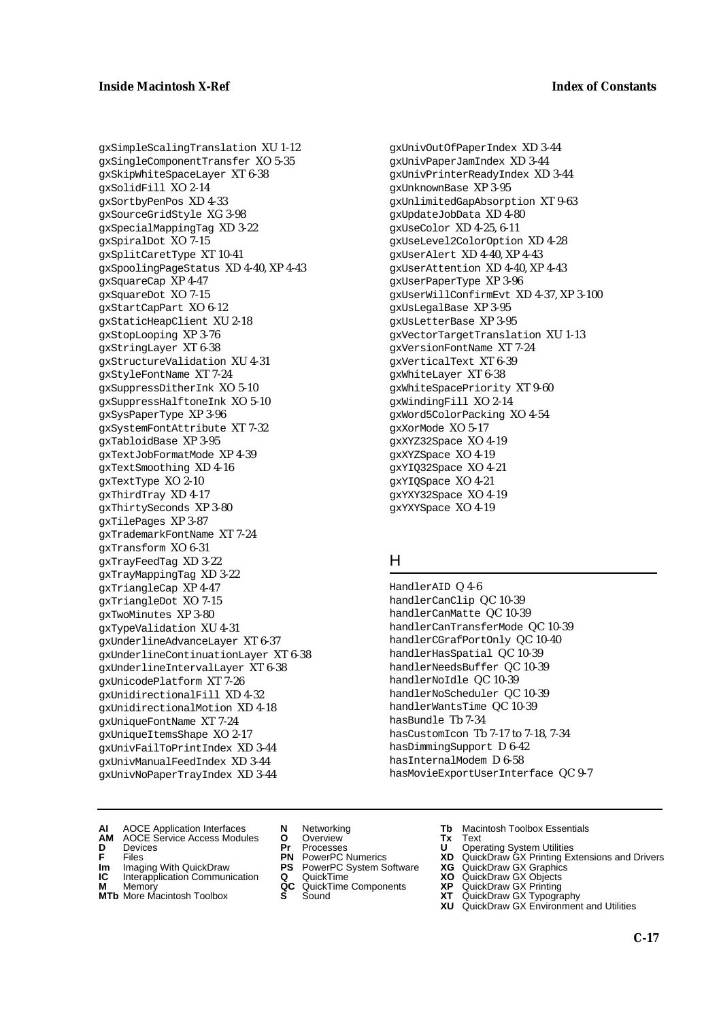gxSimpleScalingTranslation XU 1-12 gxSingleComponentTransfer XO 5-35 gxSkipWhiteSpaceLayer XT 6-38 gxSolidFill XO 2-14 gxSortbyPenPos XD 4-33 gxSourceGridStyle XG 3-98 gxSpecialMappingTag XD 3-22 gxSpiralDot XO 7-15 gxSplitCaretType XT 10-41 gxSpoolingPageStatus XD 4-40, XP 4-43 gxSquareCap XP 4-47 gxSquareDot XO 7-15 gxStartCapPart XO 6-12 gxStaticHeapClient XU 2-18 gxStopLooping XP 3-76 gxStringLayer XT 6-38 gxStructureValidation XU 4-31 gxStyleFontName XT 7-24 gxSuppressDitherInk XO 5-10 gxSuppressHalftoneInk XO 5-10 gxSysPaperType XP 3-96 gxSystemFontAttribute XT 7-32 gxTabloidBase XP 3-95 gxTextJobFormatMode XP 4-39 gxTextSmoothing XD 4-16 gxTextType XO 2-10 gxThirdTray XD 4-17 gxThirtySeconds XP 3-80 gxTilePages XP 3-87 gxTrademarkFontName XT 7-24 gxTransform XO 6-31 gxTrayFeedTag XD 3-22 gxTrayMappingTag XD 3-22 gxTriangleCap XP 4-47 gxTriangleDot XO 7-15 gxTwoMinutes XP 3-80 gxTypeValidation XU 4-31 gxUnderlineAdvanceLayer XT 6-37 gxUnderlineContinuationLayer XT 6-38 gxUnderlineIntervalLayer XT 6-38 gxUnicodePlatform XT 7-26 gxUnidirectionalFill XD 4-32 gxUnidirectionalMotion XD 4-18 gxUniqueFontName XT 7-24 gxUniqueItemsShape XO 2-17 gxUnivFailToPrintIndex XD 3-44 gxUnivManualFeedIndex XD 3-44 gxUnivNoPaperTrayIndex XD 3-44

gxUnivOutOfPaperIndex XD 3-44 gxUnivPaperJamIndex XD 3-44 gxUnivPrinterReadyIndex XD 3-44 gxUnknownBase XP 3-95 gxUnlimitedGapAbsorption XT 9-63 gxUpdateJobData XD 4-80 gxUseColor XD 4-25, 6-11 gxUseLevel2ColorOption XD 4-28 gxUserAlert XD 4-40, XP 4-43 gxUserAttention XD 4-40, XP 4-43 gxUserPaperType XP 3-96 gxUserWillConfirmEvt XD 4-37, XP 3-100 gxUsLegalBase XP 3-95 gxUsLetterBase XP 3-95 gxVectorTargetTranslation XU 1-13 gxVersionFontName XT 7-24 gxVerticalText XT 6-39 gxWhiteLayer XT 6-38 gxWhiteSpacePriority XT 9-60 gxWindingFill XO 2-14 gxWord5ColorPacking XO 4-54 gxXorMode XO 5-17 gxXYZ32Space XO 4-19 gxXYZSpace XO 4-19 gxYIQ32Space XO 4-21 gxYIQSpace XO 4-21 gxYXY32Space XO 4-19 gxYXYSpace XO 4-19

#### H

- HandlerAID Q 4-6 handlerCanClip QC 10-39 handlerCanMatte QC 10-39 handlerCanTransferMode QC 10-39 handlerCGrafPortOnly QC 10-40 handlerHasSpatial QC 10-39 handlerNeedsBuffer QC 10-39 handlerNoIdle QC 10-39 handlerNoScheduler QC 10-39 handlerWantsTime QC 10-39 hasBundle Tb 7-34 hasCustomIcon Tb 7-17 to 7-18, 7-34 hasDimmingSupport D 6-42 hasInternalModem D 6-58 hasMovieExportUserInterface QC 9-7
- **AI** AOCE Application Interfaces **N** Networking **Tb** Macintosh Toolbox Essentials
- **AM** AOCE Service Access Modules **O** Overview **Tx** Text
- 
- 
- **Im** Files<br> **Im** Imaging With QuickDraw **PS** PowerPC System Software **XG**<br> **IC** Interapplication Communication **Q** QuickTime **XO IC** Interapplication Communication **Q** QuickTime **XO M** Memory **XP QC** QuickTime Components **XP**
- 
- **MTb** More Macintosh Toolbox **S** Sound **XT** QuickDraw GX Typography
- 
- **D** Devices **Pr** Processes **U** Operating System Utilities
	-
	-
- **M** Memory **CONSISTENT COMPONENT MEMORY MEMORY MEMORY AND MEMORY OF A VIDEO MEMORY CONSISTENT CONSISTENT CONSISTENT CONSISTENT CONSISTENT CONSISTENT CONSISTENT CONSISTENT CONSISTENT CONSISTENT CONSISTENT CONSISTENT CONSIST** 
	-
- 
- 
- **F** Files **PN** PowerPC Numerics **XD** QuickDraw GX Printing Extensions and Drivers
	-
	-
	-
	-
	- **XU** QuickDraw GX Environment and Utilities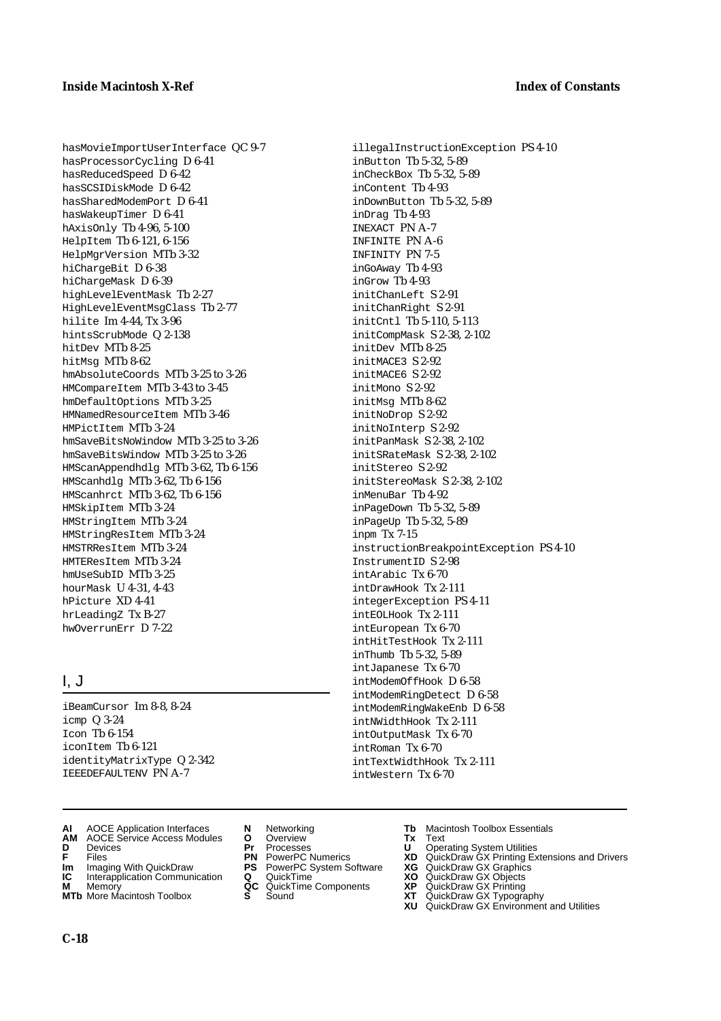illegalInstructionException PS 4-10

inButton Tb 5-32, 5-89 inCheckBox Tb 5-32, 5-89 inContent Tb 4-93

inDrag Tb 4-93 INEXACT PN A-7 INFINITE PN A-6 INFINITY PN 7-5 inGoAway Tb 4-93 inGrow Tb 4-93 initChanLeft S 2-91 initChanRight S 2-91 initCntl Tb 5-110, 5-113 initCompMask S 2-38, 2-102

initDev MTb 8-25 initMACE3 S 2-92 initMACE6 S 2-92 initMono S 2-92 initMsg MTb 8-62 initNoDrop S 2-92 initNoInterp S 2-92 initPanMask S 2-38, 2-102 initSRateMask S 2-38, 2-102

initStereo S 2-92

inMenuBar Tb 4-92 inPageDown Tb 5-32, 5-89 inPageUp Tb 5-32, 5-89

InstrumentID S 2-98 intArabic Tx 6-70 intDrawHook Tx 2-111 integerException PS 4-11 intEOLHook Tx 2-111 intEuropean Tx 6-70 intHitTestHook Tx 2-111 inThumb Tb 5-32, 5-89 intJapanese Tx 6-70 intModemOffHook D 6-58 intModemRingDetect D 6-58 intModemRingWakeEnb D 6-58 intNWidthHook Tx 2-111 intOutputMask Tx 6-70 intRoman Tx 6-70

inpm Tx 7-15

initStereoMask S 2-38, 2-102

instructionBreakpointException PS 4-10

inDownButton Tb 5-32, 5-89

hasMovieImportUserInterface QC 9-7 hasProcessorCycling D 6-41 hasReducedSpeed D 6-42 hasSCSIDiskMode D 6-42 hasSharedModemPort D 6-41 hasWakeupTimer D 6-41 hAxisOnly Tb 4-96, 5-100 HelpItem Tb 6-121, 6-156 HelpMgrVersion MTb 3-32 hiChargeBit D 6-38 hiChargeMask D 6-39 highLevelEventMask Tb 2-27 HighLevelEventMsgClass Tb 2-77 hilite Im 4-44, Tx 3-96 hintsScrubMode Q 2-138 hitDev MTb 8-25 hitMsg MTb 8-62 hmAbsoluteCoords MTb 3-25 to 3-26 HMCompareItem MTb 3-43 to 3-45 hmDefaultOptions MTb 3-25 HMNamedResourceItem MTb 3-46 HMPictItem MTb 3-24 hmSaveBitsNoWindow MTb 3-25 to 3-26 hmSaveBitsWindow MTb 3-25 to 3-26 HMScanAppendhdlg MTb 3-62, Tb 6-156 HMScanhdlg MTb 3-62, Tb 6-156 HMScanhrct MTb 3-62, Tb 6-156 HMSkipItem MTb 3-24 HMStringItem MTb 3-24 HMStringResItem MTb 3-24 HMSTRResItem MTb 3-24 HMTEResItem MTb 3-24 hmUseSubID MTb 3-25 hourMask U 4-31, 4-43 hPicture XD 4-41 hrLeadingZ Tx B-27 hwOverrunErr D 7-22

## I, J

iBeamCursor Im 8-8, 8-24 icmp Q 3-24  $Toon$  Th  $6-154$ iconItem Tb 6-121 identityMatrixType Q 2-342 IEEEDEFAULTENV PN A-7

- **AI** AOCE Application Interfaces **N** Networking **Tb** Macintosh Toolbox Essentials<br> **AM** AOCE Service Access Modules **O** Overview **Tx** Text<br> **D** Devices **Pr** Processes **U** Operating System Utilities
- **AM** AOCE Service Access Modules **O** Overview **Tx** Text
- 
- 
- **Im** Imaging With QuickDraw **PS** PowerPC System Software<br> **IC** Interapplication Communication **Q** QuickTime<br> **M** Memorv **GC** QuickTime Components
- **M** Memory **Manual Components**<br>**MTb** More Macintosh Toolbox **S** Sound
- **MTb** More Macintosh Toolbox **S** Sound **XT** QuickDraw GX Typography
- 
- 
- 
- 
- 
- 
- 
- **D** Devices **Pr** Processes **U** Operating System Utilities

intTextWidthHook Tx 2-111 intWestern Tx 6-70

- **F** Files **PN** PowerPC Numerics **XD** QuickDraw GX Printing Extensions and Drivers
- **Im** Imaging With QuickDraw **PS** PowerPC System Software **XG** QuickDraw GX Graphics
	-
	-
	- **XU** QuickDraw GX Environment and Utilities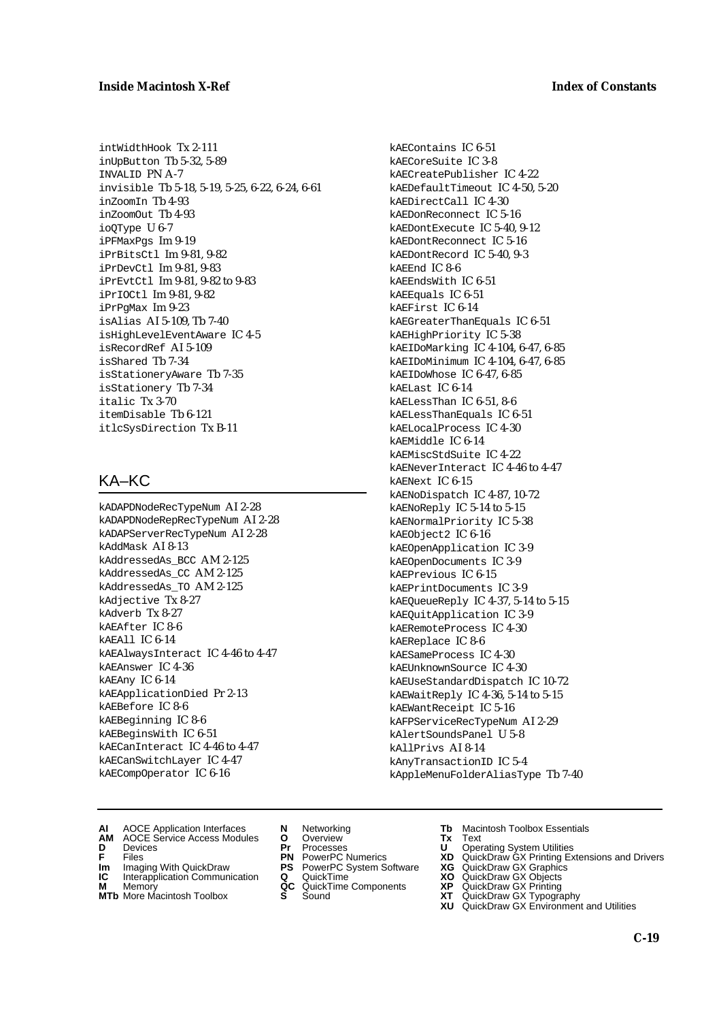### **Inside Macintosh X-Ref Index of Constants**

intWidthHook Tx 2-111 inUpButton Tb 5-32, 5-89 INVALID PN A-7 invisible Tb 5-18, 5-19, 5-25, 6-22, 6-24, 6-61 inZoomIn Tb 4-93 inZoomOut Tb 4-93 ioQType U 6-7 iPFMaxPgs Im 9-19 iPrBitsCtl Im 9-81, 9-82 iPrDevCtl Im 9-81, 9-83 iPrEvtCtl Im 9-81, 9-82 to 9-83 iPrIOCtl Im 9-81, 9-82 iPrPgMax Im 9-23 isAlias AI 5-109, Tb 7-40 isHighLevelEventAware IC 4-5 isRecordRef AI 5-109 isShared Tb 7-34 isStationeryAware Tb 7-35 isStationery Tb 7-34 italic Tx 3-70 itemDisable Tb 6-121 itlcSysDirection Tx B-11

## KA–KC

kADAPDNodeRecTypeNum AI 2-28 kADAPDNodeRepRecTypeNum AI 2-28 kADAPServerRecTypeNum AI 2-28 kAddMask AI 8-13 kAddressedAs\_BCC AM 2-125 kAddressedAs\_CC AM 2-125 kAddressedAs\_TO AM 2-125 kAdjective Tx 8-27 kAdverb Tx 8-27 kAEAfter IC 8-6 kAEAll IC 6-14 kAEAlwaysInteract IC 4-46 to 4-47 kAEAnswer IC 4-36 kAEAny IC 6-14 kAEApplicationDied Pr 2-13 kAEBefore IC 8-6 kAEBeginning IC 8-6 kAEBeginsWith IC 6-51 kAECanInteract IC 4-46 to 4-47 kAECanSwitchLayer IC 4-47 kAECompOperator IC 6-16

kAEContains IC 6-51 kAECoreSuite IC 3-8 kAECreatePublisher IC 4-22 kAEDefaultTimeout IC 4-50, 5-20 kAEDirectCall IC 4-30 kAEDonReconnect IC 5-16 kAEDontExecute IC 5-40, 9-12 kAEDontReconnect IC 5-16 kAEDontRecord IC 5-40, 9-3 kAEEnd IC 8-6 kAEEndsWith IC 6-51 kAEEquals IC 6-51 kAEFirst IC 6-14 kAEGreaterThanEquals IC 6-51 kAEHighPriority IC 5-38 kAEIDoMarking IC 4-104, 6-47, 6-85 kAEIDoMinimum IC 4-104, 6-47, 6-85 kAEIDoWhose IC 6-47, 6-85 kAELast IC 6-14 kAELessThan IC 6-51, 8-6 kAELessThanEquals IC 6-51 kAELocalProcess IC 4-30 kAEMiddle IC 6-14 kAEMiscStdSuite IC 4-22 kAENeverInteract IC 4-46 to 4-47 kAENext IC 6-15 kAENoDispatch IC 4-87, 10-72 kAENoReply IC 5-14 to 5-15 kAENormalPriority IC 5-38 kAEObject2 IC 6-16 kAEOpenApplication IC 3-9 kAEOpenDocuments IC 3-9 kAEPrevious IC 6-15 kAEPrintDocuments IC 3-9 kAEQueueReply IC 4-37, 5-14 to 5-15 kAEQuitApplication IC 3-9 kAERemoteProcess IC 4-30 kAEReplace IC 8-6 kAESameProcess IC 4-30 kAEUnknownSource IC 4-30 kAEUseStandardDispatch IC 10-72 kAEWaitReply IC 4-36, 5-14 to 5-15 kAEWantReceipt IC 5-16 kAFPServiceRecTypeNum AI 2-29 kAlertSoundsPanel U 5-8 kAllPrivs AI 8-14 kAnyTransactionID IC 5-4 kAppleMenuFolderAliasType Tb 7-40

- **AI** AOCE Application Interfaces **N** Networking **Tb** Macintosh Toolbox Essentials
- **AM** AOCE Service Access Modules **O** Overview **Tx** Text **D** Devices **Pr** Processes **U** Operating System Utilities
- 
- **Im** Files<br> **Im** Imaging With QuickDraw **PS** PowerPC System Software **XG**<br> **IC** Interapplication Communication **Q** QuickTime **XO**
- **IC** Interapplication Communication **Q** QuickTime **XO M** Memory **XP QC** QuickTime Components **XP**
- **M** Memory **Manufacture Communication**<br> **M** Memory **QC** QuickTime Components **XP**<br> **MTb** More Macintosh Toolbox **S** Sound **XT MTb** More Macintosh Toolbox **S** Sound **XT** QuickDraw GX Typography
- 
- 
- 
- 
- -
- 
- 
- **F** Files **PN** PowerPC Numerics **XD** QuickDraw GX Printing Extensions and Drivers
	-
	-
	-
	- **XU** QuickDraw GX Environment and Utilities
		- **C-19**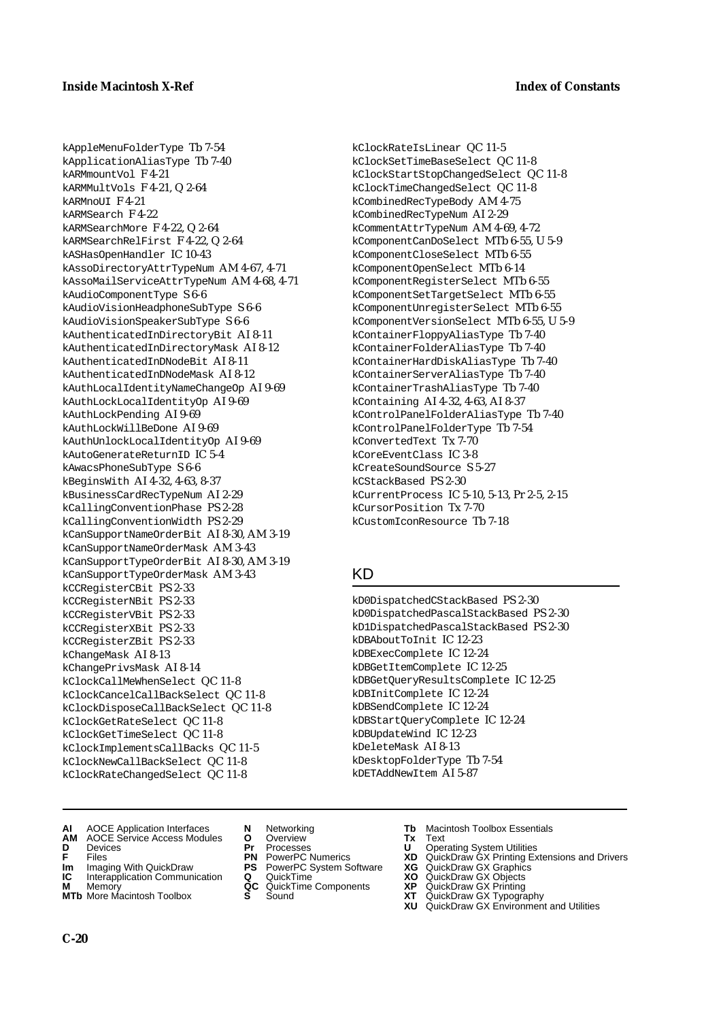kClockRateIsLinear QC 11-5 kClockSetTimeBaseSelect QC 11-8 kClockStartStopChangedSelect QC 11-8 kClockTimeChangedSelect QC 11-8 kCombinedRecTypeBody AM 4-75 kCombinedRecTypeNum AI 2-29 kCommentAttrTypeNum AM 4-69, 4-72 kComponentCanDoSelect MTb 6-55, U 5-9 kComponentCloseSelect MTb 6-55 kComponentOpenSelect MTb 6-14 kComponentRegisterSelect MTb 6-55 kComponentSetTargetSelect MTb 6-55 kComponentUnregisterSelect MTb 6-55 kComponentVersionSelect MTb 6-55, U 5-9 kContainerFloppyAliasType Tb 7-40 kContainerFolderAliasType Tb 7-40 kContainerHardDiskAliasType Tb 7-40 kContainerServerAliasType Tb 7-40 kContainerTrashAliasType Tb 7-40 kContaining AI 4-32, 4-63, AI 8-37 kControlPanelFolderAliasType Tb 7-40 kControlPanelFolderType Tb 7-54

kConvertedText Tx 7-70 kCoreEventClass IC 3-8 kCreateSoundSource S 5-27 kCStackBased PS 2-30

kCursorPosition Tx 7-70 kCustomIconResource Tb 7-18

kDBAboutToInit IC 12-23 kDBExecComplete IC 12-24 kDBGetItemComplete IC 12-25

kDBInitComplete IC 12-24 kDBSendComplete IC 12-24 kDBStartQueryComplete IC 12-24

kDBUpdateWind IC 12-23 kDeleteMask AI 8-13

kDesktopFolderType Tb 7-54 kDETAddNewItem AI 5-87

KD

kCurrentProcess IC 5-10, 5-13, Pr 2-5, 2-15

kD0DispatchedCStackBased PS 2-30 kD0DispatchedPascalStackBased PS 2-30 kD1DispatchedPascalStackBased PS 2-30

kDBGetQueryResultsComplete IC 12-25

kAppleMenuFolderType Tb 7-54 kApplicationAliasType Tb 7-40 kARMmountVol F 4-21 kARMMultVols F 4-21, Q 2-64 kARMnoUI F 4-21 kARMSearch F 4-22 kARMSearchMore F 4-22, Q 2-64 kARMSearchRelFirst F 4-22, Q 2-64 kASHasOpenHandler IC 10-43 kAssoDirectoryAttrTypeNum AM 4-67, 4-71 kAssoMailServiceAttrTypeNum AM 4-68, 4-71 kAudioComponentType S 6-6 kAudioVisionHeadphoneSubType S 6-6 kAudioVisionSpeakerSubType S 6-6 kAuthenticatedInDirectoryBit AI 8-11 kAuthenticatedInDirectoryMask AI 8-12 kAuthenticatedInDNodeBit AI 8-11 kAuthenticatedInDNodeMask AI 8-12 kAuthLocalIdentityNameChangeOp AI 9-69 kAuthLockLocalIdentityOp AI 9-69 kAuthLockPending AI 9-69 kAuthLockWillBeDone AI 9-69 kAuthUnlockLocalIdentityOp AI 9-69 kAutoGenerateReturnID IC 5-4 kAwacsPhoneSubType S 6-6 kBeginsWith AI 4-32, 4-63, 8-37 kBusinessCardRecTypeNum AI 2-29 kCallingConventionPhase PS 2-28 kCallingConventionWidth PS 2-29 kCanSupportNameOrderBit AI 8-30, AM 3-19 kCanSupportNameOrderMask AM 3-43 kCanSupportTypeOrderBit AI 8-30, AM 3-19 kCanSupportTypeOrderMask AM 3-43 kCCRegisterCBit PS 2-33 kCCRegisterNBit PS 2-33 kCCRegisterVBit PS 2-33 kCCRegisterXBit PS 2-33 kCCRegisterZBit PS 2-33 kChangeMask AI 8-13 kChangePrivsMask AI 8-14 kClockCallMeWhenSelect QC 11-8 kClockCancelCallBackSelect QC 11-8 kClockDisposeCallBackSelect QC 11-8 kClockGetRateSelect QC 11-8 kClockGetTimeSelect QC 11-8 kClockImplementsCallBacks QC 11-5 kClockNewCallBackSelect QC 11-8 kClockRateChangedSelect QC 11-8

- **AI** AOCE Application Interfaces **N** Networking **Tb** Macintosh Toolbox Essentials
- **AM** AOCE Service Access Modules **O** Overview **Tx** Text
- 
- 
- **Im** Imaging With QuickDraw **PS** PowerPC System Software<br> **IC** Interapplication Communication **Q** QuickTime<br> **M** Memorv **GC** QuickTime Components
- **M** Memory **Markt Communication**<br> **M** Memory **QC** QuickTime Components<br> **MTb** More Macintosh Toolbox **S** Sound
- **MTb** More Macintosh Toolbox **S** Sound **XT** QuickDraw GX Typography
- 
- 
- 
- **Im** Imaging With QuickDraw **PS** PowerPC System Software **XG** QuickDraw GX Graphics
	-
	-
- 
- **D** Devices **Pr** Processes **U** Operating System Utilities
- **F** Files **PN** PowerPC Numerics **XD** QuickDraw GX Printing Extensions and Drivers
	-
	-
	-
	-
	- **XU** QuickDraw GX Environment and Utilities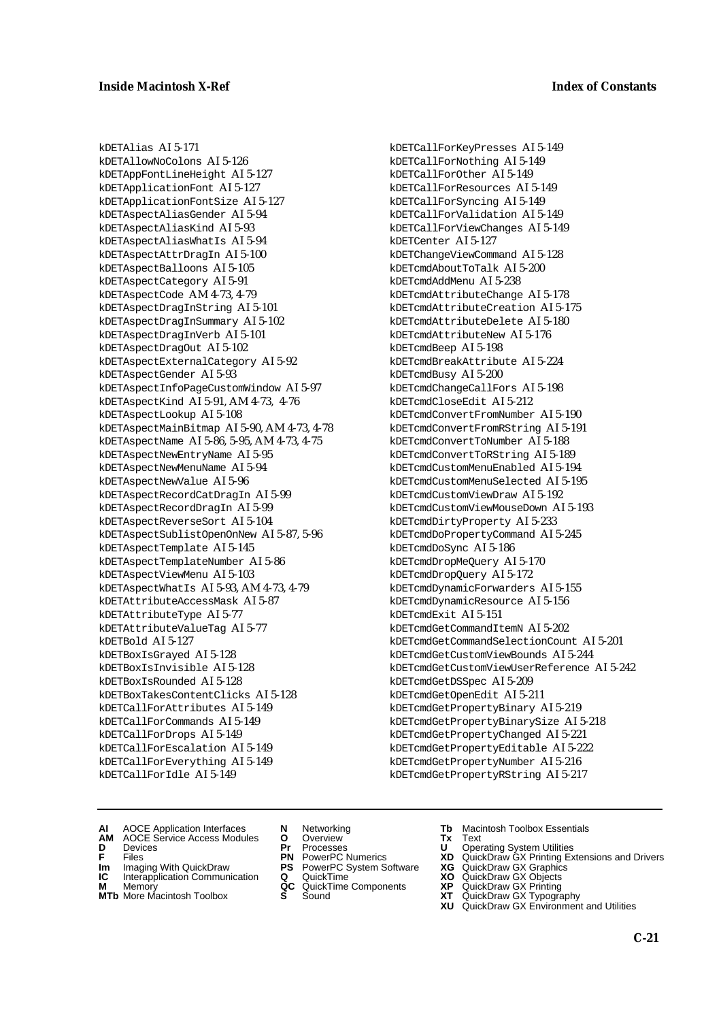kDETAlias AI 5-171 kDETAllowNoColons AI 5-126 kDETAppFontLineHeight AI 5-127 kDETApplicationFont AI 5-127 kDETApplicationFontSize AI 5-127 kDETAspectAliasGender AI 5-94 kDETAspectAliasKind AI 5-93 kDETAspectAliasWhatIs AI 5-94 kDETAspectAttrDragIn AI 5-100 kDETAspectBalloons AI 5-105 kDETAspectCategory AI 5-91 kDETAspectCode AM 4-73, 4-79 kDETAspectDragInString AI 5-101 kDETAspectDragInSummary AI 5-102 kDETAspectDragInVerb AI 5-101 kDETAspectDragOut AI 5-102 kDETAspectExternalCategory AI 5-92 kDETAspectGender AI 5-93 kDETAspectInfoPageCustomWindow AI 5-97 kDETAspectKind AI 5-91, AM 4-73, 4-76 kDETAspectLookup AI 5-108 kDETAspectMainBitmap AI 5-90, AM 4-73, 4-78 kDETAspectName AI 5-86, 5-95, AM 4-73, 4-75 kDETAspectNewEntryName AI 5-95 kDETAspectNewMenuName AI 5-94 kDETAspectNewValue AI 5-96 kDETAspectRecordCatDragIn AI 5-99 kDETAspectRecordDragIn AI 5-99 kDETAspectReverseSort AI 5-104 kDETAspectSublistOpenOnNew AI 5-87, 5-96 kDETAspectTemplate AI 5-145 kDETAspectTemplateNumber AI 5-86 kDETAspectViewMenu AI 5-103 kDETAspectWhatIs AI 5-93, AM 4-73, 4-79 kDETAttributeAccessMask AI 5-87 kDETAttributeType AI 5-77 kDETAttributeValueTag AI 5-77 kDETBold AI 5-127 kDETBoxIsGrayed AI 5-128 kDETBoxIsInvisible AI 5-128 kDETBoxIsRounded AI 5-128 kDETBoxTakesContentClicks AI 5-128 kDETCallForAttributes AI 5-149 kDETCallForCommands AI 5-149 kDETCallForDrops AI 5-149 kDETCallForEscalation AI 5-149 kDETCallForEverything AI 5-149 kDETCallForIdle AI 5-149

kDETCallForKeyPresses AI 5-149 kDETCallForNothing AI 5-149 kDETCallForOther AI 5-149 kDETCallForResources AI 5-149 kDETCallForSyncing AI 5-149 kDETCallForValidation AI 5-149 kDETCallForViewChanges AI 5-149 kDETCenter AI 5-127 kDETChangeViewCommand AI 5-128 kDETcmdAboutToTalk AI 5-200 kDETcmdAddMenu AI 5-238 kDETcmdAttributeChange AI 5-178 kDETcmdAttributeCreation AI 5-175 kDETcmdAttributeDelete AI 5-180 kDETcmdAttributeNew AI 5-176 kDETcmdBeep AI 5-198 kDETcmdBreakAttribute AI 5-224 kDETcmdBusy AI 5-200 kDETcmdChangeCallFors AI 5-198 kDETcmdCloseEdit AI 5-212 kDETcmdConvertFromNumber AI 5-190 kDETcmdConvertFromRString AI 5-191 kDETcmdConvertToNumber AI 5-188 kDETcmdConvertToRString AI 5-189 kDETcmdCustomMenuEnabled AI 5-194 kDETcmdCustomMenuSelected AI 5-195 kDETcmdCustomViewDraw AI 5-192 kDETcmdCustomViewMouseDown AI 5-193 kDETcmdDirtyProperty AI 5-233 kDETcmdDoPropertyCommand AI 5-245 kDETcmdDoSync AI 5-186 kDETcmdDropMeQuery AI 5-170 kDETcmdDropQuery AI 5-172 kDETcmdDynamicForwarders AI 5-155 kDETcmdDynamicResource AI 5-156 kDETcmdExit AI 5-151 kDETcmdGetCommandItemN AI 5-202 kDETcmdGetCommandSelectionCount AI 5-201 kDETcmdGetCustomViewBounds AI 5-244 kDETcmdGetCustomViewUserReference AI 5-242 kDETcmdGetDSSpec AI 5-209 kDETcmdGetOpenEdit AI 5-211 kDETcmdGetPropertyBinary AI 5-219 kDETcmdGetPropertyBinarySize AI 5-218 kDETcmdGetPropertyChanged AI 5-221 kDETcmdGetPropertyEditable AI 5-222 kDETcmdGetPropertyNumber AI 5-216 kDETcmdGetPropertyRString AI 5-217

- **AI** AOCE Application Interfaces **N** Networking **Tb** Macintosh Toolbox Essentials
- **AM** AOCE Service Access Modules **O** Overview **Tx** Text
- 
- **Im** Imaging With QuickDraw **PS** PowerPC System Software **XG** QuickDraw GX Graphics
- **Im** Imaging With QuickDraw **PS** PowerPC System Software<br> **IC** Interapplication Communication **Q** QuickTime<br> **M** Memorv **GC** QuickTime Components
- **M** Memory **M** Memory **QC** QuickTime Components<br>**MTb** More Macintosh Toolbox **S** Sound
- 
- **D** Devices **Pr** Processes **U** Operating System Utilities
	-
	-
	-
	-
- 
- 
- **F** Files **PN** PowerPC Numerics **XD** QuickDraw GX Printing Extensions and Drivers
	-
	-
	-
- **MTb** More Macintosh Toolbox **S** Sound **XT** QuickDraw GX Typography **XU** QuickDraw GX Environment and Utilities
	- **C-21**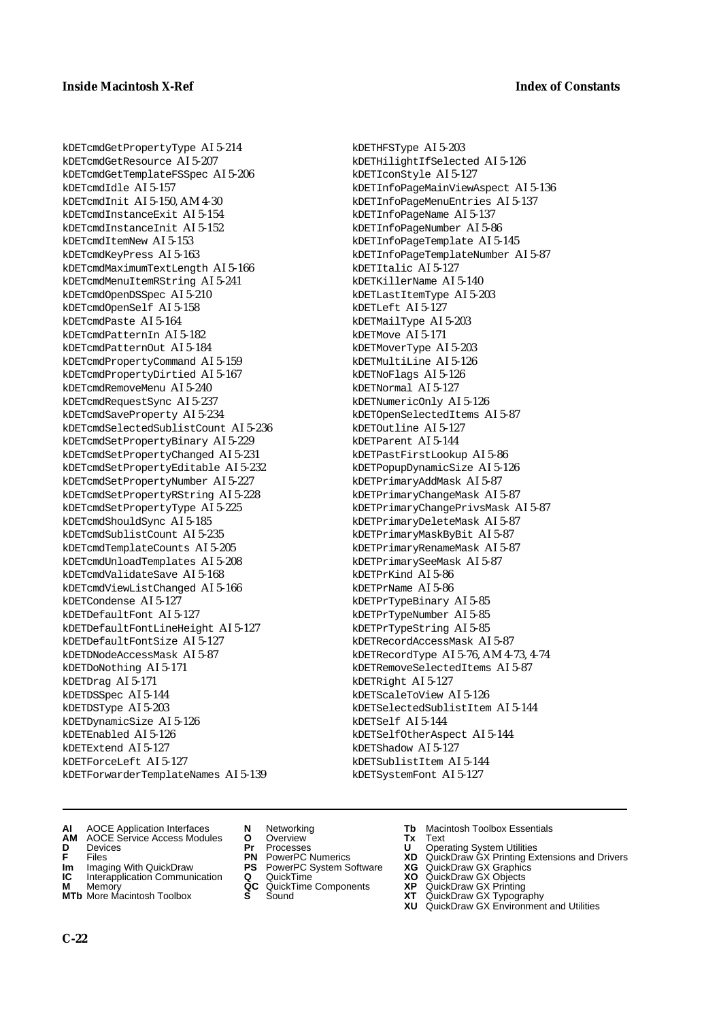kDETcmdGetPropertyType AI 5-214 kDETcmdGetResource AI 5-207 kDETcmdGetTemplateFSSpec AI 5-206 kDETcmdIdle AI 5-157 kDETcmdInit AI 5-150, AM 4-30 kDETcmdInstanceExit AI 5-154 kDETcmdInstanceInit AI 5-152 kDETcmdItemNew AI 5-153 kDETcmdKeyPress AI 5-163 kDETcmdMaximumTextLength AI 5-166 kDETcmdMenuItemRString AI 5-241 kDETcmdOpenDSSpec AI 5-210 kDETcmdOpenSelf AI 5-158 kDETcmdPaste AI 5-164 kDETcmdPatternIn AI 5-182 kDETcmdPatternOut AI 5-184 kDETcmdPropertyCommand AI 5-159 kDETcmdPropertyDirtied AI 5-167 kDETcmdRemoveMenu AI 5-240 kDETcmdRequestSync AI 5-237 kDETcmdSaveProperty AI 5-234 kDETcmdSelectedSublistCount AI 5-236 kDETcmdSetPropertyBinary AI 5-229 kDETcmdSetPropertyChanged AI 5-231 kDETcmdSetPropertyEditable AI 5-232 kDETcmdSetPropertyNumber AI 5-227 kDETcmdSetPropertyRString AI 5-228 kDETcmdSetPropertyType AI 5-225 kDETcmdShouldSync AI 5-185 kDETcmdSublistCount AI 5-235 kDETcmdTemplateCounts AI 5-205 kDETcmdUnloadTemplates AI 5-208 kDETcmdValidateSave AI 5-168 kDETcmdViewListChanged AI 5-166 kDETCondense AI 5-127 kDETDefaultFont AI 5-127 kDETDefaultFontLineHeight AI 5-127 kDETDefaultFontSize AI 5-127 kDETDNodeAccessMask AI 5-87 kDETDoNothing AI 5-171 kDETDrag AI 5-171 kDETDSSpec AI 5-144 kDETDSType AI 5-203 kDETDynamicSize AI 5-126 kDETEnabled AI 5-126 kDETExtend AI 5-127 kDETForceLeft AI 5-127 kDETForwarderTemplateNames AI 5-139

kDETHFSType AI 5-203 kDETHilightIfSelected AI 5-126 kDETIconStyle AI 5-127 kDETInfoPageMainViewAspect AI 5-136 kDETInfoPageMenuEntries AI 5-137 kDETInfoPageName AI 5-137 kDETInfoPageNumber AI 5-86 kDETInfoPageTemplate AI 5-145 kDETInfoPageTemplateNumber AI 5-87 kDETItalic AI 5-127 kDETKillerName AI 5-140 kDETLastItemType AI 5-203 kDETLeft AI 5-127 kDETMailType AI 5-203 kDETMove AI 5-171 kDETMoverType AI 5-203 kDETMultiLine AI 5-126 kDETNoFlags AI 5-126 kDETNormal AI 5-127 kDETNumericOnly AI 5-126 kDETOpenSelectedItems AI 5-87 kDETOutline AI 5-127 kDETParent AI 5-144 kDETPastFirstLookup AI 5-86 kDETPopupDynamicSize AI 5-126 kDETPrimaryAddMask AI 5-87 kDETPrimaryChangeMask AI 5-87 kDETPrimaryChangePrivsMask AI 5-87 kDETPrimaryDeleteMask AI 5-87 kDETPrimaryMaskByBit AI 5-87 kDETPrimaryRenameMask AI 5-87 kDETPrimarySeeMask AI 5-87 kDETPrKind AI 5-86 kDETPrName AI 5-86 kDETPrTypeBinary AI 5-85 kDETPrTypeNumber AI 5-85 kDETPrTypeString AI 5-85 kDETRecordAccessMask AI 5-87 kDETRecordType AI 5-76, AM 4-73, 4-74 kDETRemoveSelectedItems AI 5-87 kDETRight AI 5-127 kDETScaleToView AI 5-126 kDETSelectedSublistItem AI 5-144 kDETSelf AI 5-144 kDETSelfOtherAspect AI 5-144 kDETShadow AI 5-127 kDETSublistItem AI 5-144 kDETSystemFont AI 5-127

- **AI** AOCE Application Interfaces **N** Networking **Tb** Macintosh Toolbox Essentials<br> **AM** AOCE Service Access Modules **O** Overview **Tx** Text<br> **D** Devices **Pr** Processes **U** Operating System Utilities
- **AM** AOCE Service Access Modules **O** Overview **Tx** Text
- 
- 
- **Im** Imaging With QuickDraw **PS** PowerPC System Software<br> **IC** Interapplication Communication **Q** QuickTime<br> **M** Memorv **GC** QuickTime Components
- 
- **M** Memory **Markt Communication**<br> **M** Memory **QC** QuickTime Components<br> **MTb** More Macintosh Toolbox **S** Sound **MTb** More Macintosh Toolbox **S** Sound **XT** QuickDraw GX Typography
- 
- 
- 
- 
- -
- 
- **D** Devices **Pr** Processes **U** Operating System Utilities
- **F** Files **PN** PowerPC Numerics **XD** QuickDraw GX Printing Extensions and Drivers
- **Im** Imaging With QuickDraw **PS** PowerPC System Software **XG** QuickDraw GX Graphics
	-
	-
	-
	- **XU** QuickDraw GX Environment and Utilities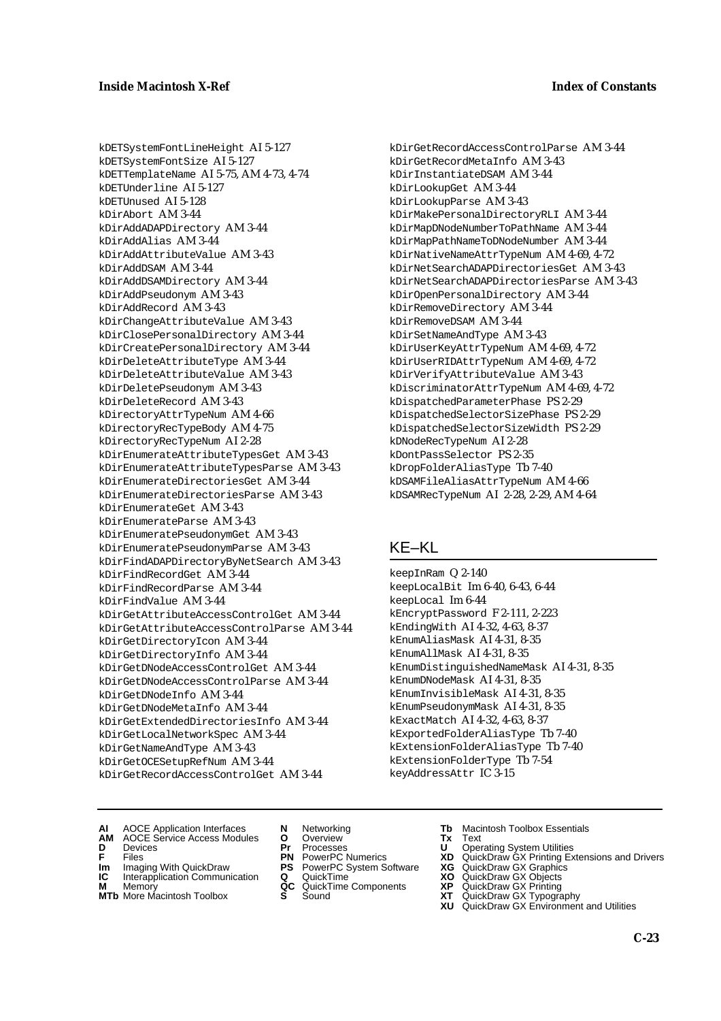kDETSystemFontLineHeight AI 5-127 kDETSystemFontSize AI 5-127 kDETTemplateName AI 5-75, AM 4-73, 4-74 kDETUnderline AI 5-127 kDETUnused AI 5-128 kDirAbort AM 3-44 kDirAddADAPDirectory AM 3-44 kDirAddAlias AM 3-44 kDirAddAttributeValue AM 3-43 kDirAddDSAM AM 3-44 kDirAddDSAMDirectory AM 3-44 kDirAddPseudonym AM 3-43 kDirAddRecord AM 3-43 kDirChangeAttributeValue AM 3-43 kDirClosePersonalDirectory AM 3-44 kDirCreatePersonalDirectory AM 3-44 kDirDeleteAttributeType AM 3-44 kDirDeleteAttributeValue AM 3-43 kDirDeletePseudonym AM 3-43 kDirDeleteRecord AM 3-43 kDirectoryAttrTypeNum AM 4-66 kDirectoryRecTypeBody AM 4-75 kDirectoryRecTypeNum AI 2-28 kDirEnumerateAttributeTypesGet AM 3-43 kDirEnumerateAttributeTypesParse AM 3-43 kDirEnumerateDirectoriesGet AM 3-44 kDirEnumerateDirectoriesParse AM 3-43 kDirEnumerateGet AM 3-43 kDirEnumerateParse AM 3-43 kDirEnumeratePseudonymGet AM 3-43 kDirEnumeratePseudonymParse AM 3-43 kDirFindADAPDirectoryByNetSearch AM 3-43 kDirFindRecordGet AM 3-44 kDirFindRecordParse AM 3-44 kDirFindValue AM 3-44 kDirGetAttributeAccessControlGet AM 3-44 kDirGetAttributeAccessControlParse AM 3-44 kDirGetDirectoryIcon AM 3-44 kDirGetDirectoryInfo AM 3-44 kDirGetDNodeAccessControlGet AM 3-44 kDirGetDNodeAccessControlParse AM 3-44 kDirGetDNodeInfo AM 3-44 kDirGetDNodeMetaInfo AM 3-44 kDirGetExtendedDirectoriesInfo AM 3-44 kDirGetLocalNetworkSpec AM 3-44 kDirGetNameAndType AM 3-43 kDirGetOCESetupRefNum AM 3-44 kDirGetRecordAccessControlGet AM 3-44

kDirGetRecordAccessControlParse AM 3-44 kDirGetRecordMetaInfo AM 3-43 kDirInstantiateDSAM AM 3-44 kDirLookupGet AM 3-44 kDirLookupParse AM 3-43 kDirMakePersonalDirectoryRLI AM 3-44 kDirMapDNodeNumberToPathName AM 3-44 kDirMapPathNameToDNodeNumber AM 3-44 kDirNativeNameAttrTypeNum AM 4-69, 4-72 kDirNetSearchADAPDirectoriesGet AM 3-43 kDirNetSearchADAPDirectoriesParse AM 3-43 kDirOpenPersonalDirectory AM 3-44 kDirRemoveDirectory AM 3-44 kDirRemoveDSAM AM 3-44 kDirSetNameAndType AM 3-43 kDirUserKeyAttrTypeNum AM 4-69, 4-72 kDirUserRIDAttrTypeNum AM 4-69, 4-72 kDirVerifyAttributeValue AM 3-43 kDiscriminatorAttrTypeNum AM 4-69, 4-72 kDispatchedParameterPhase PS 2-29 kDispatchedSelectorSizePhase PS 2-29 kDispatchedSelectorSizeWidth PS 2-29 kDNodeRecTypeNum AI 2-28 kDontPassSelector PS 2-35 kDropFolderAliasType Tb 7-40 kDSAMFileAliasAttrTypeNum AM 4-66 kDSAMRecTypeNum AI 2-28, 2-29, AM 4-64

## KE–KL

keepInRam Q 2-140 keepLocalBit Im 6-40, 6-43, 6-44 keepLocal Im 6-44 kEncryptPassword F 2-111, 2-223 kEndingWith AI 4-32, 4-63, 8-37 kEnumAliasMask AI 4-31, 8-35 kEnumAllMask AI 4-31, 8-35 kEnumDistinguishedNameMask AI 4-31, 8-35 kEnumDNodeMask AI 4-31, 8-35 kEnumInvisibleMask AI 4-31, 8-35 kEnumPseudonymMask AI 4-31, 8-35 kExactMatch AI 4-32, 4-63, 8-37 kExportedFolderAliasType Tb 7-40 kExtensionFolderAliasType Tb 7-40 kExtensionFolderType Tb 7-54 keyAddressAttr IC 3-15

- **AI** AOCE Application Interfaces **N** Networking **Tb** Macintosh Toolbox Essentials
- **D** Devices **Pr** Processes **U** Operating System Utilities
- 
- **Im** Imaging With QuickDraw **PS** PowerPC System Software **XG IC** Interapplication Communication **Q** QuickTime **XO**
- **IC** Interapplication Communication **Q** QuickTime **XO M** Memory **XP QC** QuickTime Components **XP**
- **M** Memory **QC** QuickTime Components<br> **MTb** More Macintosh Toolbox **S** Sound **XT**<br> **XU MTb** More Macintosh Toolbox **S** Sound **XT** QuickDraw GX Typography
- **AM** AOCE Service Access Modules **O** Overview **Tx** Text
	-
	-
	-
	-
	-
- 
- 
- **F** Files **PN** PowerPC Numerics **XD** QuickDraw GX Printing Extensions and Drivers
	-
	-
	-
	- **XU** QuickDraw GX Environment and Utilities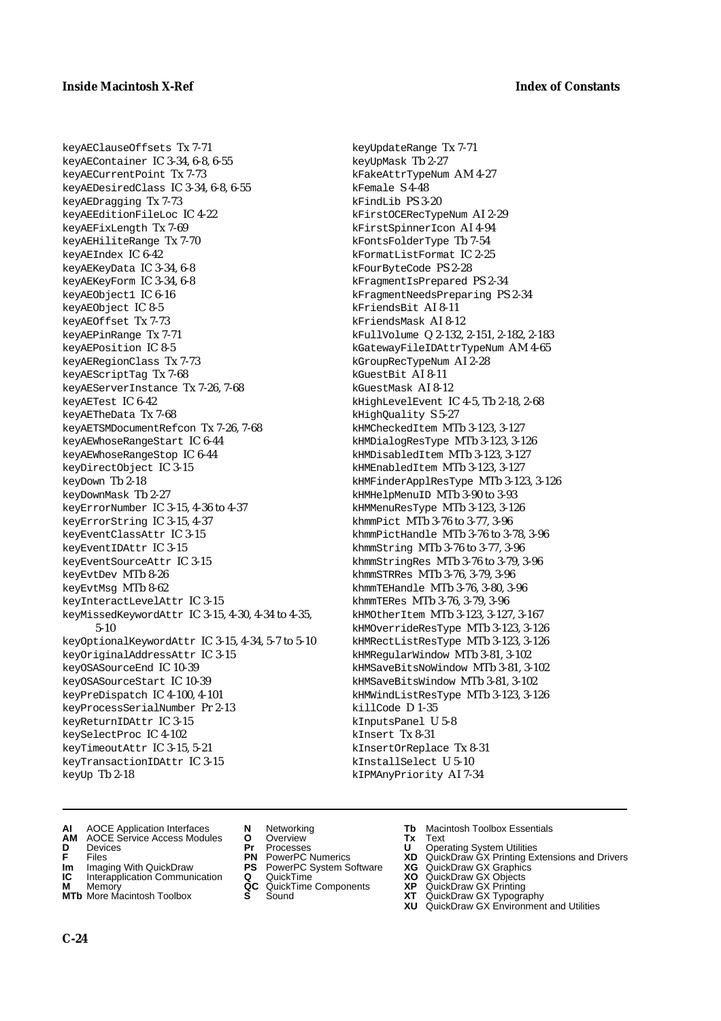keyAEClauseOffsets Tx 7-71 keyAEContainer IC 3-34, 6-8, 6-55 keyAECurrentPoint Tx 7-73 keyAEDesiredClass IC 3-34, 6-8, 6-55 keyAEDragging Tx 7-73 keyAEEditionFileLoc IC 4-22 keyAEFixLength Tx 7-69 keyAEHiliteRange Tx 7-70 keyAEIndex IC 6-42 keyAEKeyData IC 3-34, 6-8 keyAEKeyForm IC 3-34, 6-8 keyAEObject1 IC 6-16 keyAEObject IC 8-5 keyAEOffset Tx 7-73 keyAEPinRange Tx 7-71 keyAEPosition IC 8-5 keyAERegionClass Tx 7-73 keyAEScriptTag Tx 7-68 keyAEServerInstance Tx 7-26, 7-68 keyAETest IC 6-42 keyAETheData Tx 7-68 keyAETSMDocumentRefcon Tx 7-26, 7-68 keyAEWhoseRangeStart IC 6-44 keyAEWhoseRangeStop IC 6-44 keyDirectObject IC 3-15 keyDown Tb 2-18 keyDownMask Tb 2-27 keyErrorNumber IC 3-15, 4-36 to 4-37 keyErrorString IC 3-15, 4-37 keyEventClassAttr IC 3-15 keyEventIDAttr IC 3-15 keyEventSourceAttr IC 3-15 keyEvtDev MTb 8-26 keyEvtMsg MTb 8-62 keyInteractLevelAttr IC 3-15 keyMissedKeywordAttr IC 3-15, 4-30, 4-34 to 4-35, 5-10 keyOptionalKeywordAttr IC 3-15, 4-34, 5-7 to 5-10 keyOriginalAddressAttr IC 3-15 keyOSASourceEnd IC 10-39 keyOSASourceStart IC 10-39 keyPreDispatch IC 4-100, 4-101 keyProcessSerialNumber Pr 2-13 keyReturnIDAttr IC 3-15 keySelectProc IC 4-102 keyTimeoutAttr IC 3-15, 5-21 keyTransactionIDAttr IC 3-15 keyUp Tb 2-18

keyUpdateRange Tx 7-71 keyUpMask Tb 2-27 kFakeAttrTypeNum AM 4-27 kFemale S 4-48 kFindLib PS 3-20 kFirstOCERecTypeNum AI 2-29 kFirstSpinnerIcon AI 4-94 kFontsFolderType Tb 7-54 kFormatListFormat IC 2-25 kFourByteCode PS 2-28 kFragmentIsPrepared PS 2-34 kFragmentNeedsPreparing PS 2-34 kFriendsBit AI 8-11 kFriendsMask AI 8-12 kFullVolume Q 2-132, 2-151, 2-182, 2-183 kGatewayFileIDAttrTypeNum AM 4-65 kGroupRecTypeNum AI 2-28 kGuestBit AI 8-11 kGuestMask AI 8-12 kHighLevelEvent IC 4-5, Tb 2-18, 2-68 kHighQuality S 5-27 kHMCheckedItem MTb 3-123, 3-127 kHMDialogResType MTb 3-123, 3-126 kHMDisabledItem MTb 3-123, 3-127 kHMEnabledItem MTb 3-123, 3-127 kHMFinderApplResType MTb 3-123, 3-126 kHMHelpMenuID MTb 3-90 to 3-93 kHMMenuResType MTb 3-123, 3-126 khmmPict MTb 3-76 to 3-77, 3-96 khmmPictHandle MTb 3-76 to 3-78, 3-96 khmmString MTb 3-76 to 3-77, 3-96 khmmStringRes MTb 3-76 to 3-79, 3-96 khmmSTRRes MTb 3-76, 3-79, 3-96 khmmTEHandle MTb 3-76, 3-80, 3-96 khmmTERes MTb 3-76, 3-79, 3-96 kHMOtherItem MTb 3-123, 3-127, 3-167 kHMOverrideResType MTb 3-123, 3-126 kHMRectListResType MTb 3-123, 3-126 kHMRegularWindow MTb 3-81, 3-102 kHMSaveBitsNoWindow MTb 3-81, 3-102 kHMSaveBitsWindow MTb 3-81, 3-102 kHMWindListResType MTb 3-123, 3-126 killCode D 1-35 kInputsPanel U 5-8 kInsert Tx 8-31 kInsertOrReplace Tx 8-31 kInstallSelect U 5-10 kIPMAnyPriority AI 7-34

- **AI** AOCE Application Interfaces **N** Networking **Tb** Macintosh Toolbox Essentials
- **AM** AOCE Service Access Modules **O** Overview **Tx** Text
- 
- 
- **Im** Imaging With QuickDraw **PS** PowerPC System Software<br> **IC** Interapplication Communication **Q** QuickTime<br> **M** Memory **GC** QuickTime Components
- **M** Memory **COMPONENTS COMPONENTS COMPONENTS NEWSLA**<br> **M** More Macintosh Toolbox **S** Sound
- **MTb** More Macintosh Toolbox **S** Sound **XT** QuickDraw GX Typography
- 
- **D** Devices **Pr** Processes **U** Operating System Utilities
	-
	-
	-
	- -
- 
- 
- **F** Files **PN** PowerPC Numerics **XD** QuickDraw GX Printing Extensions and Drivers
- **Im** Imaging With QuickDraw **PS** PowerPC System Software **XG** QuickDraw GX Graphics
	-
	-
	- **XU** QuickDraw GX Environment and Utilities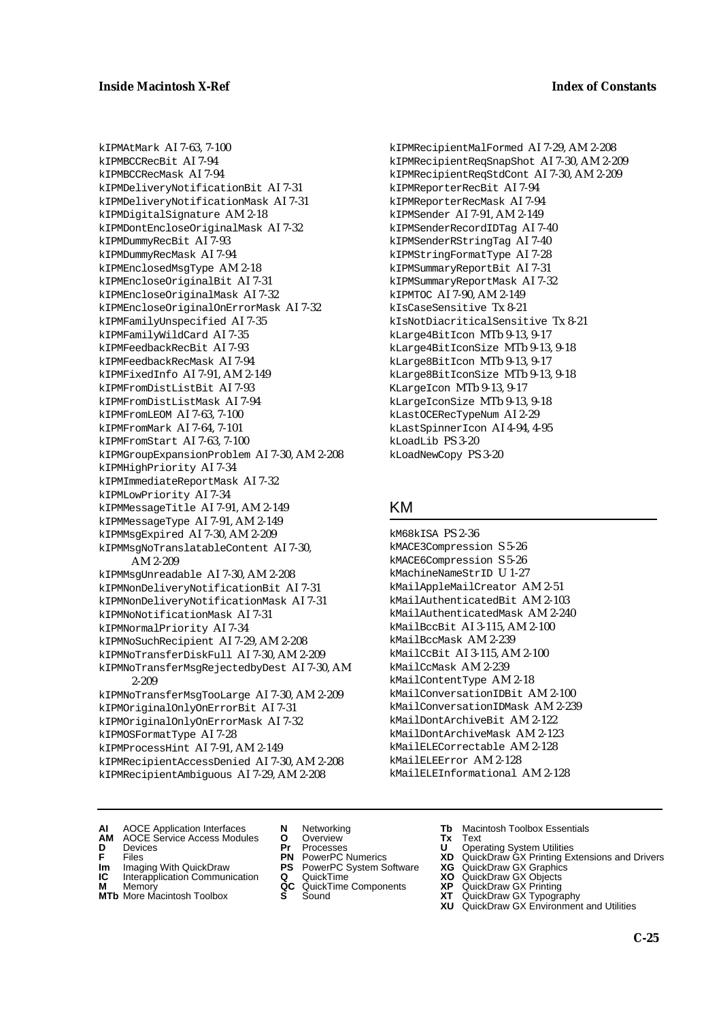kIPMAtMark AI 7-63, 7-100 kIPMBCCRecBit AI 7-94 kIPMBCCRecMask AI 7-94 kIPMDeliveryNotificationBit AI 7-31 kIPMDeliveryNotificationMask AI 7-31 kIPMDigitalSignature AM 2-18 kIPMDontEncloseOriginalMask AI 7-32 kIPMDummyRecBit AI 7-93 kIPMDummyRecMask AI 7-94 kIPMEnclosedMsgType AM 2-18 kIPMEncloseOriginalBit AI 7-31 kIPMEncloseOriginalMask AI 7-32 kIPMEncloseOriginalOnErrorMask AI 7-32 kIPMFamilyUnspecified AI 7-35 kIPMFamilyWildCard AI 7-35 kIPMFeedbackRecBit AI 7-93 kIPMFeedbackRecMask AI 7-94 kIPMFixedInfo AI 7-91, AM 2-149 kIPMFromDistListBit AI 7-93 kIPMFromDistListMask AI 7-94 kIPMFromLEOM AI 7-63, 7-100 kIPMFromMark AI 7-64, 7-101 kIPMFromStart AI 7-63, 7-100 kIPMGroupExpansionProblem AI 7-30, AM 2-208 kIPMHighPriority AI 7-34 kIPMImmediateReportMask AI 7-32 kIPMLowPriority AI 7-34 kIPMMessageTitle AI 7-91, AM 2-149 kIPMMessageType AI 7-91, AM 2-149 kIPMMsgExpired AI 7-30, AM 2-209 kIPMMsgNoTranslatableContent AI 7-30, AM 2-209 kIPMMsgUnreadable AI 7-30, AM 2-208 kIPMNonDeliveryNotificationBit AI 7-31 kIPMNonDeliveryNotificationMask AI 7-31 kIPMNoNotificationMask AI 7-31 kIPMNormalPriority AI 7-34 kIPMNoSuchRecipient AI 7-29, AM 2-208 kIPMNoTransferDiskFull AI 7-30, AM 2-209 kIPMNoTransferMsgRejectedbyDest AI 7-30, AM 2-209 kIPMNoTransferMsgTooLarge AI 7-30, AM 2-209 kIPMOriginalOnlyOnErrorBit AI 7-31 kIPMOriginalOnlyOnErrorMask AI 7-32 kIPMOSFormatType AI 7-28 kIPMProcessHint AI 7-91, AM 2-149 kIPMRecipientAccessDenied AI 7-30, AM 2-208 kIPMRecipientAmbiguous AI 7-29, AM 2-208

kIPMRecipientMalFormed AI 7-29, AM 2-208 kIPMRecipientReqSnapShot AI 7-30, AM 2-209 kIPMRecipientReqStdCont AI 7-30, AM 2-209 kIPMReporterRecBit AI 7-94 kIPMReporterRecMask AI 7-94 kIPMSender AI 7-91, AM 2-149 kIPMSenderRecordIDTag AI 7-40 kIPMSenderRStringTag AI 7-40 kIPMStringFormatType AI 7-28 kIPMSummaryReportBit AI 7-31 kIPMSummaryReportMask AI 7-32 kIPMTOC AI 7-90, AM 2-149 kIsCaseSensitive Tx 8-21 kIsNotDiacriticalSensitive Tx 8-21 kLarge4BitIcon MTb 9-13, 9-17 kLarge4BitIconSize MTb 9-13, 9-18 kLarge8BitIcon MTb 9-13, 9-17 kLarge8BitIconSize MTb 9-13, 9-18 KLargeIcon MTb 9-13, 9-17 kLargeIconSize MTb 9-13, 9-18 kLastOCERecTypeNum AI 2-29 kLastSpinnerIcon AI 4-94, 4-95 kLoadLib PS 3-20 kLoadNewCopy PS 3-20

#### KM

kM68kISA PS 2-36 kMACE3Compression S 5-26 kMACE6Compression S 5-26 kMachineNameStrID U 1-27 kMailAppleMailCreator AM 2-51 kMailAuthenticatedBit AM 2-103 kMailAuthenticatedMask AM 2-240 kMailBccBit AI 3-115, AM 2-100 kMailBccMask AM 2-239 kMailCcBit AI 3-115, AM 2-100 kMailCcMask AM 2-239 kMailContentType AM 2-18 kMailConversationIDBit AM 2-100 kMailConversationIDMask AM 2-239 kMailDontArchiveBit AM 2-122 kMailDontArchiveMask AM 2-123 kMailELECorrectable AM 2-128 kMailELEError AM 2-128 kMailELEInformational AM 2-128

- **AI** AOCE Application Interfaces **N** Networking **Tb** Macintosh Toolbox Essentials
- **AM** AOCE Service Access Modules **O** Overview **Tx** Text
- 
- 
- **IM** FILES<br> **Im** Imaging With QuickDraw **PS** PowerPC System Software **XG**<br> **IC** Interapplication Communication **Q** QuickTime **XO**
- **IC** Interapplication Communication **Q** QuickTime **XO M** Memory **XP QC** QuickTime Components **XP M** Memory **CONSISTENT COMPONENT MEMORY MEMORY MEMORY AND MEMORY OF A VIDEO MEMORY CONSISTENT CONSISTENT CONSISTENT CONSISTENT CONSISTENT CONSISTENT CONSISTENT CONSISTENT CONSISTENT CONSISTENT CONSISTENT CONSISTENT CONSIST**
- **MTb** More Macintosh Toolbox **S** Sound **XT** QuickDraw GX Typography
- 
- **D** Devices **Pr** Processes **U** Operating System Utilities
	-
	-
	-
	-
- 
- 
- **F** Files **PN** PowerPC Numerics **XD** QuickDraw GX Printing Extensions and Drivers
	-
	-
	-
	-
	- **XU** QuickDraw GX Environment and Utilities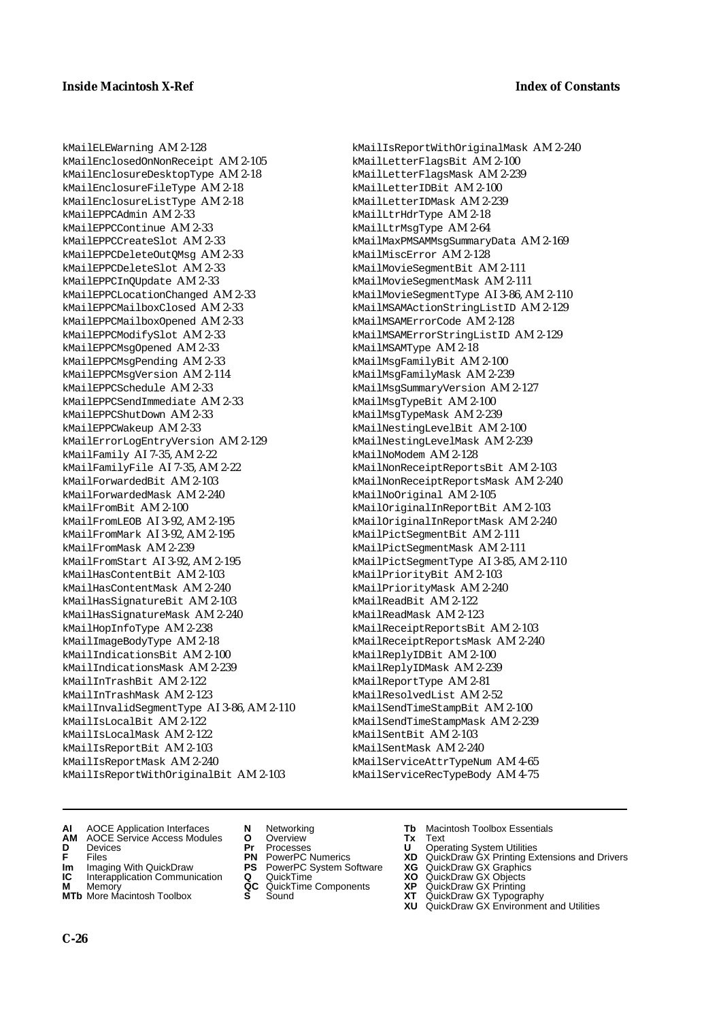kMailELEWarning AM 2-128 kMailEnclosedOnNonReceipt AM 2-105 kMailEnclosureDesktopType AM 2-18 kMailEnclosureFileType AM 2-18 kMailEnclosureListType AM 2-18 kMailEPPCAdmin AM 2-33 kMailEPPCContinue AM 2-33 kMailEPPCCreateSlot AM 2-33 kMailEPPCDeleteOutQMsg AM 2-33 kMailEPPCDeleteSlot AM 2-33 kMailEPPCInQUpdate AM 2-33 kMailEPPCLocationChanged AM 2-33 kMailEPPCMailboxClosed AM 2-33 kMailEPPCMailboxOpened AM 2-33 kMailEPPCModifySlot AM 2-33 kMailEPPCMsgOpened AM 2-33 kMailEPPCMsgPending AM 2-33 kMailEPPCMsgVersion AM 2-114 kMailEPPCSchedule AM 2-33 kMailEPPCSendImmediate AM 2-33 kMailEPPCShutDown AM 2-33 kMailEPPCWakeup AM 2-33 kMailErrorLogEntryVersion AM 2-129 kMailFamily AI 7-35, AM 2-22 kMailFamilyFile AI 7-35, AM 2-22 kMailForwardedBit AM 2-103 kMailForwardedMask AM 2-240 kMailFromBit AM 2-100 kMailFromLEOB AI 3-92, AM 2-195 kMailFromMark AI 3-92, AM 2-195 kMailFromMask AM 2-239 kMailFromStart AI 3-92, AM 2-195 kMailHasContentBit AM 2-103 kMailHasContentMask AM 2-240 kMailHasSignatureBit AM 2-103 kMailHasSignatureMask AM 2-240 kMailHopInfoType AM 2-238 kMailImageBodyType AM 2-18 kMailIndicationsBit AM 2-100 kMailIndicationsMask AM 2-239 kMailInTrashBit AM 2-122 kMailInTrashMask AM 2-123 kMailInvalidSegmentType AI 3-86, AM 2-110 kMailIsLocalBit AM 2-122 kMailIsLocalMask AM 2-122 kMailIsReportBit AM 2-103 kMailIsReportMask AM 2-240 kMailIsReportWithOriginalBit AM 2-103

kMailIsReportWithOriginalMask AM 2-240 kMailLetterFlagsBit AM 2-100 kMailLetterFlagsMask AM 2-239 kMailLetterIDBit AM 2-100 kMailLetterIDMask AM 2-239 kMailLtrHdrType AM 2-18 kMailLtrMsgType AM 2-64 kMailMaxPMSAMMsgSummaryData AM 2-169 kMailMiscError AM 2-128 kMailMovieSegmentBit AM 2-111 kMailMovieSegmentMask AM 2-111 kMailMovieSegmentType AI 3-86, AM 2-110 kMailMSAMActionStringListID AM 2-129 kMailMSAMErrorCode AM 2-128 kMailMSAMErrorStringListID AM 2-129 kMailMSAMType AM 2-18 kMailMsgFamilyBit AM 2-100 kMailMsgFamilyMask AM 2-239 kMailMsgSummaryVersion AM 2-127 kMailMsgTypeBit AM 2-100 kMailMsgTypeMask AM 2-239 kMailNestingLevelBit AM 2-100 kMailNestingLevelMask AM 2-239 kMailNoModem AM 2-128 kMailNonReceiptReportsBit AM 2-103 kMailNonReceiptReportsMask AM 2-240 kMailNoOriginal AM 2-105 kMailOriginalInReportBit AM 2-103 kMailOriginalInReportMask AM 2-240 kMailPictSegmentBit AM 2-111 kMailPictSegmentMask AM 2-111 kMailPictSegmentType AI 3-85, AM 2-110 kMailPriorityBit AM 2-103 kMailPriorityMask AM 2-240 kMailReadBit AM 2-122 kMailReadMask AM 2-123 kMailReceiptReportsBit AM 2-103 kMailReceiptReportsMask AM 2-240 kMailReplyIDBit AM 2-100 kMailReplyIDMask AM 2-239 kMailReportType AM 2-81 kMailResolvedList AM 2-52 kMailSendTimeStampBit AM 2-100 kMailSendTimeStampMask AM 2-239 kMailSentBit AM 2-103 kMailSentMask AM 2-240 kMailServiceAttrTypeNum AM 4-65 kMailServiceRecTypeBody AM 4-75

- **AI** AOCE Application Interfaces **N** Networking **Tb** Macintosh Toolbox Essentials
- **AM** AOCE Service Access Modules **O** Overview **Tx** Text
- 
- 
- 
- **IC** Interapplication Communication **Q** QuickTime **M** Memory **CALC A** Memory **M** Memory **Markt Communication**<br> **M** Memory **QC** QuickTime Components<br> **MTb** More Macintosh Toolbox **S** Sound
- **MTb** More Macintosh Toolbox **S** Sound **XT** QuickDraw GX Typography
- 
- **D** Devices **Pr** Processes **U** Operating System Utilities
	-
- **Im** Imaging With QuickDraw **PS** PowerPC System Software **XG** QuickDraw GX Graphics
	-
	-
	-
- 
- 
- **FILENCE ACCESS MODULES CONSUMING PROCESSES**<br> **F** Files **PN** PowerPC Numerics **XD** QuickDraw GX Printing Extensions and Drivers<br> **F** Files **PN** PowerPC System Software **XG** QuickDraw GX Graphics
	-
	-
	-
	-
	- **XU** QuickDraw GX Environment and Utilities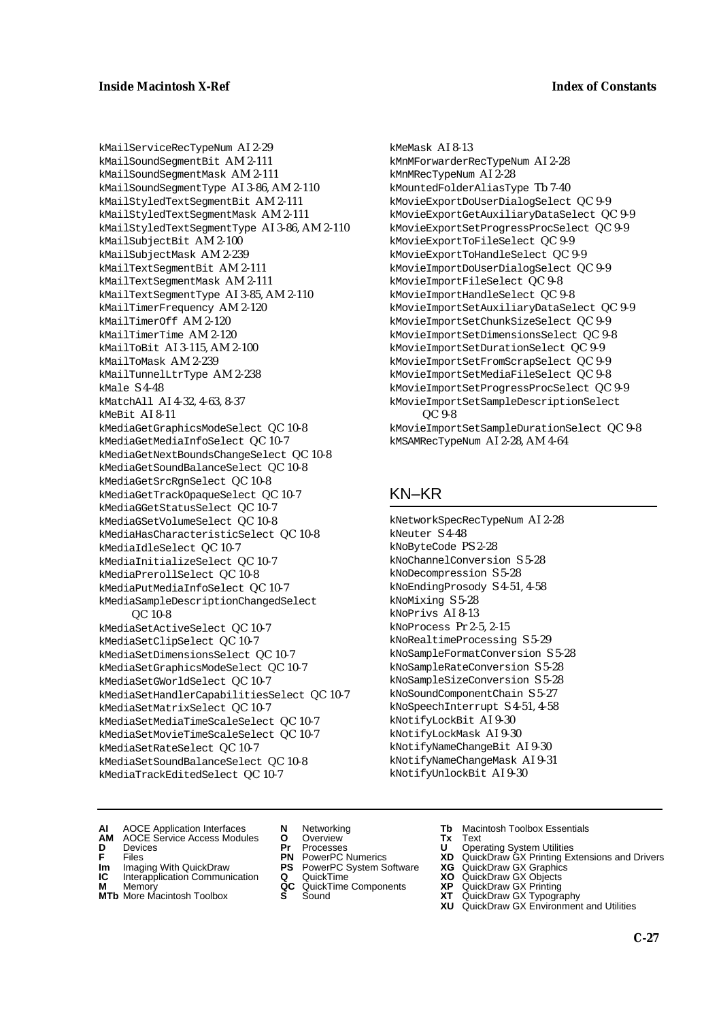kMailServiceRecTypeNum AI 2-29 kMailSoundSegmentBit AM 2-111 kMailSoundSegmentMask AM 2-111 kMailSoundSegmentType AI 3-86, AM 2-110 kMailStyledTextSegmentBit AM 2-111 kMailStyledTextSegmentMask AM 2-111 kMailStyledTextSegmentType AI 3-86, AM 2-110 kMailSubjectBit AM 2-100 kMailSubjectMask AM 2-239 kMailTextSegmentBit AM 2-111 kMailTextSegmentMask AM 2-111 kMailTextSegmentType AI 3-85, AM 2-110 kMailTimerFrequency AM 2-120 kMailTimerOff AM 2-120 kMailTimerTime AM 2-120 kMailToBit AI 3-115, AM 2-100 kMailToMask AM 2-239 kMailTunnelLtrType AM 2-238 kMale S 4-48 kMatchAll AI 4-32, 4-63, 8-37 kMeBit AI 8-11 kMediaGetGraphicsModeSelect QC 10-8 kMediaGetMediaInfoSelect QC 10-7 kMediaGetNextBoundsChangeSelect QC 10-8 kMediaGetSoundBalanceSelect QC 10-8 kMediaGetSrcRgnSelect QC 10-8 kMediaGetTrackOpaqueSelect QC 10-7 kMediaGGetStatusSelect QC 10-7 kMediaGSetVolumeSelect QC 10-8 kMediaHasCharacteristicSelect QC 10-8 kMediaIdleSelect QC 10-7 kMediaInitializeSelect QC 10-7 kMediaPrerollSelect QC 10-8 kMediaPutMediaInfoSelect QC 10-7 kMediaSampleDescriptionChangedSelect QC 10-8 kMediaSetActiveSelect QC 10-7 kMediaSetClipSelect QC 10-7 kMediaSetDimensionsSelect QC 10-7 kMediaSetGraphicsModeSelect QC 10-7 kMediaSetGWorldSelect QC 10-7 kMediaSetHandlerCapabilitiesSelect QC 10-7 kMediaSetMatrixSelect QC 10-7 kMediaSetMediaTimeScaleSelect QC 10-7 kMediaSetMovieTimeScaleSelect QC 10-7 kMediaSetRateSelect QC 10-7 kMediaSetSoundBalanceSelect QC 10-8 kMediaTrackEditedSelect QC 10-7

kMeMask AI 8-13 kMnMForwarderRecTypeNum AI 2-28 kMnMRecTypeNum AI 2-28 kMountedFolderAliasType Tb 7-40 kMovieExportDoUserDialogSelect QC 9-9 kMovieExportGetAuxiliaryDataSelect QC 9-9 kMovieExportSetProgressProcSelect QC 9-9 kMovieExportToFileSelect QC 9-9 kMovieExportToHandleSelect QC 9-9 kMovieImportDoUserDialogSelect QC 9-9 kMovieImportFileSelect QC 9-8 kMovieImportHandleSelect QC 9-8 kMovieImportSetAuxiliaryDataSelect QC 9-9 kMovieImportSetChunkSizeSelect QC 9-9 kMovieImportSetDimensionsSelect QC 9-8 kMovieImportSetDurationSelect QC 9-9 kMovieImportSetFromScrapSelect QC 9-9 kMovieImportSetMediaFileSelect QC 9-8 kMovieImportSetProgressProcSelect QC 9-9 kMovieImportSetSampleDescriptionSelect QC 9-8 kMovieImportSetSampleDurationSelect QC 9-8

# kMSAMRecTypeNum AI 2-28, AM 4-64

## KN–KR

kNetworkSpecRecTypeNum AI 2-28 kNeuter S 4-48 kNoByteCode PS 2-28 kNoChannelConversion S 5-28 kNoDecompression S 5-28 kNoEndingProsody S 4-51, 4-58 kNoMixing S 5-28 kNoPrivs AI 8-13 kNoProcess Pr 2-5, 2-15 kNoRealtimeProcessing S 5-29 kNoSampleFormatConversion S 5-28 kNoSampleRateConversion S 5-28 kNoSampleSizeConversion S 5-28 kNoSoundComponentChain S 5-27 kNoSpeechInterrupt S 4-51, 4-58 kNotifyLockBit AI 9-30 kNotifyLockMask AI 9-30 kNotifyNameChangeBit AI 9-30 kNotifyNameChangeMask AI 9-31 kNotifyUnlockBit AI 9-30

- **AI** AOCE Application Interfaces **N** Networking **Tb** Macintosh Toolbox Essentials
- **AM** AOCE Service Access Modules **O** Overview **Tx** Text
- 
- 
- **Im** Files<br> **Im** Imaging With QuickDraw **PS** PowerPC System Software **XG**<br> **IC** Interapplication Communication **Q** QuickTime **XO IC** Interapplication Communication **Q** QuickTime **XO M** Memory **XP QC** QuickTime Components **XP**
- **M** Memory **Manufacture Communication**<br> **M** Memory **QC** QuickTime Components **XP**<br> **MTb** More Macintosh Toolbox **S** Sound **XT**
- **MTb** More Macintosh Toolbox **S** Sound **XT** QuickDraw GX Typography
- 
- **D** Devices **Pr** Processes **U** Operating System Utilities
	-
	-
	-
	-
- 
- 
- **F** Files **PN** PowerPC Numerics **XD** QuickDraw GX Printing Extensions and Drivers
	-
	-
	-
	- **XU** QuickDraw GX Environment and Utilities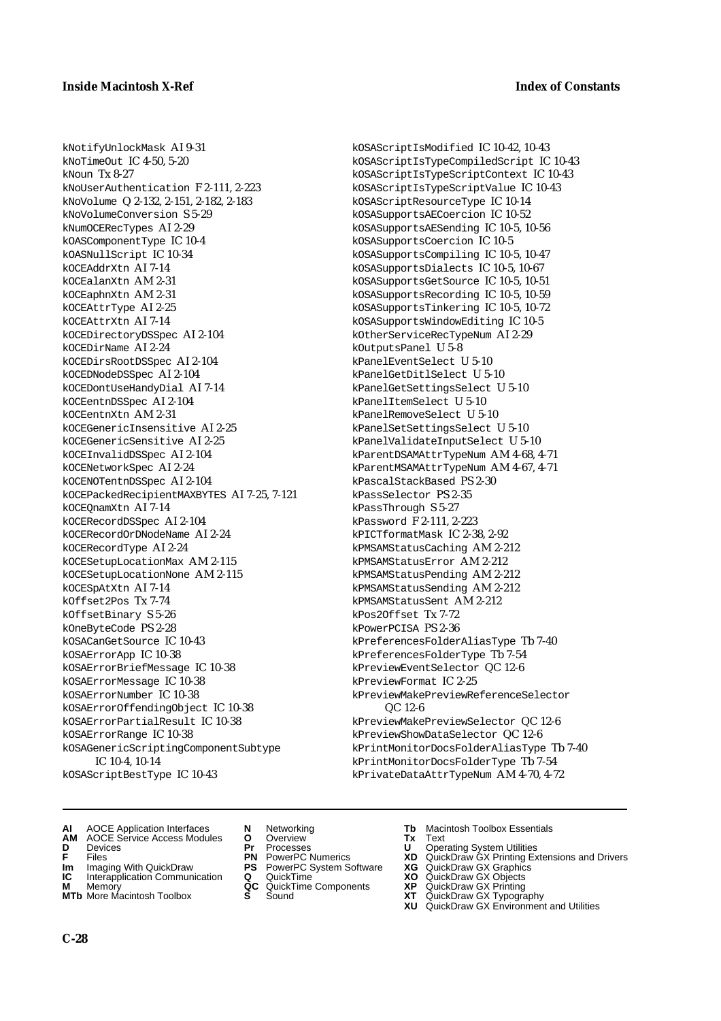kNotifyUnlockMask AI 9-31 kNoTimeOut IC 4-50, 5-20 kNoun Tx 8-27 kNoUserAuthentication F 2-111, 2-223 kNoVolume Q 2-132, 2-151, 2-182, 2-183 kNoVolumeConversion S 5-29 kNumOCERecTypes AI 2-29 kOASComponentType IC 10-4 kOASNullScript IC 10-34 kOCEAddrXtn AI 7-14 kOCEalanXtn AM 2-31 kOCEaphnXtn AM 2-31 kOCEAttrType AI 2-25 kOCEAttrXtn AI 7-14 kOCEDirectoryDSSpec AI 2-104 kOCEDirName AI 2-24 kOCEDirsRootDSSpec AI 2-104 kOCEDNodeDSSpec AI 2-104 kOCEDontUseHandyDial AI 7-14 kOCEentnDSSpec AI 2-104 kOCEentnXtn AM 2-31 kOCEGenericInsensitive AI 2-25 kOCEGenericSensitive AI 2-25 kOCEInvalidDSSpec AI 2-104 kOCENetworkSpec AI 2-24 kOCENOTentnDSSpec AI 2-104 kOCEPackedRecipientMAXBYTES AI 7-25, 7-121 kOCEQnamXtn AI 7-14 kOCERecordDSSpec AI 2-104 kOCERecordOrDNodeName AI 2-24 kOCERecordType AI 2-24 kOCESetupLocationMax AM 2-115 kOCESetupLocationNone AM 2-115 kOCESpAtXtn AI 7-14 kOffset2Pos Tx 7-74 kOffsetBinary S 5-26 kOneByteCode PS 2-28 kOSACanGetSource IC 10-43 kOSAErrorApp IC 10-38 kOSAErrorBriefMessage IC 10-38 kOSAErrorMessage IC 10-38 kOSAErrorNumber IC 10-38 kOSAErrorOffendingObject IC 10-38 kOSAErrorPartialResult IC 10-38 kOSAErrorRange IC 10-38 kOSAGenericScriptingComponentSubtype IC 10-4, 10-14 kOSAScriptBestType IC 10-43

kOSAScriptIsModified IC 10-42, 10-43 kOSAScriptIsTypeCompiledScript IC 10-43 kOSAScriptIsTypeScriptContext IC 10-43 kOSAScriptIsTypeScriptValue IC 10-43 kOSAScriptResourceType IC 10-14 kOSASupportsAECoercion IC 10-52 kOSASupportsAESending IC 10-5, 10-56 kOSASupportsCoercion IC 10-5 kOSASupportsCompiling IC 10-5, 10-47 kOSASupportsDialects IC 10-5, 10-67 kOSASupportsGetSource IC 10-5, 10-51 kOSASupportsRecording IC 10-5, 10-59 kOSASupportsTinkering IC 10-5, 10-72 kOSASupportsWindowEditing IC 10-5 kOtherServiceRecTypeNum AI 2-29 kOutputsPanel U 5-8 kPanelEventSelect U 5-10 kPanelGetDitlSelect U 5-10 kPanelGetSettingsSelect U 5-10 kPanelItemSelect U 5-10 kPanelRemoveSelect U 5-10 kPanelSetSettingsSelect U 5-10 kPanelValidateInputSelect U 5-10 kParentDSAMAttrTypeNum AM 4-68, 4-71 kParentMSAMAttrTypeNum AM 4-67, 4-71 kPascalStackBased PS 2-30 kPassSelector PS 2-35 kPassThrough S 5-27 kPassword F 2-111, 2-223 kPICTformatMask IC 2-38, 2-92 kPMSAMStatusCaching AM 2-212 kPMSAMStatusError AM 2-212 kPMSAMStatusPending AM 2-212 kPMSAMStatusSending AM 2-212 kPMSAMStatusSent AM 2-212 kPos2Offset Tx 7-72 kPowerPCISA PS 2-36 kPreferencesFolderAliasType Tb 7-40 kPreferencesFolderType Tb 7-54 kPreviewEventSelector QC 12-6 kPreviewFormat IC 2-25 kPreviewMakePreviewReferenceSelector QC 12-6 kPreviewMakePreviewSelector QC 12-6 kPreviewShowDataSelector QC 12-6 kPrintMonitorDocsFolderAliasType Tb 7-40 kPrintMonitorDocsFolderType Tb 7-54 kPrivateDataAttrTypeNum AM 4-70, 4-72

- **AI** AOCE Application Interfaces **N** Networking **Tb** Macintosh Toolbox Essentials
- **AM** AOCE Service Access Modules **O** Overview **Tx** Text
- 
- 
- **Im** Imaging With QuickDraw **PS** PowerPC System Software **XG IC** Interapplication Communication **Q** QuickTime **COVIC**
- **IC** Interapplication Communication **Q** QuickTime **XO XO M** Memory **XP QC** QuickTime Components **XP**
- **M** Memory **CONSISTENT MANUS CONSISTENT MANUSCRIPT MANUSCRIPT MANUSCRIPT MANUSCRIPT MANUSCRIPT MANUSCRIPT MANUSCRIPT MANUSCRIPT MANUSCRIPT MANUSCRIPT MANUSCRIPT MANUSCRIPT MANUSCRIPT MANUSCRIPT MANUSCRIPT MANUSCRIPT MANU MTb** More Macintosh Toolbox **S** Sound **XT** QuickDraw GX Typography
- 
- 
- 
- 
- -
- 
- **D** Devices **Pr** Processes **U** Operating System Utilities
- **F** Files **PN** PowerPC Numerics **XD** QuickDraw GX Printing Extensions and Drivers
	-
	-
	-
	-
	- **XU** QuickDraw GX Environment and Utilities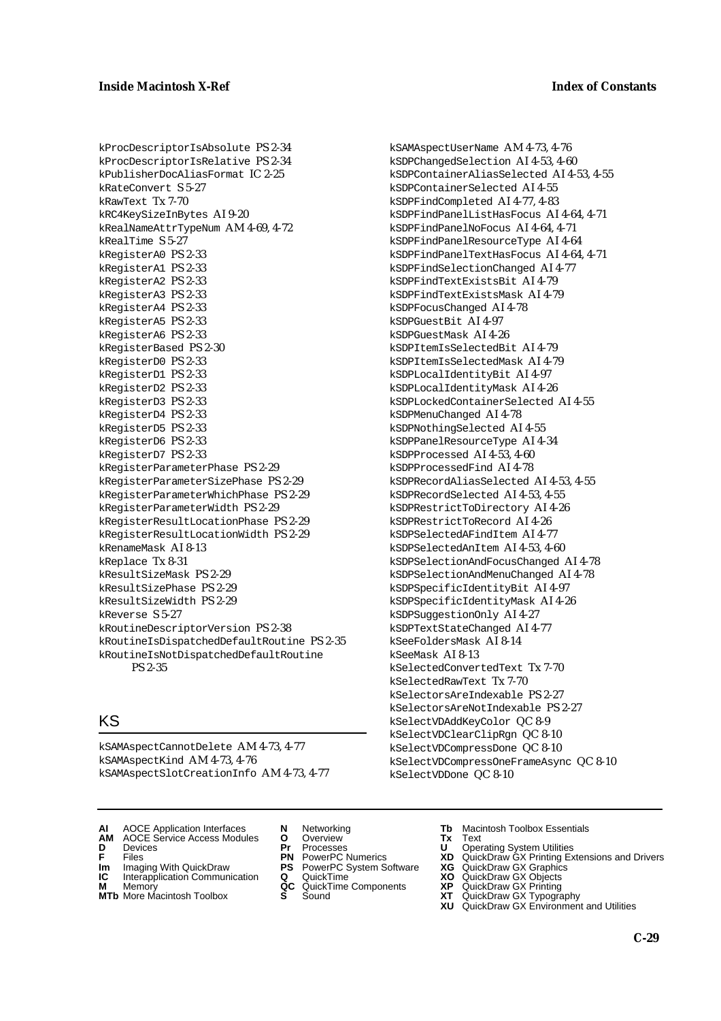kProcDescriptorIsAbsolute PS 2-34 kProcDescriptorIsRelative PS 2-34 kPublisherDocAliasFormat IC 2-25 kRateConvert S 5-27 kRawText Tx 7-70 kRC4KeySizeInBytes AI 9-20 kRealNameAttrTypeNum AM 4-69, 4-72 kRealTime S 5-27 kRegisterA0 PS 2-33 kRegisterA1 PS 2-33 kRegisterA2 PS 2-33 kRegisterA3 PS 2-33 kRegisterA4 PS 2-33 kRegisterA5 PS 2-33 kRegisterA6 PS 2-33 kRegisterBased PS 2-30 kRegisterD0 PS 2-33 kRegisterD1 PS 2-33 kRegisterD2 PS 2-33 kRegisterD3 PS 2-33 kRegisterD4 PS 2-33 kRegisterD5 PS 2-33 kRegisterD6 PS 2-33 kRegisterD7 PS 2-33 kRegisterParameterPhase PS 2-29 kRegisterParameterSizePhase PS 2-29 kRegisterParameterWhichPhase PS 2-29 kRegisterParameterWidth PS 2-29 kRegisterResultLocationPhase PS 2-29 kRegisterResultLocationWidth PS 2-29 kRenameMask AI 8-13 kReplace Tx 8-31 kResultSizeMask PS 2-29 kResultSizePhase PS 2-29 kResultSizeWidth PS 2-29 kReverse S 5-27 kRoutineDescriptorVersion PS 2-38 kRoutineIsDispatchedDefaultRoutine PS 2-35 kRoutineIsNotDispatchedDefaultRoutine PS 2-35

## KS

kSAMAspectCannotDelete AM 4-73, 4-77 kSAMAspectKind AM 4-73, 4-76 kSAMAspectSlotCreationInfo AM 4-73, 4-77

- **AI** AOCE Application Interfaces **N** Networking **Tb** Macintosh Toolbox Essentials
- **AM** AOCE Service Access Modules **O** Overview **Tx** Text
- 
- **Im** Imaging With QuickDraw **PS** PowerPC System Software **XG IC** Interapplication Communication **Q** QuickTime **XO**
- **IC** Interapplication Communication **Q** QuickTime **XO M** Memory **XP QC** QuickTime Components **XP**
- **M** Memory **QC** QuickTime Components **XP**<br> **MTb** More Macintosh Toolbox **S** Sound **XT**<br> **XU**
- 
- **D** Devices **Pr** Processes **U** Operating System Utilities
	-
	-
	-
	-

kSAMAspectUserName AM 4-73, 4-76 kSDPChangedSelection AI 4-53, 4-60 kSDPContainerAliasSelected AI 4-53, 4-55 kSDPContainerSelected AI 4-55 kSDPFindCompleted AI 4-77, 4-83 kSDPFindPanelListHasFocus AI 4-64, 4-71 kSDPFindPanelNoFocus AI 4-64, 4-71 kSDPFindPanelResourceType AI 4-64 kSDPFindPanelTextHasFocus AI 4-64, 4-71 kSDPFindSelectionChanged AI 4-77 kSDPFindTextExistsBit AI 4-79 kSDPFindTextExistsMask AI 4-79 kSDPFocusChanged AI 4-78 kSDPGuestBit AI 4-97 kSDPGuestMask AI 4-26 kSDPItemIsSelectedBit AI 4-79 kSDPItemIsSelectedMask AI 4-79 kSDPLocalIdentityBit AI 4-97 kSDPLocalIdentityMask AI 4-26 kSDPLockedContainerSelected AI 4-55 kSDPMenuChanged AI 4-78 kSDPNothingSelected AI 4-55 kSDPPanelResourceType AI 4-34 kSDPProcessed AI 4-53, 4-60 kSDPProcessedFind AI 4-78 kSDPRecordAliasSelected AI 4-53, 4-55 kSDPRecordSelected AI 4-53, 4-55 kSDPRestrictToDirectory AI 4-26 kSDPRestrictToRecord AI 4-26 kSDPSelectedAFindItem AI 4-77 kSDPSelectedAnItem AI 4-53, 4-60 kSDPSelectionAndFocusChanged AI 4-78 kSDPSelectionAndMenuChanged AI 4-78 kSDPSpecificIdentityBit AI 4-97 kSDPSpecificIdentityMask AI 4-26 kSDPSuggestionOnly AI 4-27 kSDPTextStateChanged AI 4-77 kSeeFoldersMask AI 8-14 kSeeMask AI 8-13 kSelectedConvertedText Tx 7-70 kSelectedRawText Tx 7-70 kSelectorsAreIndexable PS 2-27 kSelectorsAreNotIndexable PS 2-27 kSelectVDAddKeyColor QC 8-9 kSelectVDClearClipRgn QC 8-10 kSelectVDCompressDone QC 8-10 kSelectVDCompressOneFrameAsync QC 8-10 kSelectVDDone QC 8-10

- 
- 
- **F** Files **PN** PowerPC Numerics **XD** QuickDraw GX Printing Extensions and Drivers
	-
	-
	-
- **MTb** More Macintosh Toolbox **S** Sound **XT** QuickDraw GX Typography
	- **XU** QuickDraw GX Environment and Utilities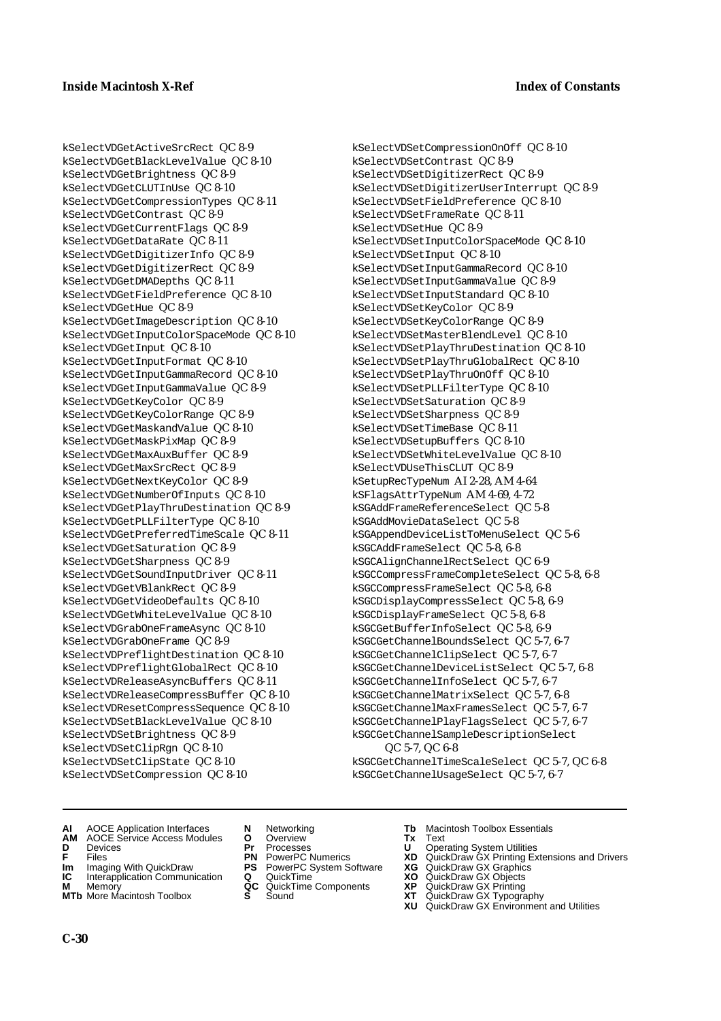kSelectVDGetActiveSrcRect QC 8-9 kSelectVDGetBlackLevelValue QC 8-10 kSelectVDGetBrightness QC 8-9 kSelectVDGetCLUTInUse QC 8-10 kSelectVDGetCompressionTypes QC 8-11 kSelectVDGetContrast QC 8-9 kSelectVDGetCurrentFlags QC 8-9 kSelectVDGetDataRate QC 8-11 kSelectVDGetDigitizerInfo QC 8-9 kSelectVDGetDigitizerRect QC 8-9 kSelectVDGetDMADepths QC 8-11 kSelectVDGetFieldPreference QC 8-10 kSelectVDGetHue QC 8-9 kSelectVDGetImageDescription QC 8-10 kSelectVDGetInputColorSpaceMode QC 8-10 kSelectVDGetInput QC 8-10 kSelectVDGetInputFormat QC 8-10 kSelectVDGetInputGammaRecord QC 8-10 kSelectVDGetInputGammaValue QC 8-9 kSelectVDGetKeyColor QC 8-9 kSelectVDGetKeyColorRange QC 8-9 kSelectVDGetMaskandValue QC 8-10 kSelectVDGetMaskPixMap QC 8-9 kSelectVDGetMaxAuxBuffer QC 8-9 kSelectVDGetMaxSrcRect QC 8-9 kSelectVDGetNextKeyColor QC 8-9 kSelectVDGetNumberOfInputs QC 8-10 kSelectVDGetPlayThruDestination QC 8-9 kSelectVDGetPLLFilterType QC 8-10 kSelectVDGetPreferredTimeScale QC 8-11 kSelectVDGetSaturation QC 8-9 kSelectVDGetSharpness QC 8-9 kSelectVDGetSoundInputDriver QC 8-11 kSelectVDGetVBlankRect QC 8-9 kSelectVDGetVideoDefaults QC 8-10 kSelectVDGetWhiteLevelValue QC 8-10 kSelectVDGrabOneFrameAsync QC 8-10 kSelectVDGrabOneFrame QC 8-9 kSelectVDPreflightDestination QC 8-10 kSelectVDPreflightGlobalRect QC 8-10 kSelectVDReleaseAsyncBuffers QC 8-11 kSelectVDReleaseCompressBuffer QC 8-10 kSelectVDResetCompressSequence QC 8-10 kSelectVDSetBlackLevelValue QC 8-10 kSelectVDSetBrightness QC 8-9 kSelectVDSetClipRgn QC 8-10 kSelectVDSetClipState QC 8-10 kSelectVDSetCompression QC 8-10

kSelectVDSetCompressionOnOff QC 8-10 kSelectVDSetContrast QC 8-9 kSelectVDSetDigitizerRect QC 8-9 kSelectVDSetDigitizerUserInterrupt QC 8-9 kSelectVDSetFieldPreference QC 8-10 kSelectVDSetFrameRate QC 8-11 kSelectVDSetHue QC 8-9 kSelectVDSetInputColorSpaceMode QC 8-10 kSelectVDSetInput QC 8-10 kSelectVDSetInputGammaRecord QC 8-10 kSelectVDSetInputGammaValue QC 8-9 kSelectVDSetInputStandard QC 8-10 kSelectVDSetKeyColor QC 8-9 kSelectVDSetKeyColorRange QC 8-9 kSelectVDSetMasterBlendLevel QC 8-10 kSelectVDSetPlayThruDestination QC 8-10 kSelectVDSetPlayThruGlobalRect QC 8-10 kSelectVDSetPlayThruOnOff QC 8-10 kSelectVDSetPLLFilterType QC 8-10 kSelectVDSetSaturation QC 8-9 kSelectVDSetSharpness QC 8-9 kSelectVDSetTimeBase QC 8-11 kSelectVDSetupBuffers QC 8-10 kSelectVDSetWhiteLevelValue QC 8-10 kSelectVDUseThisCLUT QC 8-9 kSetupRecTypeNum AI 2-28, AM 4-64 kSFlagsAttrTypeNum AM 4-69, 4-72 kSGAddFrameReferenceSelect QC 5-8 kSGAddMovieDataSelect QC 5-8 kSGAppendDeviceListToMenuSelect QC 5-6 kSGCAddFrameSelect QC 5-8, 6-8 kSGCAlignChannelRectSelect QC 6-9 kSGCCompressFrameCompleteSelect QC 5-8, 6-8 kSGCCompressFrameSelect QC 5-8, 6-8 kSGCDisplayCompressSelect QC 5-8, 6-9 kSGCDisplayFrameSelect QC 5-8, 6-8 kSGCGetBufferInfoSelect QC 5-8, 6-9 kSGCGetChannelBoundsSelect QC 5-7, 6-7 kSGCGetChannelClipSelect QC 5-7, 6-7 kSGCGetChannelDeviceListSelect QC 5-7, 6-8 kSGCGetChannelInfoSelect QC 5-7, 6-7 kSGCGetChannelMatrixSelect QC 5-7, 6-8 kSGCGetChannelMaxFramesSelect QC 5-7, 6-7 kSGCGetChannelPlayFlagsSelect QC 5-7, 6-7 kSGCGetChannelSampleDescriptionSelect QC 5-7, QC 6-8

kSGCGetChannelTimeScaleSelect QC 5-7, QC 6-8 kSGCGetChannelUsageSelect QC 5-7, 6-7

- **AI** AOCE Application Interfaces **N** Networking **Tb** Macintosh Toolbox Essentials
- **AM** AOCE Service Access Modules **O** Overview **Tx** Text
- 
- 
- **Im** Imaging With QuickDraw **PS** PowerPC System Software **XG** QuickDraw GX Graphics
- **Im** Imaging With QuickDraw **PS** PowerPC System Software<br> **IC** Interapplication Communication **Q** QuickTime<br> **M** Memorv **GC** QuickTime Components
- **M** Memory **Markt Communication**<br> **M** Memory **QC** QuickTime Components<br> **MTb** More Macintosh Toolbox **S** Sound **MTb** More Macintosh Toolbox **S** Sound **XT** QuickDraw GX Typography
- 
- 
- 
- 
- -
- 
- **D** Devices **Pr** Processes **U** Operating System Utilities
- **F** Files **PN** PowerPC Numerics **XD** QuickDraw GX Printing Extensions and Drivers
	-
	-
	-
	- **XU** QuickDraw GX Environment and Utilities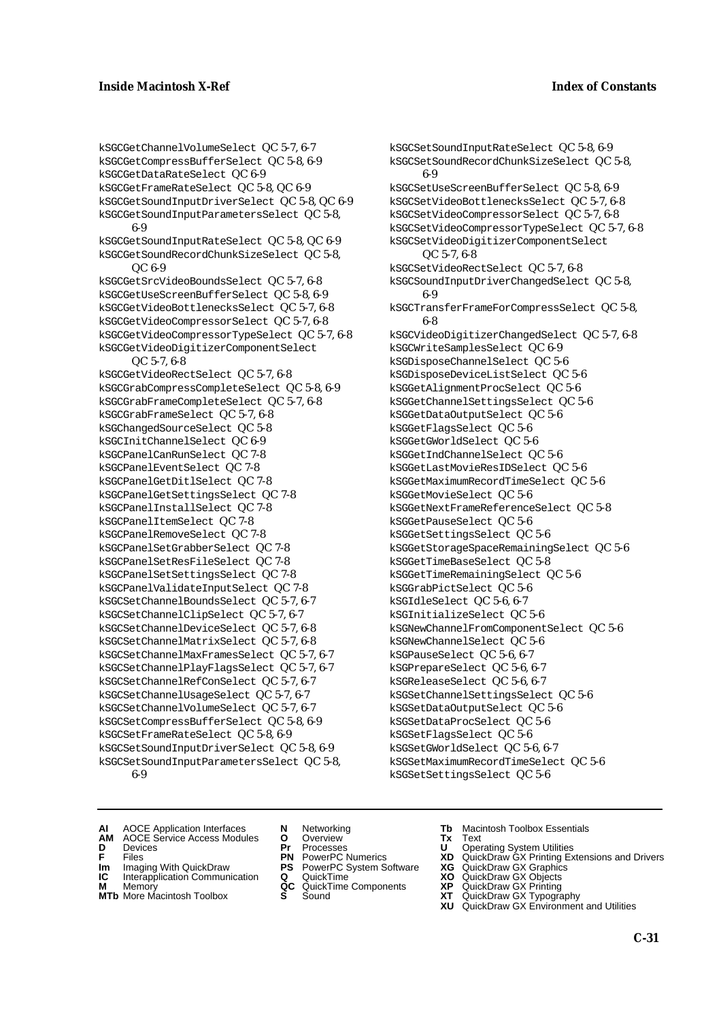kSGCSetSoundInputRateSelect QC 5-8, 6-9 kSGCSetSoundRecordChunkSizeSelect QC 5-8,

kSGCSetUseScreenBufferSelect QC 5-8, 6-9 kSGCSetVideoBottlenecksSelect QC 5-7, 6-8 kSGCSetVideoCompressorSelect QC 5-7, 6-8 kSGCSetVideoCompressorTypeSelect QC 5-7, 6-8 kSGCSetVideoDigitizerComponentSelect

kSGCSoundInputDriverChangedSelect QC 5-8,

kSGCTransferFrameForCompressSelect QC 5-8,

kSGCVideoDigitizerChangedSelect QC 5-7, 6-8

kSGCSetVideoRectSelect QC 5-7, 6-8

kSGCWriteSamplesSelect QC 6-9 kSGDisposeChannelSelect QC 5-6 kSGDisposeDeviceListSelect QC 5-6 kSGGetAlignmentProcSelect QC 5-6 kSGGetChannelSettingsSelect QC 5-6 kSGGetDataOutputSelect QC 5-6 kSGGetFlagsSelect QC 5-6 kSGGetGWorldSelect QC 5-6 kSGGetIndChannelSelect QC 5-6 kSGGetLastMovieResIDSelect QC 5-6 kSGGetMaximumRecordTimeSelect QC 5-6

kSGGetMovieSelect QC 5-6

kSGGetPauseSelect QC 5-6 kSGGetSettingsSelect QC 5-6

kSGGrabPictSelect QC 5-6 kSGIdleSelect QC 5-6, 6-7 kSGInitializeSelect QC 5-6

kSGNewChannelSelect QC 5-6 kSGPauseSelect QC 5-6, 6-7 kSGPrepareSelect QC 5-6, 6-7 kSGReleaseSelect QC 5-6, 6-7

kSGGetTimeBaseSelect QC 5-8 kSGGetTimeRemainingSelect QC 5-6

kSGGetNextFrameReferenceSelect QC 5-8

kSGGetStorageSpaceRemainingSelect QC 5-6

kSGNewChannelFromComponentSelect QC 5-6

kSGSetChannelSettingsSelect QC 5-6 kSGSetDataOutputSelect QC 5-6 kSGSetDataProcSelect QC 5-6 kSGSetFlagsSelect QC 5-6 kSGSetGWorldSelect QC 5-6, 6-7

kSGSetMaximumRecordTimeSelect QC 5-6

6-9

6-9

6-8

QC 5-7, 6-8

kSGCGetChannelVolumeSelect QC 5-7, 6-7 kSGCGetCompressBufferSelect QC 5-8, 6-9 kSGCGetDataRateSelect QC 6-9 kSGCGetFrameRateSelect QC 5-8, QC 6-9 kSGCGetSoundInputDriverSelect QC 5-8, QC 6-9 kSGCGetSoundInputParametersSelect QC 5-8, 6-9 kSGCGetSoundInputRateSelect QC 5-8, QC 6-9 kSGCGetSoundRecordChunkSizeSelect QC 5-8, QC 6-9 kSGCGetSrcVideoBoundsSelect QC 5-7, 6-8 kSGCGetUseScreenBufferSelect QC 5-8, 6-9 kSGCGetVideoBottlenecksSelect QC 5-7, 6-8 kSGCGetVideoCompressorSelect QC 5-7, 6-8 kSGCGetVideoCompressorTypeSelect QC 5-7, 6-8 kSGCGetVideoDigitizerComponentSelect QC 5-7, 6-8 kSGCGetVideoRectSelect QC 5-7, 6-8 kSGCGrabCompressCompleteSelect QC 5-8, 6-9 kSGCGrabFrameCompleteSelect QC 5-7, 6-8 kSGCGrabFrameSelect QC 5-7, 6-8 kSGChangedSourceSelect QC 5-8 kSGCInitChannelSelect QC 6-9 kSGCPanelCanRunSelect QC 7-8 kSGCPanelEventSelect QC 7-8 kSGCPanelGetDitlSelect QC 7-8 kSGCPanelGetSettingsSelect QC 7-8 kSGCPanelInstallSelect QC 7-8 kSGCPanelItemSelect QC 7-8 kSGCPanelRemoveSelect QC 7-8 kSGCPanelSetGrabberSelect QC 7-8 kSGCPanelSetResFileSelect QC 7-8 kSGCPanelSetSettingsSelect QC 7-8 kSGCPanelValidateInputSelect QC 7-8 kSGCSetChannelBoundsSelect QC 5-7, 6-7 kSGCSetChannelClipSelect QC 5-7, 6-7 kSGCSetChannelDeviceSelect QC 5-7, 6-8 kSGCSetChannelMatrixSelect QC 5-7, 6-8 kSGCSetChannelMaxFramesSelect QC 5-7, 6-7 kSGCSetChannelPlayFlagsSelect QC 5-7, 6-7 kSGCSetChannelRefConSelect QC 5-7, 6-7 kSGCSetChannelUsageSelect QC 5-7, 6-7 kSGCSetChannelVolumeSelect QC 5-7, 6-7 kSGCSetCompressBufferSelect QC 5-8, 6-9 kSGCSetFrameRateSelect QC 5-8, 6-9 kSGCSetSoundInputDriverSelect QC 5-8, 6-9 kSGCSetSoundInputParametersSelect QC 5-8,

6-9

**AM** AOCE Service Access Modules **O** Overview **Tx** Text

- 
- 
- **Im** Files<br> **Im** Imaging With QuickDraw **PS** PowerPC System Software **XG**<br> **IC** Interapplication Communication **Q** QuickTime **XO IC** Interapplication Communication **Q** QuickTime **XO M** Memory **XP QC** QuickTime Components **XP**
- 
- **MTb** More Macintosh Toolbox **S** Sound **XT** QuickDraw GX Typography
- 
- **D** Devices **Pr** Processes **U** Operating System Utilities
	-
	-
- **M** Memory **CONSISTENT COMPONENT MEMORY MEMORY MEMORY AND MEMORY OF A VIDEO MEMORY CONSISTENT CONSISTENT CONSISTENT CONSISTENT CONSISTENT CONSISTENT CONSISTENT CONSISTENT CONSISTENT CONSISTENT CONSISTENT CONSISTENT CONSIST** 
	-
- **AI** AOCE Application Interfaces **N** Networking **Tb** Macintosh Toolbox Essentials
	-

kSGSetSettingsSelect QC 5-6

- **F** Files **PN** PowerPC Numerics **XD** QuickDraw GX Printing Extensions and Drivers
	-
	-
	-
	-
	- **XU** QuickDraw GX Environment and Utilities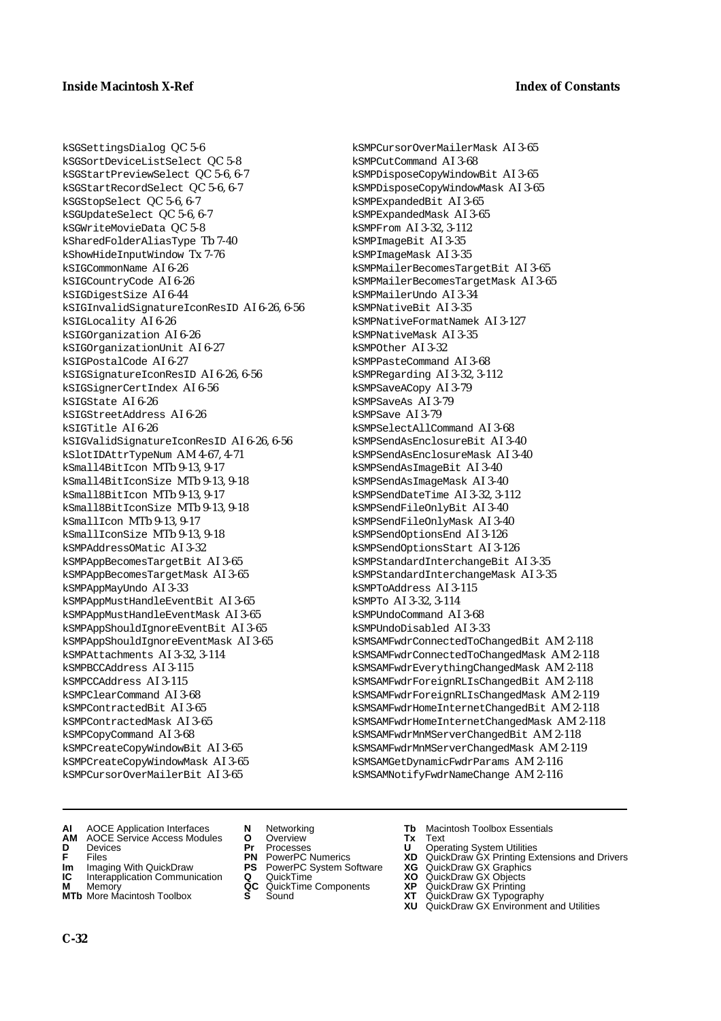kSGSettingsDialog QC 5-6 kSGSortDeviceListSelect QC 5-8 kSGStartPreviewSelect QC 5-6, 6-7 kSGStartRecordSelect QC 5-6, 6-7 kSGStopSelect QC 5-6, 6-7 kSGUpdateSelect QC 5-6, 6-7 kSGWriteMovieData QC 5-8 kSharedFolderAliasType Tb 7-40 kShowHideInputWindow Tx 7-76 kSIGCommonName AI 6-26 kSIGCountryCode AI 6-26 kSIGDigestSize AI 6-44 kSIGInvalidSignatureIconResID AI 6-26, 6-56 kSIGLocality AI 6-26 kSIGOrganization AI 6-26 kSIGOrganizationUnit AI 6-27 kSIGPostalCode AI 6-27 kSIGSignatureIconResID AI 6-26, 6-56 kSIGSignerCertIndex AI 6-56 kSIGState AI 6-26 kSIGStreetAddress AI 6-26 kSIGTitle AI 6-26 kSIGValidSignatureIconResID AI 6-26, 6-56 kSlotIDAttrTypeNum AM 4-67, 4-71 kSmall4BitIcon MTb 9-13, 9-17 kSmall4BitIconSize MTb 9-13, 9-18 kSmall8BitIcon MTb 9-13, 9-17 kSmall8BitIconSize MTb 9-13, 9-18 kSmallIcon MTb 9-13, 9-17 kSmallIconSize MTb 9-13, 9-18 kSMPAddressOMatic AI 3-32 kSMPAppBecomesTargetBit AI 3-65 kSMPAppBecomesTargetMask AI 3-65 kSMPAppMayUndo AI 3-33 kSMPAppMustHandleEventBit AI 3-65 kSMPAppMustHandleEventMask AI 3-65 kSMPAppShouldIgnoreEventBit AI 3-65 kSMPAppShouldIgnoreEventMask AI 3-65 kSMPAttachments AI 3-32, 3-114 kSMPBCCAddress AI 3-115 kSMPCCAddress AI 3-115 kSMPClearCommand AI 3-68 kSMPContractedBit AI 3-65 kSMPContractedMask AI 3-65 kSMPCopyCommand AI 3-68 kSMPCreateCopyWindowBit AI 3-65 kSMPCreateCopyWindowMask AI 3-65 kSMPCursorOverMailerBit AI 3-65

kSMPCursorOverMailerMask AI 3-65 kSMPCutCommand AI 3-68 kSMPDisposeCopyWindowBit AI 3-65 kSMPDisposeCopyWindowMask AI 3-65 kSMPExpandedBit AI 3-65 kSMPExpandedMask AI 3-65 kSMPFrom AI 3-32, 3-112 kSMPImageBit AI 3-35 kSMPImageMask AI 3-35 kSMPMailerBecomesTargetBit AI 3-65 kSMPMailerBecomesTargetMask AI 3-65 kSMPMailerUndo AI 3-34 kSMPNativeBit AI 3-35 kSMPNativeFormatNamek AI 3-127 kSMPNativeMask AI 3-35 kSMPOther AI 3-32 kSMPPasteCommand AI 3-68 kSMPRegarding AI 3-32, 3-112 kSMPSaveACopy AI 3-79 kSMPSaveAs AI 3-79 kSMPSave AI 3-79 kSMPSelectAllCommand AI 3-68 kSMPSendAsEnclosureBit AI 3-40 kSMPSendAsEnclosureMask AI 3-40 kSMPSendAsImageBit AI 3-40 kSMPSendAsImageMask AI 3-40 kSMPSendDateTime AI 3-32, 3-112 kSMPSendFileOnlyBit AI 3-40 kSMPSendFileOnlyMask AI 3-40 kSMPSendOptionsEnd AI 3-126 kSMPSendOptionsStart AI 3-126 kSMPStandardInterchangeBit AI 3-35 kSMPStandardInterchangeMask AI 3-35 kSMPToAddress AI 3-115 kSMPTo AI 3-32, 3-114 kSMPUndoCommand AI 3-68 kSMPUndoDisabled AI 3-33 kSMSAMFwdrConnectedToChangedBit AM 2-118 kSMSAMFwdrConnectedToChangedMask AM 2-118 kSMSAMFwdrEverythingChangedMask AM 2-118 kSMSAMFwdrForeignRLIsChangedBit AM 2-118 kSMSAMFwdrForeignRLIsChangedMask AM 2-119 kSMSAMFwdrHomeInternetChangedBit AM 2-118 kSMSAMFwdrHomeInternetChangedMask AM 2-118 kSMSAMFwdrMnMServerChangedBit AM 2-118 kSMSAMFwdrMnMServerChangedMask AM 2-119 kSMSAMGetDynamicFwdrParams AM 2-116 kSMSAMNotifyFwdrNameChange AM 2-116

- **AI** AOCE Application Interfaces **N** Networking **Tb** Macintosh Toolbox Essentials
- **AM** AOCE Service Access Modules **O** Overview **Tx** Text
- 
- 
- **Im** Imaging With QuickDraw **PS** PowerPC System Software<br> **IC** Interapplication Communication **Q** QuickTime<br> **M** Memorv **GC** QuickTime Components
- **M** Memory **Manual Components QC** QuickTime Components **MTb** More Macintosh Toolbox **S** Sound
- 
- 
- 
- 
- **Im** Imaging With QuickDraw **PS** PowerPC System Software **XG** QuickDraw GX Graphics
	-
	-
- 
- **D** Devices **Pr** Processes **U** Operating System Utilities
- **F** Files **PN** PowerPC Numerics **XD** QuickDraw GX Printing Extensions and Drivers
	-
	-
	-
- **MTb** More Macintosh Toolbox **S** Sound **XT** QuickDraw GX Typography
	- **XU** QuickDraw GX Environment and Utilities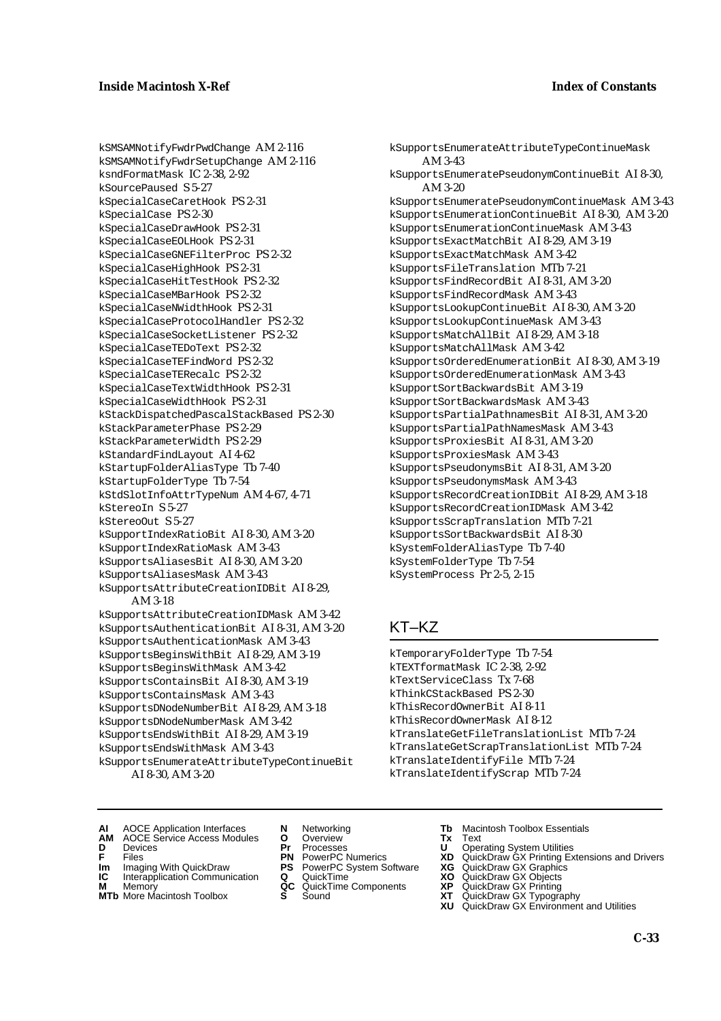kSMSAMNotifyFwdrPwdChange AM 2-116 kSMSAMNotifyFwdrSetupChange AM 2-116 ksndFormatMask IC 2-38, 2-92 kSourcePaused S 5-27 kSpecialCaseCaretHook PS 2-31 kSpecialCase PS 2-30 kSpecialCaseDrawHook PS 2-31 kSpecialCaseEOLHook PS 2-31 kSpecialCaseGNEFilterProc PS 2-32 kSpecialCaseHighHook PS 2-31 kSpecialCaseHitTestHook PS 2-32 kSpecialCaseMBarHook PS 2-32 kSpecialCaseNWidthHook PS 2-31 kSpecialCaseProtocolHandler PS 2-32 kSpecialCaseSocketListener PS 2-32 kSpecialCaseTEDoText PS 2-32 kSpecialCaseTEFindWord PS 2-32 kSpecialCaseTERecalc PS 2-32 kSpecialCaseTextWidthHook PS 2-31 kSpecialCaseWidthHook PS 2-31 kStackDispatchedPascalStackBased PS 2-30 kStackParameterPhase PS 2-29 kStackParameterWidth PS 2-29 kStandardFindLayout AI 4-62 kStartupFolderAliasType Tb 7-40 kStartupFolderType Tb 7-54 kStdSlotInfoAttrTypeNum AM 4-67, 4-71  $k$ StereoIn  $S$  5-27 kStereoOut S 5-27 kSupportIndexRatioBit AI 8-30, AM 3-20 kSupportIndexRatioMask AM 3-43 kSupportsAliasesBit AI 8-30, AM 3-20 kSupportsAliasesMask AM 3-43 kSupportsAttributeCreationIDBit AI 8-29, AM 3-18 kSupportsAttributeCreationIDMask AM 3-42 kSupportsAuthenticationBit AI 8-31, AM 3-20 kSupportsAuthenticationMask AM 3-43 kSupportsBeginsWithBit AI 8-29, AM 3-19 kSupportsBeginsWithMask AM 3-42 kSupportsContainsBit AI 8-30, AM 3-19 kSupportsContainsMask AM 3-43 kSupportsDNodeNumberBit AI 8-29, AM 3-18 kSupportsDNodeNumberMask AM 3-42 kSupportsEndsWithBit AI 8-29, AM 3-19 kSupportsEndsWithMask AM 3-43 kSupportsEnumerateAttributeTypeContinueBit

AI 8-30, AM 3-20

kSupportsEnumerateAttributeTypeContinueMask AM 3-43 kSupportsEnumeratePseudonymContinueBit AI 8-30, AM 3-20 kSupportsEnumeratePseudonymContinueMask AM 3-43 kSupportsEnumerationContinueBit AI 8-30, AM 3-20 kSupportsEnumerationContinueMask AM 3-43 kSupportsExactMatchBit AI 8-29, AM 3-19 kSupportsExactMatchMask AM 3-42 kSupportsFileTranslation MTb 7-21 kSupportsFindRecordBit AI 8-31, AM 3-20 kSupportsFindRecordMask AM 3-43 kSupportsLookupContinueBit AI 8-30, AM 3-20 kSupportsLookupContinueMask AM 3-43 kSupportsMatchAllBit AI 8-29, AM 3-18 kSupportsMatchAllMask AM 3-42 kSupportsOrderedEnumerationBit AI 8-30, AM 3-19 kSupportsOrderedEnumerationMask AM 3-43 kSupportSortBackwardsBit AM 3-19 kSupportSortBackwardsMask AM 3-43 kSupportsPartialPathnamesBit AI 8-31, AM 3-20 kSupportsPartialPathNamesMask AM 3-43 kSupportsProxiesBit AI 8-31, AM 3-20 kSupportsProxiesMask AM 3-43 kSupportsPseudonymsBit AI 8-31, AM 3-20 kSupportsPseudonymsMask AM 3-43 kSupportsRecordCreationIDBit AI 8-29, AM 3-18 kSupportsRecordCreationIDMask AM 3-42 kSupportsScrapTranslation MTb 7-21 kSupportsSortBackwardsBit AI 8-30 kSystemFolderAliasType Tb 7-40 kSystemFolderType Tb 7-54 kSystemProcess Pr 2-5, 2-15

## KT–KZ

kTemporaryFolderType Tb 7-54 kTEXTformatMask IC 2-38, 2-92 kTextServiceClass Tx 7-68 kThinkCStackBased PS 2-30 kThisRecordOwnerBit AI 8-11 kThisRecordOwnerMask AI 8-12 kTranslateGetFileTranslationList MTb 7-24 kTranslateGetScrapTranslationList MTb 7-24 kTranslateIdentifyFile MTb 7-24 kTranslateIdentifyScrap MTb 7-24

- **AI** AOCE Application Interfaces **N** Networking **Tb** Macintosh Toolbox Essentials
- **AM** AOCE Service Access Modules **O** Overview **Tx** Text **D** Devices **Pr** Processes **U** Operating System Utilities
- 
- **Im** Imaging With QuickDraw **PS** PowerPC System Software **XG IC** Interapplication Communication **Q** QuickTime **XO**
- **IC** Interapplication Communication **Q** QuickTime **XO M** Memory **XO QC** QuickTime Components **XP**
- **M** Memory **CONSISTENT MILLING CONSIST**<br>**MTb** More Macintosh Toolbox **S** Sound **CONSISTENT CONSISTENT**<br>**XIC MTb** More Macintosh Toolbox **S** Sound **XT** QuickDraw GX Typography
- 
- 
- 
- -
	-
- 
- 
- **F** Files **PN** PowerPC Numerics **XD** QuickDraw GX Printing Extensions and Drivers
	-
	-
	-
	- **XU** QuickDraw GX Environment and Utilities
		- **C-33**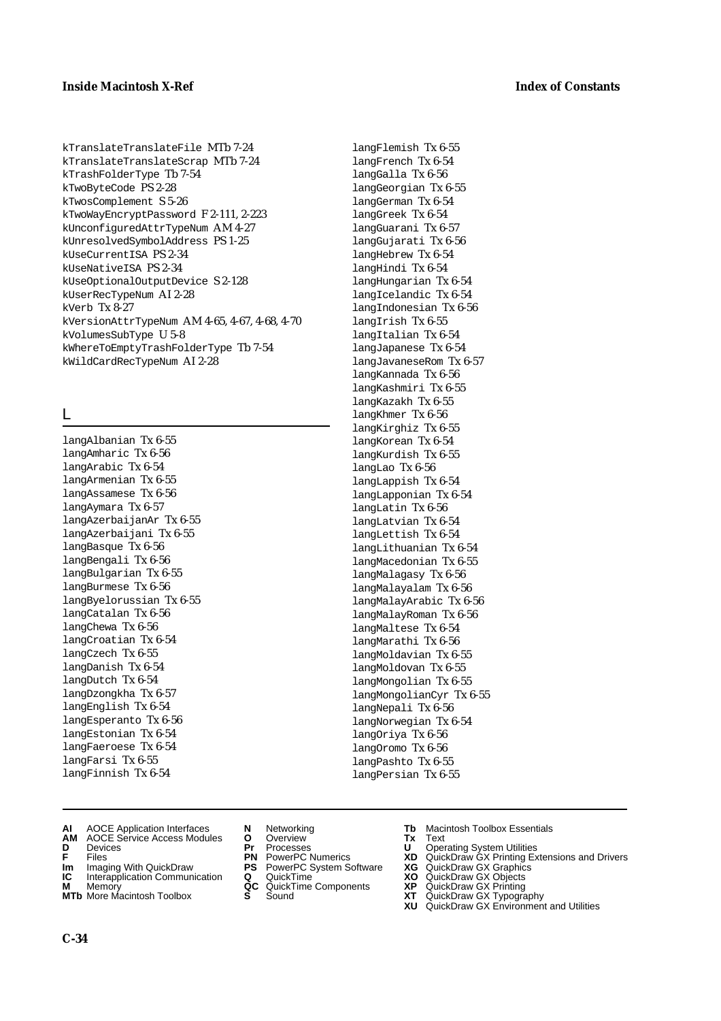kTranslateTranslateFile MTb 7-24 kTranslateTranslateScrap MTb 7-24 kTrashFolderType Tb 7-54 kTwoByteCode PS 2-28 kTwosComplement S 5-26 kTwoWayEncryptPassword F 2-111, 2-223 kUnconfiguredAttrTypeNum AM 4-27 kUnresolvedSymbolAddress PS 1-25 kUseCurrentISA PS 2-34 kUseNativeISA PS 2-34 kUseOptionalOutputDevice S 2-128 kUserRecTypeNum AI 2-28 kVerb Tx 8-27 kVersionAttrTypeNum AM 4-65, 4-67, 4-68, 4-70 kVolumesSubType U 5-8 kWhereToEmptyTrashFolderType Tb 7-54 kWildCardRecTypeNum AI 2-28

## L

langAlbanian Tx 6-55 langAmharic Tx 6-56 langArabic Tx 6-54 langArmenian Tx 6-55 langAssamese Tx 6-56 langAymara Tx 6-57 langAzerbaijanAr Tx 6-55 langAzerbaijani Tx 6-55 langBasque Tx 6-56 langBengali Tx 6-56 langBulgarian Tx 6-55 langBurmese Tx 6-56 langByelorussian Tx 6-55 langCatalan Tx 6-56 langChewa Tx 6-56 langCroatian Tx 6-54 langCzech Tx 6-55 langDanish Tx 6-54 langDutch Tx 6-54 langDzongkha Tx 6-57 langEnglish Tx 6-54 langEsperanto Tx 6-56 langEstonian Tx 6-54 langFaeroese Tx 6-54 langFarsi Tx 6-55 langFinnish Tx 6-54

- **AI** AOCE Application Interfaces **N** Networking **Tb** Macintosh Toolbox Essentials
- **AM** AOCE Service Access Modules **O** Overview **Tx** Text
- 
- 
- **Im** Imaging With QuickDraw **PS** PowerPC System Software **XG** QuickDraw GX Graphics
- **Im** Imaging With QuickDraw **PS** PowerPC System Software<br> **IC** Interapplication Communication **Q** QuickTime<br> **M** Memorv **GC** QuickTime Components
- **M** Memory **Manual Components QC** QuickTime Components **MTb** More Macintosh Toolbox **S** Sound
- 
- 
- 
- 
- -
- 
- **D** Devices **Pr** Processes **U** Operating System Utilities
- **F** Files **PN** PowerPC Numerics **XD** QuickDraw GX Printing Extensions and Drivers
	-
	-
- **MTb** More Macintosh Toolbox **S** Sound **XT** QuickDraw GX Typography
	- **XU** QuickDraw GX Environment and Utilities

langFlemish Tx 6-55 langFrench Tx 6-54 langGalla Tx 6-56 langGeorgian Tx 6-55 langGerman Tx 6-54 langGreek Tx 6-54 langGuarani Tx 6-57 langGujarati Tx 6-56 langHebrew Tx 6-54 langHindi Tx 6-54 langHungarian Tx 6-54 langIcelandic Tx 6-54 langIndonesian Tx 6-56 langIrish Tx 6-55 langItalian Tx 6-54 langJapanese Tx 6-54 langJavaneseRom Tx 6-57 langKannada Tx 6-56 langKashmiri Tx 6-55 langKazakh Tx 6-55 langKhmer Tx 6-56 langKirghiz Tx 6-55 langKorean Tx 6-54 langKurdish Tx 6-55 langLao Tx 6-56 langLappish Tx 6-54 langLapponian Tx 6-54 langLatin Tx 6-56 langLatvian Tx 6-54 langLettish Tx 6-54 langLithuanian Tx 6-54 langMacedonian Tx 6-55 langMalagasy Tx 6-56 langMalayalam Tx 6-56 langMalayArabic Tx 6-56 langMalayRoman Tx 6-56 langMaltese Tx 6-54 langMarathi Tx 6-56 langMoldavian Tx 6-55 langMoldovan Tx 6-55 langMongolian Tx 6-55 langMongolianCyr Tx 6-55 langNepali Tx 6-56 langNorwegian Tx 6-54 langOriya Tx 6-56 langOromo Tx 6-56 langPashto Tx 6-55 langPersian Tx 6-55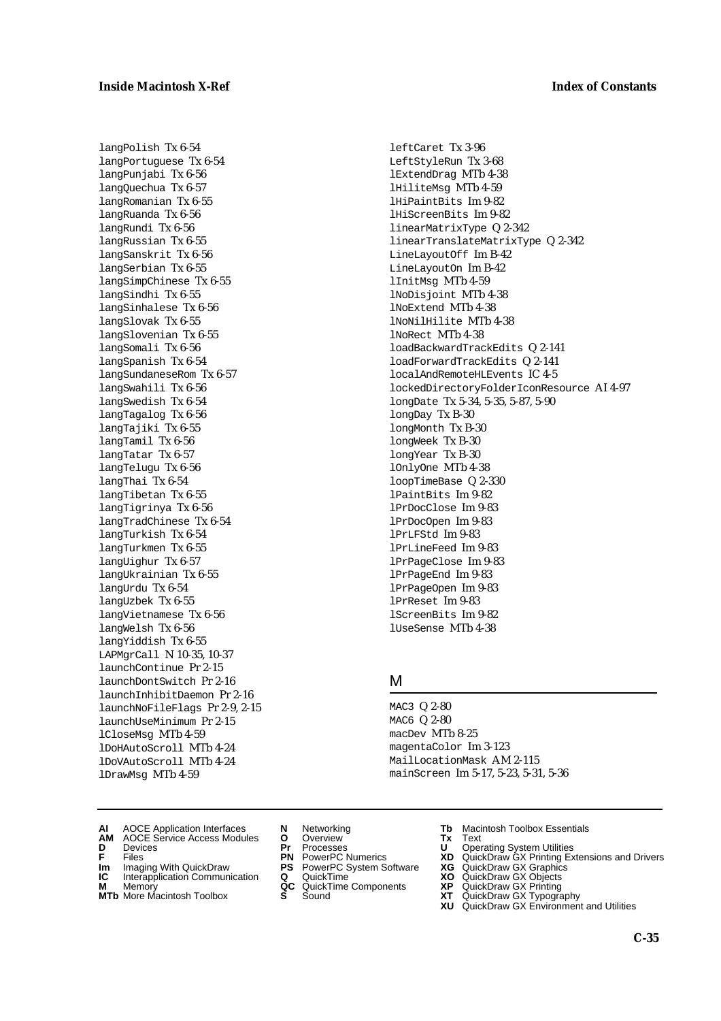langPolish Tx 6-54 langPortuguese Tx 6-54 langPunjabi Tx 6-56 langQuechua Tx 6-57 langRomanian Tx 6-55 langRuanda Tx 6-56 langRundi Tx 6-56 langRussian Tx 6-55 langSanskrit Tx 6-56 langSerbian Tx 6-55 langSimpChinese Tx 6-55 langSindhi Tx 6-55 langSinhalese Tx 6-56 langSlovak Tx 6-55 langSlovenian Tx 6-55 langSomali Tx 6-56 langSpanish Tx 6-54 langSundaneseRom Tx 6-57 langSwahili Tx 6-56 langSwedish Tx 6-54 langTagalog Tx 6-56 langTajiki Tx 6-55 langTamil Tx 6-56 langTatar Tx 6-57 langTelugu Tx 6-56 langThai Tx 6-54 langTibetan Tx 6-55 langTigrinya Tx 6-56 langTradChinese Tx 6-54 langTurkish Tx 6-54 langTurkmen Tx 6-55 langUighur Tx 6-57 langUkrainian Tx 6-55 langUrdu Tx 6-54 langUzbek Tx 6-55 langVietnamese Tx 6-56 langWelsh Tx 6-56 langYiddish Tx 6-55 LAPMgrCall N 10-35, 10-37 launchContinue Pr 2-15 launchDontSwitch Pr 2-16 launchInhibitDaemon Pr 2-16 launchNoFileFlags Pr 2-9, 2-15 launchUseMinimum Pr 2-15 lCloseMsg MTb 4-59 lDoHAutoScroll MTb 4-24 lDoVAutoScroll MTb 4-24 lDrawMsg MTb 4-59

LeftStyleRun Tx 3-68 lExtendDrag MTb 4-38 lHiliteMsg MTb 4-59 lHiPaintBits Im 9-82 lHiScreenBits Im 9-82 linearMatrixType Q 2-342 linearTranslateMatrixType Q 2-342 LineLayoutOff Im B-42 LineLayoutOn Im B-42 lInitMsg MTb 4-59 lNoDisjoint MTb 4-38 lNoExtend MTb 4-38 lNoNilHilite MTb 4-38 lNoRect MTb 4-38 loadBackwardTrackEdits Q 2-141 loadForwardTrackEdits Q 2-141 localAndRemoteHLEvents IC 4-5 lockedDirectoryFolderIconResource AI 4-97 longDate Tx 5-34, 5-35, 5-87, 5-90 longDay Tx B-30 longMonth Tx B-30 longWeek Tx B-30 longYear Tx B-30 lOnlyOne MTb 4-38 loopTimeBase Q 2-330 lPaintBits Im 9-82 lPrDocClose Im 9-83 lPrDocOpen Im 9-83 lPrLFStd Im 9-83 lPrLineFeed Im 9-83 lPrPageClose Im 9-83 lPrPageEnd Im 9-83 lPrPageOpen Im 9-83 lPrReset Im 9-83 lScreenBits Im 9-82 lUseSense MTb 4-38

leftCaret Tx 3-96

#### M

MAC3 Q 2-80 MAC6 Q 2-80 macDev MTb 8-25 magentaColor Im 3-123 MailLocationMask AM 2-115 mainScreen Im 5-17, 5-23, 5-31, 5-36

- **AI** AOCE Application Interfaces **N** Networking **Tb** Macintosh Toolbox Essentials
- **AM** AOCE Service Access Modules **O** Overview **Tx** Text
- 
- **Im** Imaging With QuickDraw **PS** PowerPC System Software **XG IC** Interapplication Communication **Q** QuickTime **XO**
- **Interapplication Communication <b>Q** QuickTime **XO** Memory **XO** Objects **XP QC** QuickTime Components **XP**
- 
- 
- **D** Devices **Pr** Processes **U** Operating System Utilities
	-
	-
	-
	-
- 
- 
- **F** Files **PN** PowerPC Numerics **XD** QuickDraw GX Printing Extensions and Drivers
	-
	-
- **M** Memory **QC** QuickTime Components **XP** QuickDraw GX Printing
- **MTb** More Macintosh Toolbox **S** Sound **XT** QuickDraw GX Typography
	- **XU** QuickDraw GX Environment and Utilities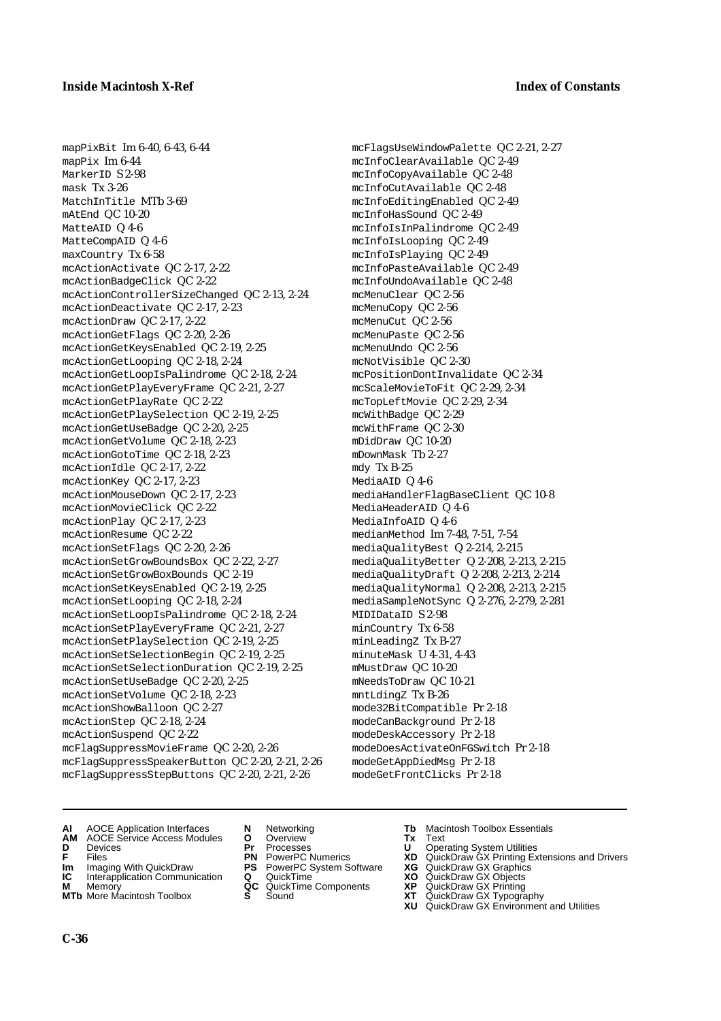mapPixBit Im 6-40, 6-43, 6-44 mapPix Im 6-44 MarkerID S 2-98 mask Tx 3-26 MatchInTitle MTb 3-69 mAtEnd QC 10-20 MatteAID Q 4-6 MatteCompAID Q 4-6 maxCountry Tx 6-58 mcActionActivate QC 2-17, 2-22 mcActionBadgeClick QC 2-22 mcActionControllerSizeChanged QC 2-13, 2-24 mcActionDeactivate QC 2-17, 2-23 mcActionDraw QC 2-17, 2-22 mcActionGetFlags QC 2-20, 2-26 mcActionGetKeysEnabled QC 2-19, 2-25 mcActionGetLooping QC 2-18, 2-24 mcActionGetLoopIsPalindrome QC 2-18, 2-24 mcActionGetPlayEveryFrame QC 2-21, 2-27 mcActionGetPlayRate QC 2-22 mcActionGetPlaySelection QC 2-19, 2-25 mcActionGetUseBadge QC 2-20, 2-25 mcActionGetVolume QC 2-18, 2-23 mcActionGotoTime QC 2-18, 2-23 mcActionIdle QC 2-17, 2-22 mcActionKey QC 2-17, 2-23 mcActionMouseDown QC 2-17, 2-23 mcActionMovieClick QC 2-22 mcActionPlay QC 2-17, 2-23 mcActionResume QC 2-22 mcActionSetFlags QC 2-20, 2-26 mcActionSetGrowBoundsBox QC 2-22, 2-27 mcActionSetGrowBoxBounds QC 2-19 mcActionSetKeysEnabled QC 2-19, 2-25 mcActionSetLooping QC 2-18, 2-24 mcActionSetLoopIsPalindrome QC 2-18, 2-24 mcActionSetPlayEveryFrame QC 2-21, 2-27 mcActionSetPlaySelection QC 2-19, 2-25 mcActionSetSelectionBegin QC 2-19, 2-25 mcActionSetSelectionDuration QC 2-19, 2-25 mcActionSetUseBadge QC 2-20, 2-25 mcActionSetVolume QC 2-18, 2-23 mcActionShowBalloon QC 2-27 mcActionStep QC 2-18, 2-24 mcActionSuspend QC 2-22 mcFlagSuppressMovieFrame QC 2-20, 2-26 mcFlagSuppressSpeakerButton QC 2-20, 2-21, 2-26 mcFlagSuppressStepButtons QC 2-20, 2-21, 2-26

mcFlagsUseWindowPalette QC 2-21, 2-27 mcInfoClearAvailable QC 2-49 mcInfoCopyAvailable QC 2-48 mcInfoCutAvailable QC 2-48 mcInfoEditingEnabled QC 2-49 mcInfoHasSound QC 2-49 mcInfoIsInPalindrome QC 2-49 mcInfoIsLooping QC 2-49 mcInfoIsPlaying QC 2-49 mcInfoPasteAvailable QC 2-49 mcInfoUndoAvailable QC 2-48 mcMenuClear QC 2-56 mcMenuCopy QC 2-56 mcMenuCut QC 2-56 mcMenuPaste QC 2-56 mcMenuUndo QC 2-56 mcNotVisible QC 2-30 mcPositionDontInvalidate QC 2-34 mcScaleMovieToFit QC 2-29, 2-34 mcTopLeftMovie QC 2-29, 2-34 mcWithBadge QC 2-29 mcWithFrame QC 2-30 mDidDraw QC 10-20 mDownMask Tb 2-27 mdy Tx B-25 MediaAID Q 4-6 mediaHandlerFlagBaseClient QC 10-8 MediaHeaderAID Q 4-6 MediaInfoAID Q 4-6 medianMethod Im 7-48, 7-51, 7-54 mediaQualityBest Q 2-214, 2-215 mediaQualityBetter Q 2-208, 2-213, 2-215 mediaQualityDraft Q 2-208, 2-213, 2-214 mediaQualityNormal Q 2-208, 2-213, 2-215 mediaSampleNotSync Q 2-276, 2-279, 2-281 MIDIDataID S 2-98 minCountry Tx 6-58 minLeadingZ Tx B-27 minuteMask U 4-31, 4-43 mMustDraw QC 10-20 mNeedsToDraw QC 10-21 mntLdingZ Tx B-26 mode32BitCompatible Pr 2-18 modeCanBackground Pr 2-18 modeDeskAccessory Pr 2-18 modeDoesActivateOnFGSwitch Pr 2-18 modeGetAppDiedMsg Pr 2-18 modeGetFrontClicks Pr 2-18

- **AI** AOCE Application Interfaces **N** Networking **Tb** Macintosh Toolbox Essentials
- **AM** AOCE Service Access Modules **O** Overview **Tx** Text
- 
- 
- **Im** Imaging With QuickDraw **PS** PowerPC System Software<br> **IC** Interapplication Communication **Q** QuickTime<br> **M** Memorv **GC** QuickTime Components
- 
- **M** Memory **Markt Communication**<br> **M** Memory **QC** QuickTime Components<br> **MTb** More Macintosh Toolbox **S** Sound **MTb** More Macintosh Toolbox **S** Sound **XT** QuickDraw GX Typography
- 
- **D** Devices **Pr** Processes **U** Operating System Utilities
	-
- **Im** Imaging With QuickDraw **PS** PowerPC System Software **XG** QuickDraw GX Graphics
	-
	-
	-
- 
- 
- **F** Files **PN** PowerPC Numerics **XD** QuickDraw GX Printing Extensions and Drivers
	-
	-
	-
	-
	- **XU** QuickDraw GX Environment and Utilities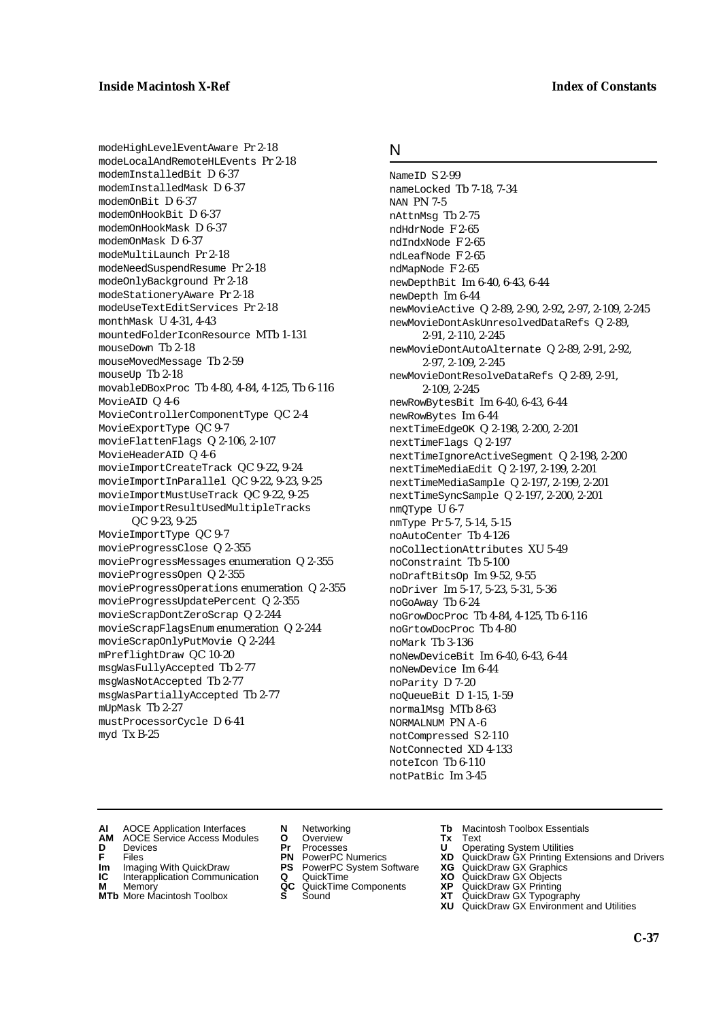modeHighLevelEventAware Pr 2-18 modeLocalAndRemoteHLEvents Pr 2-18 modemInstalledBit D 6-37 modemInstalledMask D 6-37 modemOnBit D 6-37 modemOnHookBit D 6-37 modemOnHookMask D 6-37 modemOnMask D 6-37 modeMultiLaunch Pr 2-18 modeNeedSuspendResume Pr 2-18 modeOnlyBackground Pr 2-18 modeStationeryAware Pr 2-18 modeUseTextEditServices Pr 2-18 monthMask U 4-31, 4-43 mountedFolderIconResource MTb 1-131 mouseDown Tb 2-18 mouseMovedMessage Tb 2-59 mouseUp Tb 2-18 movableDBoxProc Tb 4-80, 4-84, 4-125, Tb 6-116 MovieAID Q 4-6 MovieControllerComponentType QC 2-4 MovieExportType QC 9-7 movieFlattenFlags Q 2-106, 2-107 MovieHeaderAID Q 4-6 movieImportCreateTrack QC 9-22, 9-24 movieImportInParallel QC 9-22, 9-23, 9-25 movieImportMustUseTrack QC 9-22, 9-25 movieImportResultUsedMultipleTracks QC 9-23, 9-25 MovieImportType QC 9-7 movieProgressClose Q 2-355 movieProgressMessages enumeration Q 2-355 movieProgressOpen Q 2-355 movieProgressOperations enumeration Q 2-355 movieProgressUpdatePercent Q 2-355 movieScrapDontZeroScrap Q 2-244 movieScrapFlagsEnum enumeration Q 2-244 movieScrapOnlyPutMovie Q 2-244 mPreflightDraw QC 10-20 msgWasFullyAccepted Tb 2-77 msgWasNotAccepted Tb 2-77 msgWasPartiallyAccepted Tb 2-77 mUpMask Tb 2-27 mustProcessorCycle D 6-41 myd Tx B-25

## N

NameID S 2-99 nameLocked Tb 7-18, 7-34 NAN PN 7-5 nAttnMsg Tb 2-75 ndHdrNode F 2-65 ndIndxNode F 2-65 ndLeafNode F 2-65 ndMapNode F 2-65 newDepthBit Im 6-40, 6-43, 6-44 newDepth Im 6-44 newMovieActive Q 2-89, 2-90, 2-92, 2-97, 2-109, 2-245 newMovieDontAskUnresolvedDataRefs Q 2-89, 2-91, 2-110, 2-245 newMovieDontAutoAlternate Q 2-89, 2-91, 2-92, 2-97, 2-109, 2-245 newMovieDontResolveDataRefs Q 2-89, 2-91, 2-109, 2-245 newRowBytesBit Im 6-40, 6-43, 6-44 newRowBytes Im 6-44 nextTimeEdgeOK Q 2-198, 2-200, 2-201 nextTimeFlags Q 2-197 nextTimeIgnoreActiveSegment Q 2-198, 2-200 nextTimeMediaEdit Q 2-197, 2-199, 2-201 nextTimeMediaSample Q 2-197, 2-199, 2-201 nextTimeSyncSample Q 2-197, 2-200, 2-201 nmQType U 6-7 nmType Pr 5-7, 5-14, 5-15 noAutoCenter Tb 4-126 noCollectionAttributes XU 5-49 noConstraint Tb 5-100 noDraftBitsOp Im 9-52, 9-55 noDriver Im 5-17, 5-23, 5-31, 5-36 noGoAway Tb 6-24 noGrowDocProc Tb 4-84, 4-125, Tb 6-116 noGrtowDocProc Tb 4-80 noMark Tb 3-136 noNewDeviceBit Im 6-40, 6-43, 6-44 noNewDevice Im 6-44 noParity D 7-20 noQueueBit D 1-15, 1-59 normalMsg MTb 8-63 NORMALNUM PN A-6 notCompressed S 2-110 NotConnected XD 4-133 noteIcon Tb 6-110 notPatBic Im 3-45

- **AI** AOCE Application Interfaces **N** Networking **The Macintosh Toolbox Essentials**<br> **AM** AOCE Service Access Modules **O** Overview **Tx** Text<br> **D** Devices **Pr** Processes **U** Operating System Utilities
	- AOCE Service Access Modules **O** Overview **Tx** Text<br>Devices **Devices Devices Devices D** Oper
- 
- 
- **Im** Files<br> **Im** Imaging With QuickDraw **PS** PowerPC System Software **XG**<br> **IC** Interapplication Communication **Q** QuickTime **XO IC** Interapplication Communication **Q** QuickTime **XO M** Memory **XP QC** QuickTime Components **XP**
- 
- **M** Memory **CONSISTENT COMPONENT MEMORY MEMORY MEMORY AND MEMORY OF A VIDEO MEMORY CONSISTENT CONSISTENT CONSISTENT OF A VIDEO CONSISTENT CONSISTENT CONSISTENT CONSISTENT CONSISTENT CONSISTENT CONSISTENT CONSISTENT CONSIST MTb** More Macintosh Toolbox **S** Sound **XT** QuickDraw GX Typography
- 
- **D** Devices **Pr** Processes **U** Operating System Utilities
	-
	-
	-
	-
- 
- 
- **F** Files **PN** PowerPC Numerics **XD** QuickDraw GX Printing Extensions and Drivers
	-
	-
	-
	-
	- **XU** QuickDraw GX Environment and Utilities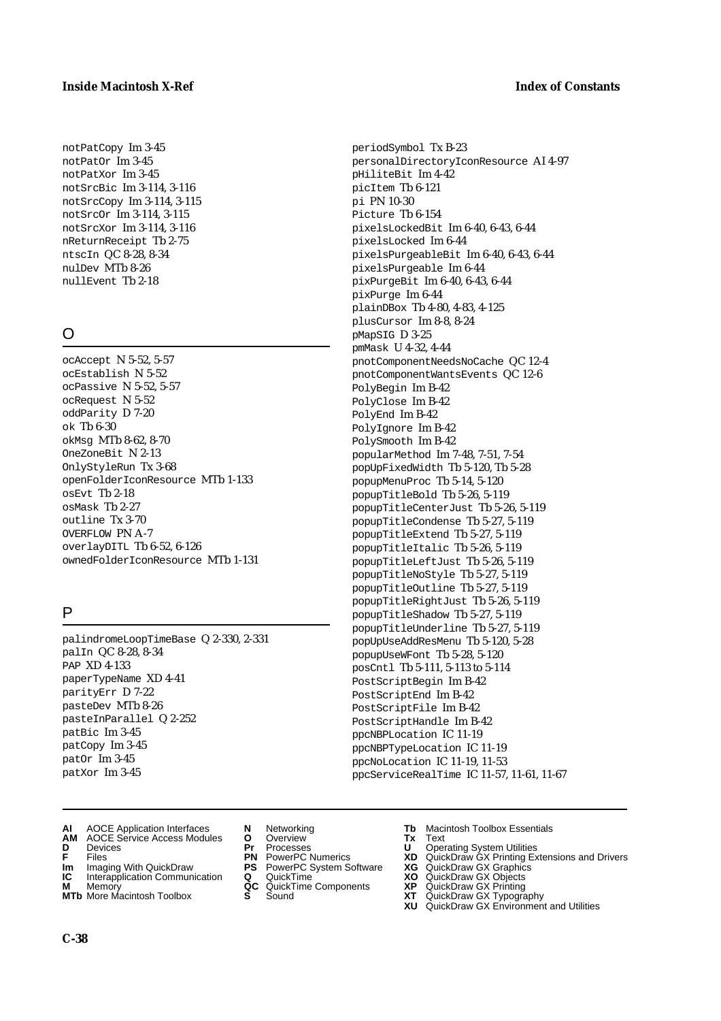#### **Inside Macintosh X-Ref** Index of Constants

notPatCopy Im 3-45 notPatOr Im 3-45 notPatXor Im 3-45 notSrcBic Im 3-114, 3-116 notSrcCopy Im 3-114, 3-115 notSrcOr Im 3-114, 3-115 notSrcXor Im 3-114, 3-116 nReturnReceipt Tb 2-75 ntscIn QC 8-28, 8-34 nulDev MTb 8-26 nullEvent Tb 2-18

## $\Omega$

ocAccept N 5-52, 5-57 ocEstablish N 5-52 ocPassive N 5-52, 5-57 ocRequest N 5-52 oddParity D 7-20 ok Tb 6-30 okMsg MTb 8-62, 8-70 OneZoneBit N 2-13 OnlyStyleRun Tx 3-68 openFolderIconResource MTb 1-133  $OSEVt$  Th 2-18 osMask Tb 2-27 outline Tx 3-70 OVERFLOW PN A-7 overlayDITL Tb 6-52, 6-126 ownedFolderIconResource MTb 1-131

## P

palindromeLoopTimeBase Q 2-330, 2-331 palIn QC 8-28, 8-34 PAP XD 4-133 paperTypeName XD 4-41 parityErr D 7-22 pasteDev MTb 8-26 pasteInParallel Q 2-252 patBic Im 3-45 patCopy Im 3-45 patOr Im 3-45 patXor Im 3-45

- **AI** AOCE Application Interfaces **N** Networking **Tb** Macintosh Toolbox Essentials
- **AM** AOCE Service Access Modules **O** Overview **Tx** Text
- 
- 
- **Im** Imaging With QuickDraw **PS** PowerPC System Software **XG IC** Interapplication Communication **Q** QuickTime **COVIC**
- **IC** Interapplication Communication **Q** QuickTime **XO M** Memory **XP C** QuickTime Components **XP M** Memory **DRITIC CONTENTIER MANUS AND MEMORY MEMORY AND MEMORY AND <b>ALC** QuickTime Components **XP XT**
- **MTb** More Macintosh Toolbox **S** Sound **XT** QuickDraw GX Typography
- 
- **D** Devices **Pr** Processes **U** Operating System Utilities
	-
	-
	-
	-
- 
- 
- **F** Files **PN** PowerPC Numerics **XD** QuickDraw GX Printing Extensions and Drivers
	-
	-
	-
	- **XU** QuickDraw GX Environment and Utilities

periodSymbol Tx B-23 personalDirectoryIconResource AI 4-97 pHiliteBit Im 4-42 picItem Tb 6-121 pi PN 10-30 Picture Tb 6-154 pixelsLockedBit Im 6-40, 6-43, 6-44 pixelsLocked Im 6-44 pixelsPurgeableBit Im 6-40, 6-43, 6-44 pixelsPurgeable Im 6-44 pixPurgeBit Im 6-40, 6-43, 6-44 pixPurge Im 6-44 plainDBox Tb 4-80, 4-83, 4-125 plusCursor Im 8-8, 8-24 pMapSIG D 3-25 pmMask U 4-32, 4-44 pnotComponentNeedsNoCache QC 12-4 pnotComponentWantsEvents QC 12-6 PolyBegin Im B-42 PolyClose Im B-42 PolyEnd Im B-42 PolyIgnore Im B-42 PolySmooth Im B-42 popularMethod Im 7-48, 7-51, 7-54 popUpFixedWidth Tb 5-120, Tb 5-28 popupMenuProc Tb 5-14, 5-120 popupTitleBold Tb 5-26, 5-119 popupTitleCenterJust Tb 5-26, 5-119 popupTitleCondense Tb 5-27, 5-119 popupTitleExtend Tb 5-27, 5-119 popupTitleItalic Tb 5-26, 5-119 popupTitleLeftJust Tb 5-26, 5-119 popupTitleNoStyle Tb 5-27, 5-119 popupTitleOutline Tb 5-27, 5-119 popupTitleRightJust Tb 5-26, 5-119 popupTitleShadow Tb 5-27, 5-119 popupTitleUnderline Tb 5-27, 5-119 popUpUseAddResMenu Tb 5-120, 5-28 popupUseWFont Tb 5-28, 5-120 posCntl Tb 5-111, 5-113 to 5-114 PostScriptBegin Im B-42 PostScriptEnd Im B-42 PostScriptFile Im B-42 PostScriptHandle Im B-42 ppcNBPLocation IC 11-19 ppcNBPTypeLocation IC 11-19 ppcNoLocation IC 11-19, 11-53 ppcServiceRealTime IC 11-57, 11-61, 11-67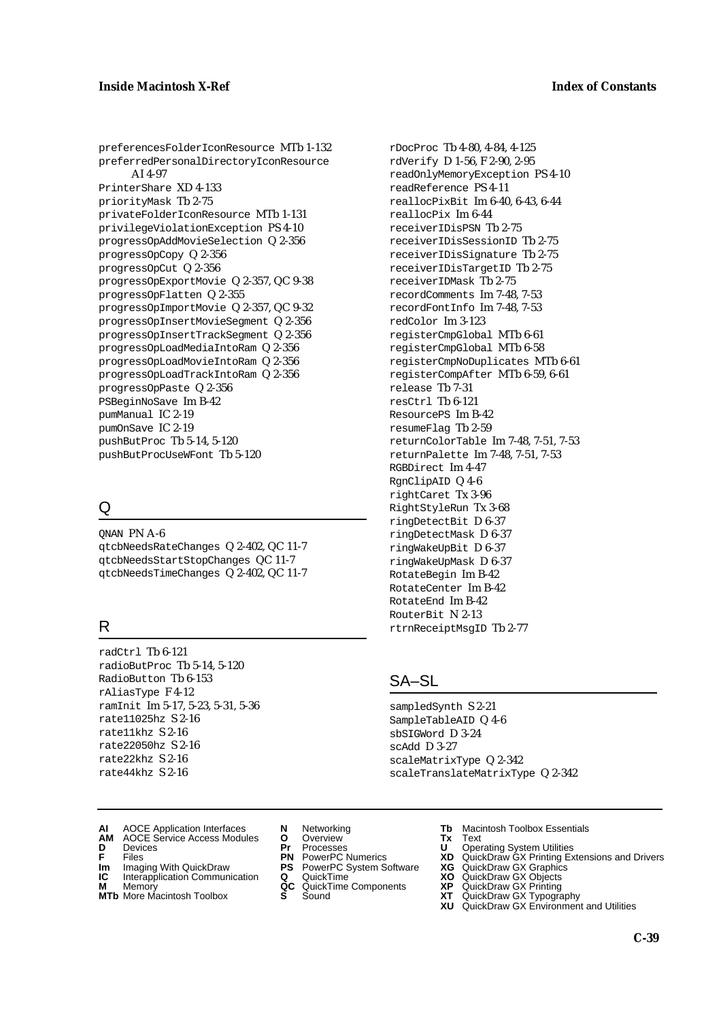preferencesFolderIconResource MTb 1-132 preferredPersonalDirectoryIconResource AI 4-97 PrinterShare XD 4-133 priorityMask Tb 2-75 privateFolderIconResource MTb 1-131 privilegeViolationException PS 4-10 progressOpAddMovieSelection Q 2-356 progressOpCopy Q 2-356 progressOpCut Q 2-356 progressOpExportMovie Q 2-357, QC 9-38 progressOpFlatten Q 2-355 progressOpImportMovie Q 2-357, QC 9-32 progressOpInsertMovieSegment Q 2-356 progressOpInsertTrackSegment Q 2-356 progressOpLoadMediaIntoRam Q 2-356 progressOpLoadMovieIntoRam Q 2-356 progressOpLoadTrackIntoRam Q 2-356 progressOpPaste Q 2-356 PSBeginNoSave Im B-42 pumManual IC 2-19 pumOnSave IC 2-19 pushButProc Tb 5-14, 5-120 pushButProcUseWFont Tb 5-120

## Q

QNAN PN A-6 qtcbNeedsRateChanges Q 2-402, QC 11-7 qtcbNeedsStartStopChanges QC 11-7 qtcbNeedsTimeChanges Q 2-402, QC 11-7

## R

radCtrl Tb 6-121 radioButProc Tb 5-14, 5-120 RadioButton Tb 6-153 rAliasType F 4-12 ramInit Im 5-17, 5-23, 5-31, 5-36 rate11025hz S 2-16 rate11khz S 2-16 rate22050hz S 2-16 rate22khz S 2-16 rate44khz S 2-16

rDocProc Tb 4-80, 4-84, 4-125 rdVerify D 1-56, F 2-90, 2-95 readOnlyMemoryException PS 4-10 readReference PS 4-11 reallocPixBit Im 6-40, 6-43, 6-44 reallocPix Im 6-44 receiverIDisPSN Tb 2-75 receiverIDisSessionID Tb 2-75 receiverIDisSignature Tb 2-75 receiverIDisTargetID Tb 2-75 receiverIDMask Tb 2-75 recordComments Im 7-48, 7-53 recordFontInfo Im 7-48, 7-53 redColor Im 3-123 registerCmpGlobal MTb 6-61 registerCmpGlobal MTb 6-58 registerCmpNoDuplicates MTb 6-61 registerCompAfter MTb 6-59, 6-61 release Tb 7-31 resCtrl Tb 6-121 ResourcePS Im B-42 resumeFlag Tb 2-59 returnColorTable Im 7-48, 7-51, 7-53 returnPalette Im 7-48, 7-51, 7-53 RGBDirect Im 4-47 RgnClipAID Q 4-6 rightCaret Tx 3-96 RightStyleRun Tx 3-68 ringDetectBit D 6-37 ringDetectMask D 6-37 ringWakeUpBit D 6-37 ringWakeUpMask D 6-37 RotateBegin Im B-42 RotateCenter Im B-42 RotateEnd Im B-42 RouterBit N 2-13 rtrnReceiptMsgID Tb 2-77

## SA–SL

sampledSynth S 2-21 SampleTableAID Q 4-6 sbSIGWord D 3-24 scAdd D 3-27 scaleMatrixType Q 2-342 scaleTranslateMatrixType Q 2-342

- **AI** AOCE Application Interfaces **N** Networking **Tb** Macintosh Toolbox Essentials
- **AM** AOCE Service Access Modules **O** Overview **Tx** Text **D** Devices **Pr** Processes **U** Operating System Utilities
- 
- **Im** Files<br> **Im** Imaging With QuickDraw **PS** PowerPC System Software **XG**<br> **IC** Interapplication Communication **Q** QuickTime **XO**
- **IC** Interapplication Communication **Q** QuickTime **XO M** Memory **XO QC** QuickTime Components **XP**
- **M** Memory **QC** QuickTime Components **XP**<br>**MTb** More Macintosh Toolbox **S** Sound **XT**
- -
- 
- -
- 
- 
- **F** Files **PN** PowerPC Numerics **XD** QuickDraw GX Printing Extensions and Drivers
	-
	-
	-
- **MTb** More Macintosh Toolbox **S** Sound **XT** QuickDraw GX Typography
	- **XU** QuickDraw GX Environment and Utilities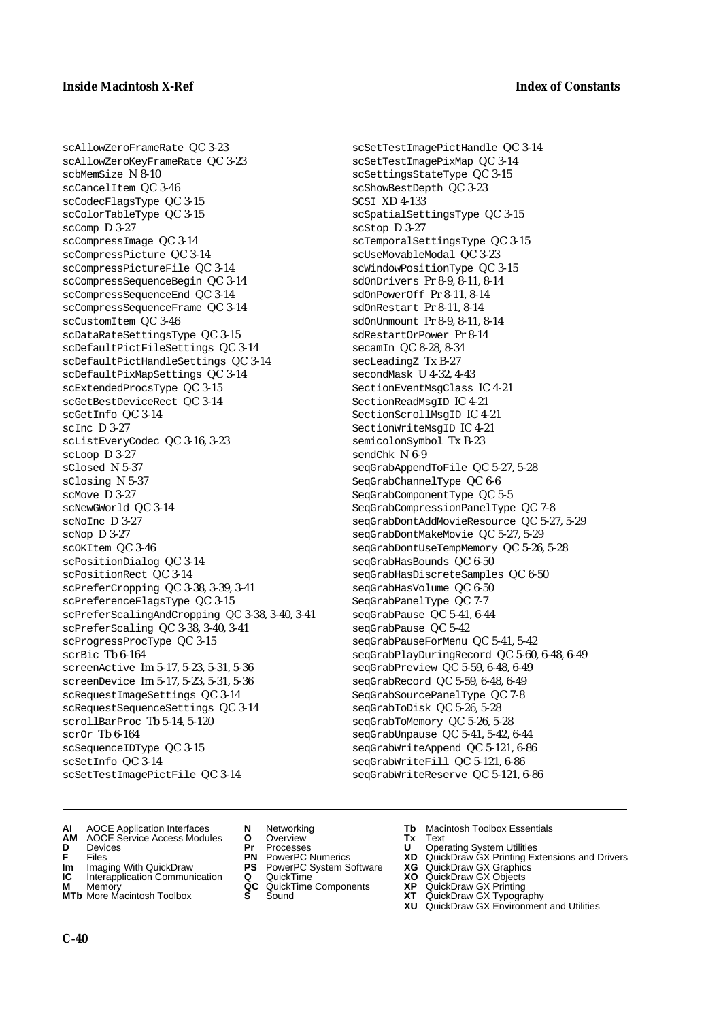scAllowZeroFrameRate QC 3-23 scAllowZeroKeyFrameRate QC 3-23 scbMemSize N 8-10 scCancelItem QC 3-46 scCodecFlagsType QC 3-15 scColorTableType QC 3-15 scComp D 3-27 scCompressImage QC 3-14 scCompressPicture QC 3-14 scCompressPictureFile QC 3-14 scCompressSequenceBegin QC 3-14 scCompressSequenceEnd QC 3-14 scCompressSequenceFrame QC 3-14 scCustomItem QC 3-46 scDataRateSettingsType QC 3-15 scDefaultPictFileSettings QC 3-14 scDefaultPictHandleSettings QC 3-14 scDefaultPixMapSettings QC 3-14 scExtendedProcsType QC 3-15 scGetBestDeviceRect QC 3-14 scGetInfo QC 3-14 scInc D 3-27 scListEveryCodec QC 3-16, 3-23 scLoop D 3-27 sClosed N 5-37 sClosing N 5-37 scMove D 3-27 scNewGWorld QC 3-14 scNoInc D 3-27 scNop D 3-27 scOKItem QC 3-46 scPositionDialog QC 3-14 scPositionRect QC 3-14 scPreferCropping QC 3-38, 3-39, 3-41 scPreferenceFlagsType QC 3-15 scPreferScalingAndCropping QC 3-38, 3-40, 3-41 scPreferScaling QC 3-38, 3-40, 3-41 scProgressProcType QC 3-15 scrBic Tb 6-164 screenActive Im 5-17, 5-23, 5-31, 5-36 screenDevice Im 5-17, 5-23, 5-31, 5-36 scRequestImageSettings QC 3-14 scRequestSequenceSettings QC 3-14 scrollBarProc Tb 5-14, 5-120 scrOr Tb 6-164 scSequenceIDType QC 3-15 scSetInfo QC 3-14 scSetTestImagePictFile QC 3-14

scSetTestImagePictHandle QC 3-14 scSetTestImagePixMap QC 3-14 scSettingsStateType QC 3-15 scShowBestDepth QC 3-23 SCSI XD 4-133 scSpatialSettingsType QC 3-15 scStop D 3-27 scTemporalSettingsType QC 3-15 scUseMovableModal QC 3-23 scWindowPositionType QC 3-15 sdOnDrivers Pr 8-9, 8-11, 8-14 sdOnPowerOff Pr 8-11, 8-14 sdOnRestart Pr 8-11, 8-14 sdOnUnmount Pr 8-9, 8-11, 8-14 sdRestartOrPower Pr 8-14 secamIn QC 8-28, 8-34 secLeadingZ Tx B-27 secondMask U 4-32, 4-43 SectionEventMsgClass IC 4-21 SectionReadMsgID IC 4-21 SectionScrollMsgID IC 4-21 SectionWriteMsgID IC 4-21 semicolonSymbol Tx B-23 sendChk N 6-9 seqGrabAppendToFile QC 5-27, 5-28 SeqGrabChannelType QC 6-6 SeqGrabComponentType QC 5-5 SeqGrabCompressionPanelType QC 7-8 seqGrabDontAddMovieResource QC 5-27, 5-29 seqGrabDontMakeMovie QC 5-27, 5-29 seqGrabDontUseTempMemory QC 5-26, 5-28 seqGrabHasBounds QC 6-50 seqGrabHasDiscreteSamples QC 6-50 seqGrabHasVolume QC 6-50 SeqGrabPanelType QC 7-7 seqGrabPause QC 5-41, 6-44 seqGrabPause QC 5-42 seqGrabPauseForMenu QC 5-41, 5-42 seqGrabPlayDuringRecord QC 5-60, 6-48, 6-49 seqGrabPreview QC 5-59, 6-48, 6-49 seqGrabRecord QC 5-59, 6-48, 6-49 SeqGrabSourcePanelType QC 7-8 seqGrabToDisk QC 5-26, 5-28 seqGrabToMemory QC 5-26, 5-28 seqGrabUnpause QC 5-41, 5-42, 6-44 seqGrabWriteAppend QC 5-121, 6-86 seqGrabWriteFill QC 5-121, 6-86 seqGrabWriteReserve QC 5-121, 6-86

- **AI** AOCE Application Interfaces **N** Networking **Tb** Macintosh Toolbox Essentials
- **AM** AOCE Service Access Modules **O** Overview **Tx** Text
- 
- 
- **Im** Imaging With QuickDraw **PS** PowerPC System Software<br> **IC** Interapplication Communication **Q** QuickTime<br> **M** Memory **GC** QuickTime Components
- **M** Memory **COMPONENTS COMPONENTS COMPONENTS NEWSLA**<br> **M** More Macintosh Toolbox **S** Sound
- **MTb** More Macintosh Toolbox **S** Sound **XT** QuickDraw GX Typography
- 
- **D** Devices **Pr** Processes **U** Operating System Utilities
	-
	-
	-
	-
- 
- 
- **F** Files **PN** PowerPC Numerics **XD** QuickDraw GX Printing Extensions and Drivers
- **Im** Imaging With QuickDraw **PS** PowerPC System Software **XG** QuickDraw GX Graphics
	-
	-
	-
	- **XU** QuickDraw GX Environment and Utilities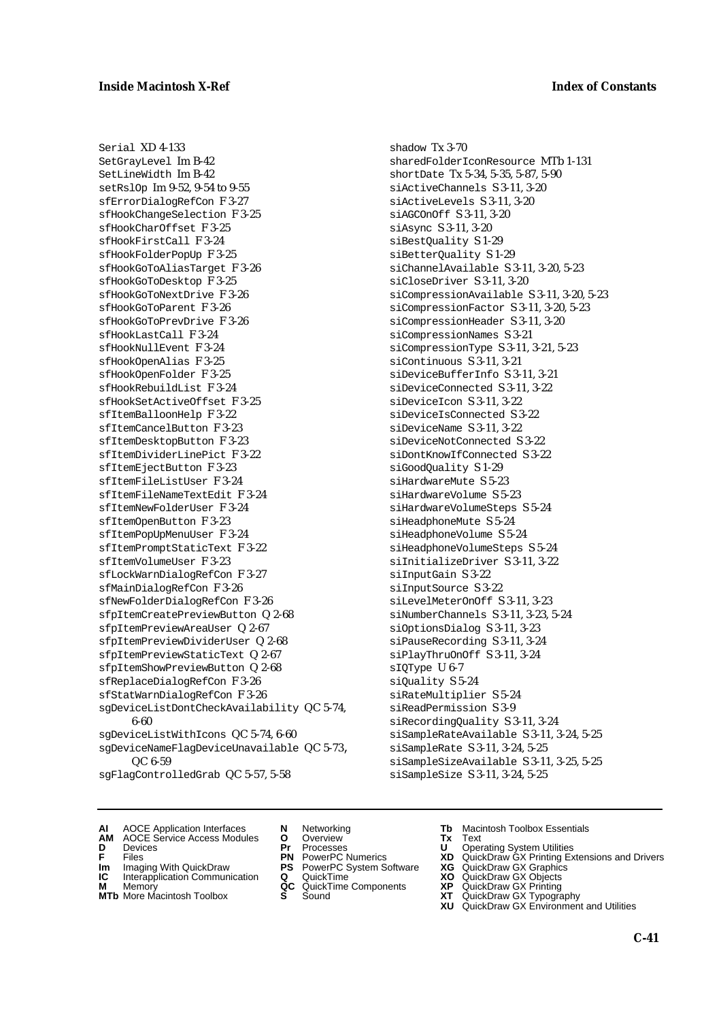Serial XD 4-133 SetGrayLevel Im B-42 SetLineWidth Im B-42 setRslOp Im 9-52, 9-54 to 9-55 sfErrorDialogRefCon F 3-27 sfHookChangeSelection F 3-25 sfHookCharOffset F 3-25 sfHookFirstCall F 3-24 sfHookFolderPopUp F 3-25 sfHookGoToAliasTarget F 3-26 sfHookGoToDesktop F 3-25 sfHookGoToNextDrive F 3-26 sfHookGoToParent F 3-26 sfHookGoToPrevDrive F 3-26 sfHookLastCall F 3-24 sfHookNullEvent F 3-24 sfHookOpenAlias F 3-25 sfHookOpenFolder F 3-25 sfHookRebuildList F 3-24 sfHookSetActiveOffset F 3-25 sfItemBalloonHelp F 3-22 sfItemCancelButton F 3-23 sfItemDesktopButton F 3-23 sfItemDividerLinePict F 3-22 sfItemEjectButton F 3-23 sfItemFileListUser F 3-24 sfItemFileNameTextEdit F 3-24 sfItemNewFolderUser F 3-24 sfItemOpenButton F 3-23 sfItemPopUpMenuUser F 3-24 sfItemPromptStaticText F 3-22 sfItemVolumeUser F 3-23 sfLockWarnDialogRefCon F 3-27 sfMainDialogRefCon F 3-26 sfNewFolderDialogRefCon F 3-26 sfpItemCreatePreviewButton Q 2-68 sfpItemPreviewAreaUser Q 2-67 sfpItemPreviewDividerUser Q 2-68 sfpItemPreviewStaticText Q 2-67 sfpItemShowPreviewButton Q 2-68 sfReplaceDialogRefCon F 3-26 sfStatWarnDialogRefCon F 3-26 sgDeviceListDontCheckAvailability QC 5-74, 6-60 sgDeviceListWithIcons QC 5-74, 6-60 sgDeviceNameFlagDeviceUnavailable QC 5-73, QC 6-59

sgFlagControlledGrab QC 5-57, 5-58

shadow Tx 3-70 sharedFolderIconResource MTb 1-131 shortDate Tx 5-34, 5-35, 5-87, 5-90 siActiveChannels S 3-11, 3-20 siActiveLevels S 3-11, 3-20 siAGCOnOff S 3-11, 3-20 siAsync S 3-11, 3-20 siBestQuality S 1-29 siBetterQuality S 1-29 siChannelAvailable S 3-11, 3-20, 5-23 siCloseDriver S 3-11, 3-20 siCompressionAvailable S 3-11, 3-20, 5-23 siCompressionFactor S 3-11, 3-20, 5-23 siCompressionHeader S 3-11, 3-20 siCompressionNames S 3-21 siCompressionType S 3-11, 3-21, 5-23 siContinuous S 3-11, 3-21 siDeviceBufferInfo S 3-11, 3-21 siDeviceConnected S 3-11, 3-22 siDeviceIcon S 3-11, 3-22 siDeviceIsConnected S 3-22 siDeviceName S 3-11, 3-22 siDeviceNotConnected S 3-22 siDontKnowIfConnected S 3-22 siGoodQuality S 1-29 siHardwareMute S 5-23 siHardwareVolume S 5-23 siHardwareVolumeSteps S 5-24 siHeadphoneMute S 5-24 siHeadphoneVolume S 5-24 siHeadphoneVolumeSteps S 5-24 siInitializeDriver S 3-11, 3-22 siInputGain S 3-22 siInputSource S 3-22 siLevelMeterOnOff S 3-11, 3-23 siNumberChannels S 3-11, 3-23, 5-24 siOptionsDialog S 3-11, 3-23 siPauseRecording S 3-11, 3-24 siPlayThruOnOff S 3-11, 3-24 sIQType U 6-7 siQuality S 5-24 siRateMultiplier S 5-24 siReadPermission S 3-9 siRecordingQuality S 3-11, 3-24 siSampleRateAvailable S 3-11, 3-24, 5-25 siSampleRate S 3-11, 3-24, 5-25 siSampleSizeAvailable S 3-11, 3-25, 5-25

- siSampleSize S 3-11, 3-24, 5-25
- **AI** AOCE Application Interfaces **N** Networking **Tb** Macintosh Toolbox Essentials
	-
	-
- 
- **Im** Files<br> **Im** Imaging With QuickDraw **PS** PowerPC System Software **XG**<br> **IC** Interapplication Communication **Q** QuickTime **XO**
- **IC** Interapplication Communication **Q** QuickTime **XO M** Memory **XO QC** QuickTime Components **XP**
- **M** Memory **CONSISTENT COMPONENT MEMORY MEMORY MEMORY AND MEMORY OF A VIDEO MEMORY CONSISTENT CONSISTENT CONSISTENT OF A VIDEO CONSISTENT CONSISTENT CONSISTENT CONSISTENT CONSISTENT CONSISTENT CONSISTENT CONSISTENT CONSIST MTb** More Macintosh Toolbox **S** Sound **XT** QuickDraw GX Typography
- **AM** AOCE Service Access Modules **O** Overview **Tx** Text
- **D** Devices **Pr** Processes **U** Operating System Utilities
	-
	-
	-
	-
- 
- 
- **F** Files **PN** PowerPC Numerics **XD** QuickDraw GX Printing Extensions and Drivers
	-
	-
	-
	- **XU** QuickDraw GX Environment and Utilities
		- **C-41**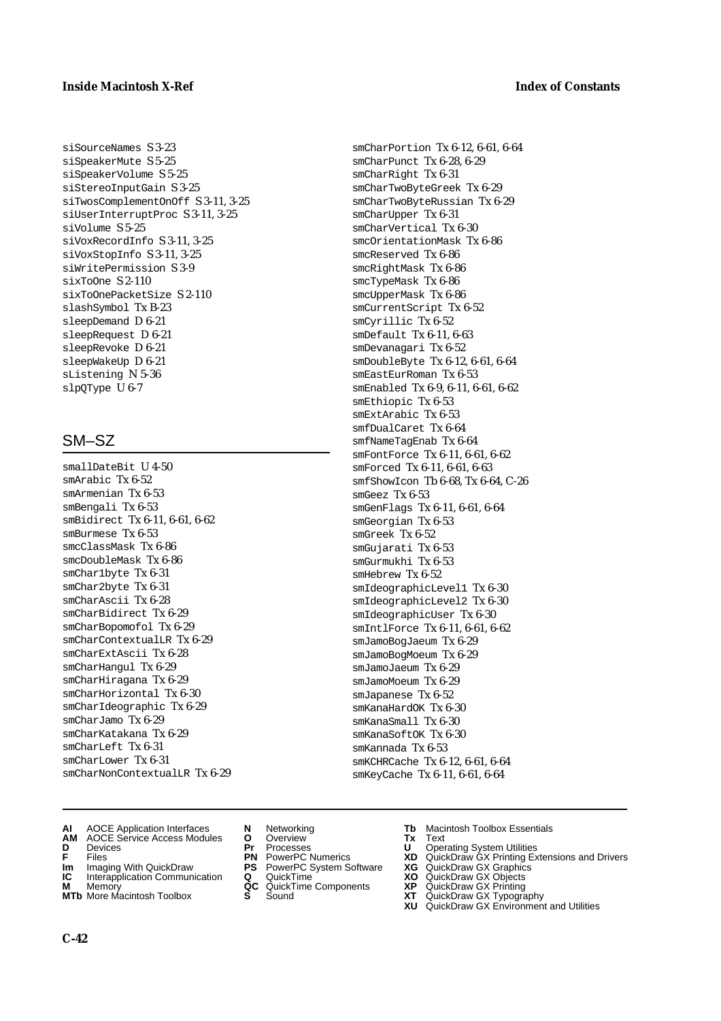#### **Inside Macintosh X-Ref** Index of Constants

siSourceNames S 3-23 siSpeakerMute S 5-25 siSpeakerVolume S 5-25 siStereoInputGain S 3-25 siTwosComplementOnOff S 3-11, 3-25 siUserInterruptProc S 3-11, 3-25 siVolume S 5-25 siVoxRecordInfo S 3-11, 3-25 siVoxStopInfo S 3-11, 3-25 siWritePermission S 3-9 sixToOne S 2-110 sixToOnePacketSize S 2-110 slashSymbol Tx B-23 sleepDemand D 6-21 sleepRequest D 6-21 sleepRevoke D 6-21 sleepWakeUp D 6-21 sListening N 5-36 slpOType U 6-7

## SM–SZ

- smallDateBit U 4-50 smArabic Tx 6-52 smArmenian Tx 6-53 smBengali Tx 6-53 smBidirect Tx 6-11, 6-61, 6-62 smBurmese Tx 6-53 smcClassMask Tx 6-86 smcDoubleMask Tx 6-86 smChar1byte Tx 6-31 smChar2byte Tx 6-31 smCharAscii Tx 6-28 smCharBidirect Tx 6-29 smCharBopomofol Tx 6-29 smCharContextualLR Tx 6-29 smCharExtAscii Tx 6-28 smCharHangul Tx 6-29 smCharHiragana Tx 6-29 smCharHorizontal Tx 6-30 smCharIdeographic Tx 6-29 smCharJamo Tx 6-29 smCharKatakana Tx 6-29 smCharLeft Tx 6-31 smCharLower Tx 6-31  $smCharNonContextualLR$  Tx  $6-29$
- **AI** AOCE Application Interfaces **N** Networking **Tb** Macintosh Toolbox Essentials<br> **AM** AOCE Service Access Modules **O** Overview **Tx** Text<br> **D** Devices **Pr** Processes **U** Operating System Utilities
- **AM** AOCE Service Access Modules **O** Overview **Tx** Text
- 

**C-42**

- 
- **Im** Imaging With QuickDraw **PS** PowerPC System Software<br> **IC** Interapplication Communication **Q** QuickTime<br> **M** Memorv **GC** QuickTime Components
- **M** Memory **Manufacturing Manufacturing Manufacturing Manufacturing Manufacturing Components<br><b>MTb** More Macintosh Toolbox **S** Sound
- **MTb** More Macintosh Toolbox **S** Sound **XT** QuickDraw GX Typography
- 
- **D** Devices **Pr** Processes **U** Operating System Utilities
	-
	-
	-
	-
- 
- 

smKCHRCache Tx 6-12, 6-61, 6-64 smKeyCache Tx 6-11, 6-61, 6-64

- **F** Files **PN** PowerPC Numerics **XD** QuickDraw GX Printing Extensions and Drivers
- **Im** Imaging With QuickDraw **PS** PowerPC System Software **XG** QuickDraw GX Graphics
	-
	-
	- **XU** QuickDraw GX Environment and Utilities

smCharPortion Tx 6-12, 6-61, 6-64 smCharPunct Tx 6-28, 6-29 smCharRight Tx 6-31

smCharTwoByteGreek Tx 6-29 smCharTwoByteRussian Tx 6-29

smDoubleByte Tx 6-12, 6-61, 6-64 smEastEurRoman Tx 6-53

smEnabled Tx 6-9, 6-11, 6-61, 6-62

smGenFlags Tx 6-11, 6-61, 6-64

smIdeographicLevel1 Tx 6-30 smIdeographicLevel2 Tx 6-30 smIdeographicUser Tx 6-30 smIntlForce Tx 6-11, 6-61, 6-62 smJamoBogJaeum Tx 6-29 smJamoBogMoeum Tx 6-29 smJamoJaeum Tx 6-29 smJamoMoeum Tx 6-29 smJapanese Tx 6-52 smKanaHardOK Tx 6-30 smKanaSmall Tx 6-30 smKanaSoftOK Tx 6-30 smKannada Tx 6-53

smCharUpper Tx 6-31 smCharVertical Tx 6-30 smcOrientationMask Tx 6-86

smcReserved Tx 6-86 smcRightMask Tx 6-86 smcTypeMask Tx 6-86 smcUpperMask Tx 6-86 smCurrentScript Tx 6-52 smCyrillic Tx 6-52 smDefault Tx 6-11, 6-63 smDevanagari Tx 6-52

smEthiopic Tx 6-53 smExtArabic Tx 6-53 smfDualCaret Tx 6-64 smfNameTagEnab Tx 6-64 smFontForce Tx 6-11, 6-61, 6-62 smForced Tx 6-11, 6-61, 6-63 smfShowIcon Tb 6-68, Tx 6-64, C-26

smGeez Tx 6-53

smGeorgian Tx 6-53 smGreek Tx 6-52 smGujarati Tx 6-53 smGurmukhi Tx 6-53 smHebrew Tx 6-52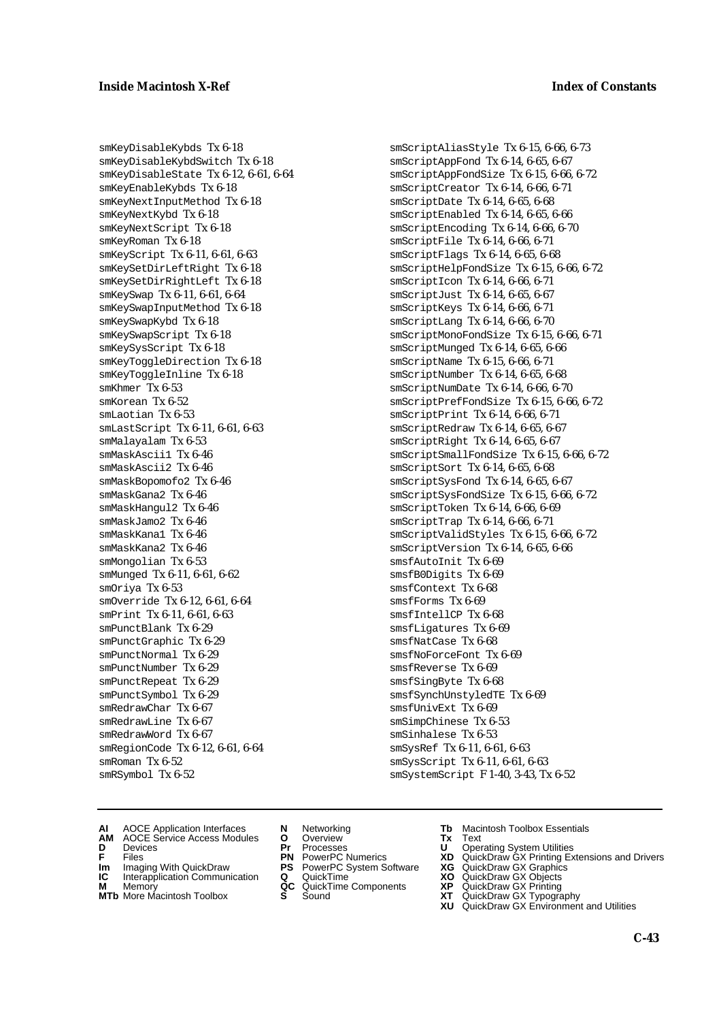smKeyDisableKybds Tx 6-18 smKeyDisableKybdSwitch Tx 6-18 smKeyDisableState Tx 6-12, 6-61, 6-64 smKeyEnableKybds Tx 6-18 smKeyNextInputMethod Tx 6-18 smKeyNextKybd Tx 6-18 smKeyNextScript Tx 6-18 smKeyRoman Tx 6-18 smKeyScript Tx 6-11, 6-61, 6-63 smKeySetDirLeftRight Tx 6-18 smKeySetDirRightLeft Tx 6-18 smKeySwap Tx 6-11, 6-61, 6-64 smKeySwapInputMethod Tx 6-18 smKeySwapKybd Tx 6-18 smKeySwapScript Tx 6-18 smKeySysScript Tx 6-18 smKeyToggleDirection Tx 6-18 smKeyToggleInline Tx 6-18 smKhmer Tx 6-53 smKorean Tx 6-52 smLaotian Tx 6-53 smLastScript Tx 6-11, 6-61, 6-63 smMalayalam Tx 6-53 smMaskAscii1 Tx 6-46 smMaskAscii2 Tx 6-46 smMaskBopomofo2 Tx 6-46 smMaskGana2 Tx 6-46 smMaskHangul2 Tx 6-46 smMaskJamo2 Tx 6-46 smMaskKana1 Tx 6-46 smMaskKana2 Tx 6-46 smMongolian Tx 6-53 smMunged Tx 6-11, 6-61, 6-62 smOriya Tx 6-53 smOverride Tx 6-12, 6-61, 6-64 smPrint Tx 6-11, 6-61, 6-63 smPunctBlank Tx 6-29 smPunctGraphic Tx 6-29 smPunctNormal Tx 6-29 smPunctNumber Tx 6-29 smPunctRepeat Tx 6-29 smPunctSymbol Tx 6-29 smRedrawChar Tx 6-67 smRedrawLine Tx 6-67 smRedrawWord Tx 6-67 smRegionCode Tx 6-12, 6-61, 6-64 smRoman Tx 6-52 smRSymbol Tx 6-52

smScriptAliasStyle Tx 6-15, 6-66, 6-73 smScriptAppFond Tx 6-14, 6-65, 6-67 smScriptAppFondSize Tx 6-15, 6-66, 6-72 smScriptCreator Tx 6-14, 6-66, 6-71 smScriptDate Tx 6-14, 6-65, 6-68 smScriptEnabled Tx 6-14, 6-65, 6-66 smScriptEncoding Tx 6-14, 6-66, 6-70 smScriptFile Tx 6-14, 6-66, 6-71 smScriptFlags Tx 6-14, 6-65, 6-68 smScriptHelpFondSize Tx 6-15, 6-66, 6-72 smScriptIcon Tx 6-14, 6-66, 6-71 smScriptJust Tx 6-14, 6-65, 6-67 smScriptKeys Tx 6-14, 6-66, 6-71 smScriptLang Tx 6-14, 6-66, 6-70 smScriptMonoFondSize Tx 6-15, 6-66, 6-71 smScriptMunged Tx 6-14, 6-65, 6-66 smScriptName Tx 6-15, 6-66, 6-71 smScriptNumber Tx 6-14, 6-65, 6-68 smScriptNumDate Tx 6-14, 6-66, 6-70 smScriptPrefFondSize Tx 6-15, 6-66, 6-72 smScriptPrint Tx 6-14, 6-66, 6-71 smScriptRedraw Tx 6-14, 6-65, 6-67 smScriptRight Tx 6-14, 6-65, 6-67 smScriptSmallFondSize Tx 6-15, 6-66, 6-72 smScriptSort Tx 6-14, 6-65, 6-68 smScriptSysFond Tx 6-14, 6-65, 6-67 smScriptSysFondSize Tx 6-15, 6-66, 6-72 smScriptToken Tx 6-14, 6-66, 6-69 smScriptTrap Tx 6-14, 6-66, 6-71 smScriptValidStyles Tx 6-15, 6-66, 6-72 smScriptVersion Tx 6-14, 6-65, 6-66 smsfAutoInit Tx 6-69 smsfB0Digits Tx 6-69 smsfContext Tx 6-68 smsfForms Tx 6-69 smsfIntellCP Tx 6-68 smsfLigatures Tx 6-69 smsfNatCase Tx 6-68 smsfNoForceFont Tx 6-69 smsfReverse Tx 6-69 smsfSingByte Tx 6-68 smsfSynchUnstyledTE Tx 6-69 smsfUnivExt Tx 6-69 smSimpChinese Tx 6-53 smSinhalese Tx 6-53 smSysRef Tx 6-11, 6-61, 6-63 smSysScript Tx 6-11, 6-61, 6-63 smSystemScript F 1-40, 3-43, Tx 6-52

- **AI** AOCE Application Interfaces **N** Networking **Tb** Macintosh Toolbox Essentials
- **AM** AOCE Service Access Modules **O** Overview **Tx** Text
- 
- 
- **IM** FILES<br> **Im** Imaging With QuickDraw **PS** PowerPC System Software **XG**<br> **IC** Interapplication Communication **Q** QuickTime **XG IC** Interapplication Communication **Q** QuickTime **XO M** Memory **XP QC** QuickTime Components **XP**
- **M** Memory **CONTACTER MEMORY MEMORY MEMORY MEMORY MEMORY AND MEMORY AND MEMORY CONTRACTER MEMORY CONTRACTER SUBSERVIAL CONTRACTER MEMORY CONTRACTER MEMORY CONTRACTER SUBSERVIAL CONTRACTER SUBSERVIAL CONTRACTER SUBSERVIAL C**
- **MTb** More Macintosh Toolbox **S** Sound **XT** QuickDraw GX Typography
- 
- **D** Devices **Pr** Processes **U** Operating System Utilities
	-
	-
	-
	-
- 
- 
- **F** Files **PN** PowerPC Numerics **XD** QuickDraw GX Printing Extensions and Drivers
	-
	-
	-
	-
	- **XU** QuickDraw GX Environment and Utilities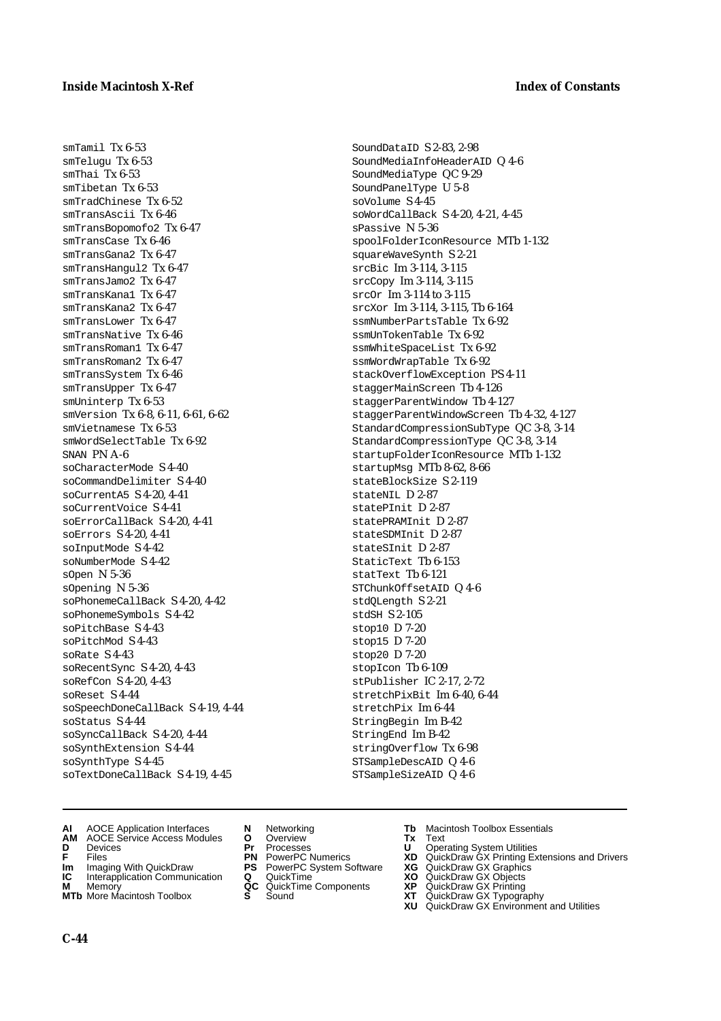smTamil Tx 6-53  $smT$ elugu  $Tx$  6-53 smThai Tx 6-53 smTibetan Tx 6-53 smTradChinese Tx 6-52 smTransAscii Tx 6-46 smTransBopomofo2 Tx 6-47 smTransCase Tx 6-46 smTransGana2 Tx 6-47 smTransHangul2 Tx 6-47 smTransJamo2 Tx 6-47 smTransKana1 Tx 6-47 smTransKana2 Tx 6-47 smTransLower Tx 6-47 smTransNative Tx 6-46 smTransRoman1 Tx 6-47 smTransRoman2 Tx 6-47 smTransSystem Tx 6-46 smTransUpper Tx 6-47 smUninterp Tx 6-53 smVersion Tx 6-8, 6-11, 6-61, 6-62 smVietnamese Tx 6-53 smWordSelectTable Tx 6-92 SNAN PN  $\Delta$ -6 soCharacterMode S 4-40 soCommandDelimiter S 4-40 soCurrentA5 S 4-20, 4-41 soCurrentVoice S 4-41 soErrorCallBack S 4-20, 4-41 soErrors S 4-20, 4-41 soInputMode S 4-42 soNumberMode S 4-42 sOpen N 5-36 sOpening N 5-36 soPhonemeCallBack S 4-20, 4-42 soPhonemeSymbols S 4-42 soPitchBase S 4-43 soPitchMod S 4-43  $s$ oRate  $S$  4-43 soRecentSync S 4-20, 4-43 soRefCon S 4-20, 4-43 soReset S 4-44 soSpeechDoneCallBack S 4-19, 4-44 soStatus S 4-44 soSyncCallBack S 4-20, 4-44 soSynthExtension S 4-44 soSynthType S 4-45 soTextDoneCallBack S 4-19, 4-45

- SoundDataID S 2-83, 2-98 SoundMediaInfoHeaderAID Q 4-6 SoundMediaType QC 9-29 SoundPanelType U 5-8 soVolume S 4-45 soWordCallBack S 4-20, 4-21, 4-45 sPassive N 5-36 spoolFolderIconResource MTb 1-132 squareWaveSynth S 2-21 srcBic Im 3-114, 3-115 srcCopy Im 3-114, 3-115 srcOr Im 3-114 to 3-115 srcXor Im 3-114, 3-115, Tb 6-164 ssmNumberPartsTable Tx 6-92 ssmUnTokenTable Tx 6-92 ssmWhiteSpaceList Tx 6-92 ssmWordWrapTable Tx 6-92 stackOverflowException PS 4-11 staggerMainScreen Tb 4-126 staggerParentWindow Tb 4-127 staggerParentWindowScreen Tb 4-32, 4-127 StandardCompressionSubType QC 3-8, 3-14 StandardCompressionType QC 3-8, 3-14 startupFolderIconResource MTb 1-132 startupMsg MTb 8-62, 8-66 stateBlockSize S 2-119  $stat$ eNTL  $D$  2-87  $stat$ ePInit  $D$  2-87 statePRAMInit D 2-87 stateSDMInit D 2-87 stateSInit D 2-87 StaticText Tb 6-153 statText Tb 6-121 STChunkOffsetAID Q 4-6 stdQLength S 2-21 stdSH S 2-105 stop10 D 7-20 stop15 D 7-20 stop20 D 7-20 stopIcon Tb 6-109 stPublisher IC 2-17, 2-72 stretchPixBit Im 6-40, 6-44 stretchPix Im 6-44 StringBegin Im B-42 StringEnd Im B-42 stringOverflow Tx 6-98 STSampleDescAID Q 4-6 STSampleSizeAID Q 4-6
- **AI** AOCE Application Interfaces **N** Networking **Tb** Macintosh Toolbox Essentials<br> **AM** AOCE Service Access Modules **O** Overview **Tx** Text<br> **D** Devices **Pr** Processes **U** Operating System Utilities
- **AM** AOCE Service Access Modules **O** Overview **Tx** Text
- 
- 
- **Im** Imaging With QuickDraw **PS** PowerPC System Software<br> **IC** Interapplication Communication **Q** QuickTime<br> **M** Memory **GC** QuickTime Components
- 
- **M** Memory **COMPONENTS COMPONENTS COMPONENTS NEWSLA**<br> **M** More Macintosh Toolbox **S** Sound **MTb** More Macintosh Toolbox **S** Sound **XT** QuickDraw GX Typography
- 
- **D** Devices **Pr** Processes **U** Operating System Utilities
	-
	-
	-
	-
- 
- 
- **F** Files **PN** PowerPC Numerics **XD** QuickDraw GX Printing Extensions and Drivers
- **Im** Imaging With QuickDraw **PS** PowerPC System Software **XG** QuickDraw GX Graphics
	-
	-
	-
	- **XU** QuickDraw GX Environment and Utilities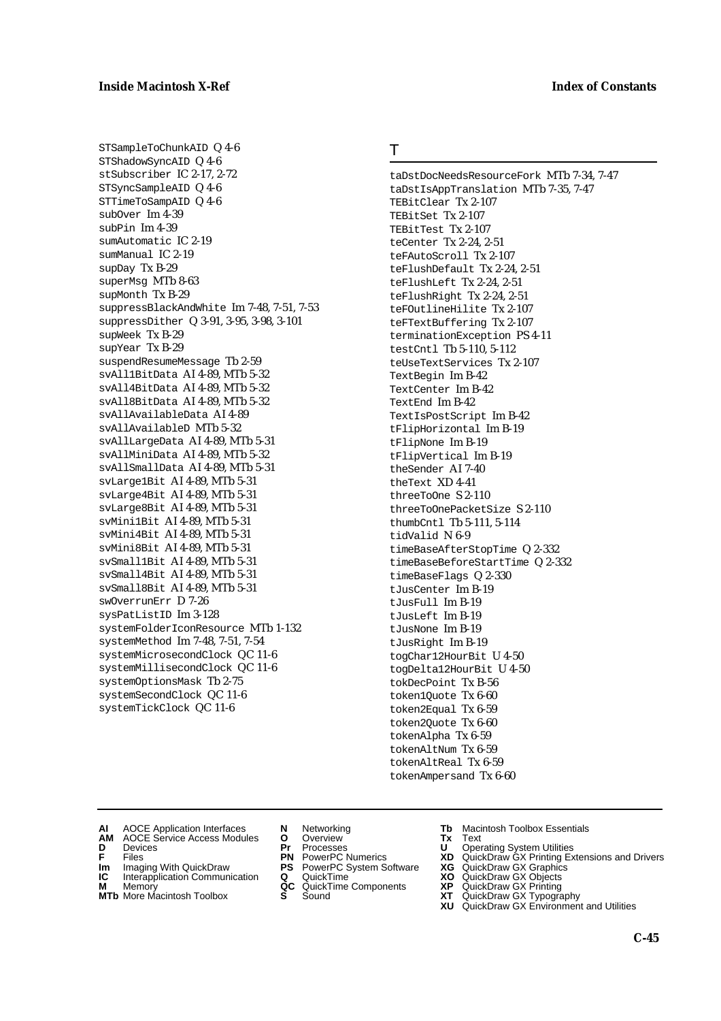STSampleToChunkAID Q 4-6 STShadowSyncAID Q 4-6 stSubscriber IC 2-17, 2-72 STSyncSampleAID Q 4-6 STTimeToSampAID Q 4-6 subOver Im 4-39 subPin Im 4-39 sumAutomatic IC 2-19 sumManual IC 2-19 supDay Tx B-29 superMsg MTb 8-63 supMonth Tx B-29 suppressBlackAndWhite Im 7-48, 7-51, 7-53 suppressDither Q 3-91, 3-95, 3-98, 3-101 supWeek Tx B-29 supYear Tx B-29 suspendResumeMessage Tb 2-59 svAll1BitData AI 4-89, MTb 5-32 svAll4BitData AI 4-89, MTb 5-32 svAll8BitData AI 4-89, MTb 5-32 svAllAvailableData AI 4-89 svAllAvailableD MTb 5-32 svAllLargeData AI 4-89, MTb 5-31 svAllMiniData AI 4-89, MTb 5-32 svAllSmallData AI 4-89, MTb 5-31 svLarge1Bit AI 4-89, MTb 5-31 svLarge4Bit AI 4-89, MTb 5-31 svLarge8Bit AI 4-89, MTb 5-31 svMini1Bit AI 4-89, MTb 5-31 svMini4Bit AI 4-89, MTb 5-31 svMini8Bit AI 4-89, MTb 5-31 svSmall1Bit AI 4-89, MTb 5-31 svSmall4Bit AI 4-89, MTb 5-31 svSmall8Bit AI 4-89, MTb 5-31 swOverrunErr D 7-26 sysPatListID Im 3-128 systemFolderIconResource MTb 1-132 systemMethod Im 7-48, 7-51, 7-54 systemMicrosecondClock QC 11-6 systemMillisecondClock QC 11-6 systemOptionsMask Tb 2-75 systemSecondClock QC 11-6 systemTickClock QC 11-6

### T

taDstDocNeedsResourceFork MTb 7-34, 7-47 taDstIsAppTranslation MTb 7-35, 7-47 TEBitClear Tx 2-107 TEBitSet Tx 2-107 TEBitTest Tx 2-107 teCenter Tx 2-24, 2-51 teFAutoScroll Tx 2-107 teFlushDefault Tx 2-24, 2-51 teFlushLeft Tx 2-24, 2-51 teFlushRight Tx 2-24, 2-51 teFOutlineHilite Tx 2-107 teFTextBuffering Tx 2-107 terminationException PS 4-11 testCntl Tb 5-110, 5-112 teUseTextServices Tx 2-107 TextBegin Im B-42 TextCenter Im B-42 TextEnd Im B-42 TextIsPostScript Im B-42 tFlipHorizontal Im B-19 tFlipNone Im B-19 tFlipVertical Im B-19 theSender AI 7-40 theText XD 4-41 threeToOne S 2-110 threeToOnePacketSize S 2-110 thumbCntl Tb 5-111, 5-114 tidValid N 6-9 timeBaseAfterStopTime Q 2-332 timeBaseBeforeStartTime Q 2-332 timeBaseFlags Q 2-330 tJusCenter Im B-19 tJusFull Im B-19 tJusLeft Im B-19 tJusNone Im B-19 tJusRight Im B-19 togChar12HourBit U 4-50 togDelta12HourBit U 4-50 tokDecPoint Tx B-56 token1Quote Tx 6-60 token2Equal Tx 6-59 token2Quote Tx 6-60 tokenAlpha Tx 6-59 tokenAltNum Tx 6-59 tokenAltReal Tx 6-59 tokenAmpersand Tx 6-60

- 
- **AI** AOCE Application Interfaces **N** Networking **Tb** Macintosh Toolbox Essentials<br> **AM** AOCE Service Access Modules **O** Overview **Tx** Text<br> **D** Devices **Pr** Processes **U** Operating System Utilities AOCE Service Access Modules **O** Overview **Tx** Text<br>Devices **Devices Devices Devices D** Oper
- 
- 
- **Im** Files<br> **Im** Imaging With QuickDraw **PS** PowerPC System Software **XG**<br> **IC** Interapplication Communication **Q** QuickTime **XO IC** Interapplication Communication **Q** QuickTime **XO M** Memory **XO QC** QuickTime Components **XP**
- 
- **M** Memory **CONSISTENT COMPONENT MEMORY MEMORY MEMORY AND MEMORY OF A VIDEO MEMORY CONSISTENT CONSISTENT CONSISTENT OF A VIDEO CONSISTENT CONSISTENT CONSISTENT CONSISTENT CONSISTENT CONSISTENT CONSISTENT CONSISTENT CONSIST**
- 
- **D** Devices **Pr** Processes **U** Operating System Utilities
	-
	-
	-
	-
- 
- 
- **F** Files **PN** PowerPC Numerics **XD** QuickDraw GX Printing Extensions and Drivers
	-
	-
	-
- **MTb** More Macintosh Toolbox **S** Sound **XT** QuickDraw GX Typography
	- **XU** QuickDraw GX Environment and Utilities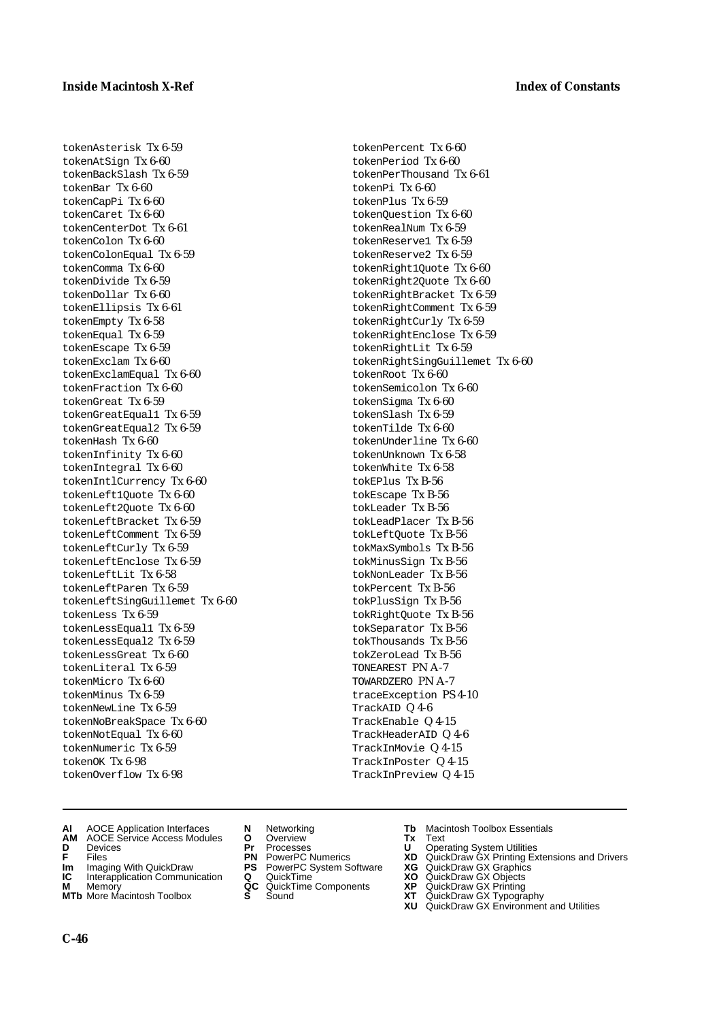tokenAsterisk Tx 6-59 tokenAtSign Tx 6-60 tokenBackSlash Tx 6-59 tokenBar Tx 6-60 tokenCapPi Tx 6-60 tokenCaret Tx 6-60 tokenCenterDot Tx 6-61 tokenColon Tx 6-60 tokenColonEqual Tx 6-59 tokenComma Tx 6-60 tokenDivide Tx 6-59 tokenDollar Tx 6-60 tokenEllipsis Tx 6-61 tokenEmpty Tx 6-58 tokenEqual Tx 6-59 tokenEscape Tx 6-59 tokenExclam Tx 6-60 tokenExclamEqual Tx 6-60 tokenFraction Tx 6-60 tokenGreat Tx 6-59 tokenGreatEqual1 Tx 6-59 tokenGreatEqual2 Tx 6-59 tokenHash Tx 6-60 tokenInfinity Tx 6-60 tokenIntegral Tx 6-60 tokenIntlCurrency Tx 6-60 tokenLeft1Quote Tx 6-60 tokenLeft2Quote Tx 6-60 tokenLeftBracket Tx 6-59 tokenLeftComment Tx 6-59 tokenLeftCurly Tx 6-59 tokenLeftEnclose Tx 6-59 tokenLeftLit Tx 6-58 tokenLeftParen Tx 6-59 tokenLeftSingGuillemet Tx 6-60 tokenLess Tx 6-59 tokenLessEqual1 Tx 6-59 tokenLessEqual2 Tx 6-59 tokenLessGreat Tx 6-60 tokenLiteral Tx 6-59 tokenMicro Tx 6-60 tokenMinus Tx 6-59 tokenNewLine Tx 6-59 tokenNoBreakSpace Tx 6-60 tokenNotEqual Tx 6-60 tokenNumeric Tx 6-59 tokenOK Tx 6-98 tokenOverflow Tx 6-98

tokenPercent Tx 6-60 tokenPeriod Tx 6-60 tokenPerThousand Tx 6-61 tokenPi Tx 6-60 tokenPlus Tx 6-59 tokenQuestion Tx 6-60 tokenRealNum Tx 6-59 tokenReserve1 Tx 6-59 tokenReserve2 Tx 6-59 tokenRight1Quote Tx 6-60 tokenRight2Quote Tx 6-60 tokenRightBracket Tx 6-59 tokenRightComment Tx 6-59 tokenRightCurly Tx 6-59 tokenRightEnclose Tx 6-59 tokenRightLit Tx 6-59 tokenRightSingGuillemet Tx 6-60 tokenRoot Tx 6-60 tokenSemicolon Tx 6-60 tokenSigma Tx 6-60 tokenSlash Tx 6-59 tokenTilde Tx 6-60 tokenUnderline Tx 6-60 tokenUnknown Tx 6-58 tokenWhite Tx 6-58 tokEPlus Tx B-56 tokEscape Tx B-56 tokLeader Tx B-56 tokLeadPlacer Tx B-56 tokLeftQuote Tx B-56 tokMaxSymbols Tx B-56 tokMinusSign Tx B-56 tokNonLeader Tx B-56 tokPercent Tx B-56 tokPlusSign Tx B-56 tokRightQuote Tx B-56 tokSeparator Tx B-56 tokThousands Tx B-56 tokZeroLead Tx B-56 TONEAREST PN A-7 TOWARDZERO PN A-7 traceException PS 4-10 TrackAID Q 4-6 TrackEnable Q 4-15 TrackHeaderAID Q 4-6 TrackInMovie Q 4-15 TrackInPoster Q 4-15 TrackInPreview Q 4-15

- **AI** AOCE Application Interfaces **N** Networking **Tb** Macintosh Toolbox Essentials<br> **AM** AOCE Service Access Modules **O** Overview **Tx** Text<br> **D** Devices **Pr** Processes **U** Operating System Utilities
- **AM** AOCE Service Access Modules **O** Overview **Tx** Text
- 
- 
- **Im** Imaging With QuickDraw **PS** PowerPC System Software<br> **IC** Interapplication Communication **Q** QuickTime<br> **M** Memorv **GC** QuickTime Components
- **M** Memory **Manual Components**<br>**MTb** More Macintosh Toolbox **S** Sound
- **MTb** More Macintosh Toolbox **S** Sound **XT** QuickDraw GX Typography
- 
- **D** Devices **Pr** Processes **U** Operating System Utilities
	-
	-
	-
	-
- 
- 
- **F** Files **PN** PowerPC Numerics **XD** QuickDraw GX Printing Extensions and Drivers
- **Im** Imaging With QuickDraw **PS** PowerPC System Software **XG** QuickDraw GX Graphics
	-
	-
	-
	- **XU** QuickDraw GX Environment and Utilities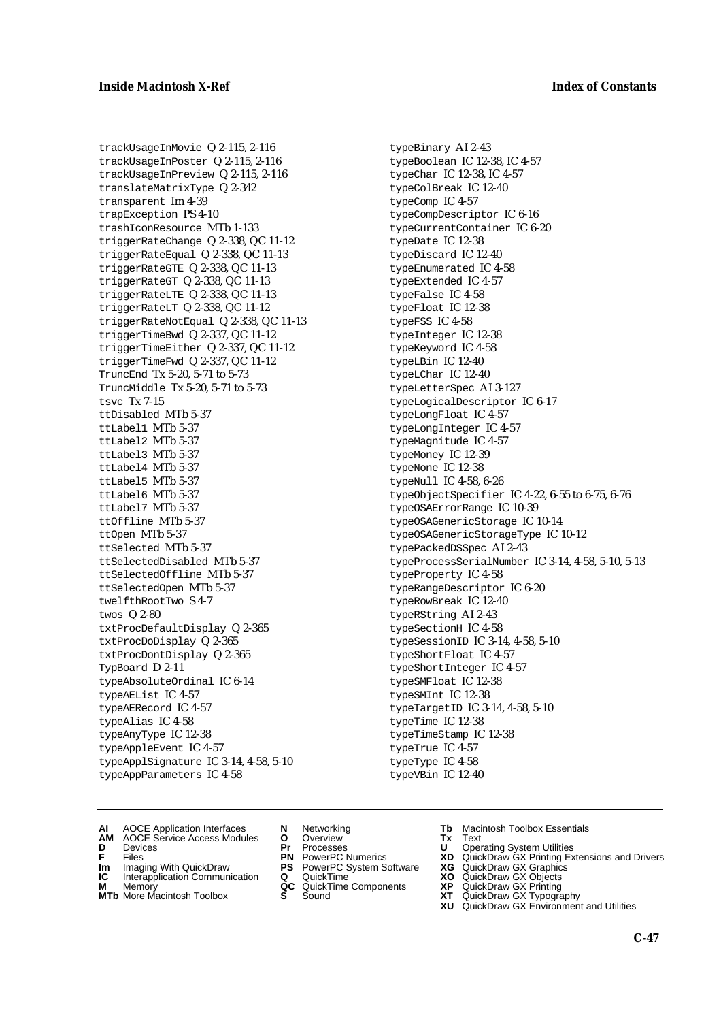trackUsageInMovie Q 2-115, 2-116 trackUsageInPoster Q 2-115, 2-116 trackUsageInPreview Q 2-115, 2-116 translateMatrixType Q 2-342 transparent Im 4-39 trapException PS 4-10 trashIconResource MTb 1-133 triggerRateChange Q 2-338, QC 11-12 triggerRateEqual Q 2-338, QC 11-13 triggerRateGTE Q 2-338, QC 11-13 triggerRateGT Q 2-338, QC 11-13 triggerRateLTE Q 2-338, QC 11-13 triggerRateLT Q 2-338, QC 11-12 triggerRateNotEqual Q 2-338, QC 11-13 triggerTimeBwd Q 2-337, QC 11-12 triggerTimeEither Q 2-337, QC 11-12 triggerTimeFwd Q 2-337, QC 11-12 TruncEnd Tx 5-20, 5-71 to 5-73 TruncMiddle Tx 5-20, 5-71 to 5-73 tsvc Tx 7-15 ttDisabled MTb 5-37 ttLabel1 MTb 5-37 ttLabel2 MTb 5-37 ttLabel3 MTb 5-37 ttLabel4 MTb 5-37 ttLabel5 MTb 5-37 ttLabel6 MTb 5-37 ttLabel7 MTb 5-37 ttOffline MTb 5-37 ttOpen MTb 5-37 ttSelected MTb 5-37 ttSelectedDisabled MTb 5-37 ttSelectedOffline MTb 5-37 ttSelectedOpen MTb 5-37 twelfthRootTwo S 4-7 twos Q 2-80 txtProcDefaultDisplay Q 2-365 txtProcDoDisplay Q 2-365 txtProcDontDisplay Q 2-365 TypBoard D 2-11 typeAbsoluteOrdinal IC 6-14 typeAEList IC 4-57 typeAERecord IC 4-57 typeAlias IC 4-58 typeAnyType IC 12-38 typeAppleEvent IC 4-57 typeApplSignature IC 3-14, 4-58, 5-10 typeAppParameters IC 4-58

typeBinary AI 2-43 typeBoolean IC 12-38, IC 4-57 typeChar IC 12-38, IC 4-57 typeColBreak IC 12-40 typeComp IC 4-57 typeCompDescriptor IC 6-16 typeCurrentContainer IC 6-20 typeDate IC 12-38 typeDiscard IC 12-40 typeEnumerated IC 4-58 typeExtended IC 4-57 typeFalse IC 4-58 typeFloat IC 12-38 typeFSS IC 4-58 typeInteger IC 12-38 typeKeyword IC 4-58 typeLBin IC 12-40 typeLChar IC 12-40 typeLetterSpec AI 3-127 typeLogicalDescriptor IC 6-17 typeLongFloat IC 4-57 typeLongInteger IC 4-57 typeMagnitude IC 4-57 typeMoney IC 12-39 typeNone IC 12-38 typeNull IC 4-58, 6-26 typeObjectSpecifier IC 4-22, 6-55 to 6-75, 6-76 typeOSAErrorRange IC 10-39 typeOSAGenericStorage IC 10-14 typeOSAGenericStorageType IC 10-12 typePackedDSSpec AI 2-43 typeProcessSerialNumber IC 3-14, 4-58, 5-10, 5-13 typeProperty IC 4-58 typeRangeDescriptor IC 6-20 typeRowBreak IC 12-40 typeRString AI 2-43 typeSectionH IC 4-58 typeSessionID IC 3-14, 4-58, 5-10 typeShortFloat IC 4-57 typeShortInteger IC 4-57 typeSMFloat IC 12-38 typeSMInt IC 12-38 typeTargetID IC 3-14, 4-58, 5-10 typeTime IC 12-38 typeTimeStamp IC 12-38 typeTrue IC 4-57 typeType IC 4-58 typeVBin IC 12-40

- **AI** AOCE Application Interfaces **N** Networking **Tb** Macintosh Toolbox Essentials
- **AM** AOCE Service Access Modules **O** Overview **Tx** Text
- 
- **Im** Imaging With QuickDraw **PS** PowerPC System Software **XG** QuickDraw GX Graphics
- **Im** Imaging With QuickDraw **PS** PowerPC System Software<br> **IC** Interapplication Communication **Q** QuickTime<br> **M** Memorv **GC** QuickTime Components
- **M** Memory **M** Memory **QC** QuickTime Components<br>**MTb** More Macintosh Toolbox **S** Sound
- 
- **D** Devices **Pr** Processes **U** Operating System Utilities
	-
	-
	-
	-
- 
- 
- **F** Files **PN** PowerPC Numerics **XD** QuickDraw GX Printing Extensions and Drivers
	-
	-
	-
- **MTb** More Macintosh Toolbox **S** Sound **XT** QuickDraw GX Typography **XU** QuickDraw GX Environment and Utilities
	- **C-47**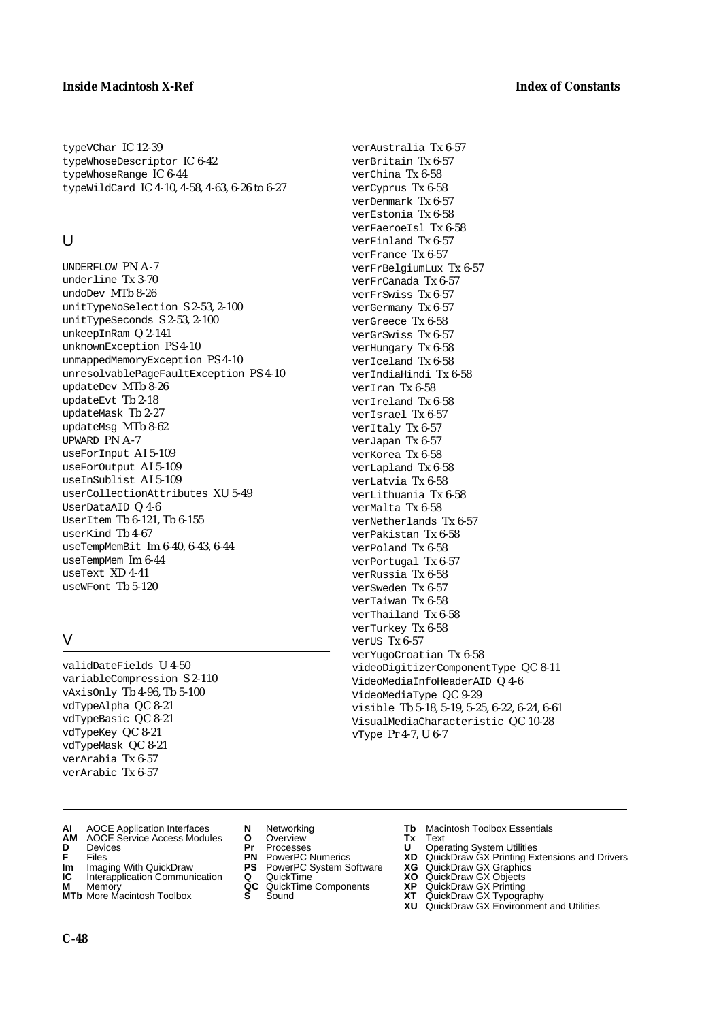typeVChar IC 12-39 typeWhoseDescriptor IC 6-42 typeWhoseRange IC 6-44 typeWildCard IC 4-10, 4-58, 4-63, 6-26 to 6-27

## $\cup$

UNDERFLOW PN A-7 underline Tx 3-70 undoDev MTb 8-26 unitTypeNoSelection S 2-53, 2-100 unitTypeSeconds S 2-53, 2-100 unkeepInRam Q 2-141 unknownException PS 4-10 unmappedMemoryException PS 4-10 unresolvablePageFaultException PS 4-10 updateDev MTb 8-26 updateEvt Tb 2-18 updateMask Tb 2-27 updateMsg MTb 8-62 UPWARD PN A-7 useForInput AI 5-109 useForOutput AI 5-109 useInSublist AI 5-109 userCollectionAttributes XU 5-49 UserDataAID Q 4-6 UserItem Tb 6-121, Tb 6-155 userKind Tb 4-67 useTempMemBit Im 6-40, 6-43, 6-44 useTempMem Im 6-44 useText XD 4-41 useWFont Tb 5-120

## V

validDateFields U 4-50 variableCompression S 2-110 vAxisOnly Tb 4-96, Tb 5-100 vdTypeAlpha QC 8-21 vdTypeBasic QC 8-21 vdTypeKey QC 8-21 vdTypeMask QC 8-21 verArabia Tx 6-57 verArabic Tx 6-57

- **AI** AOCE Application Interfaces **N** Networking **Tb** Macintosh Toolbox Essentials<br> **AM** AOCE Service Access Modules **O** Overview **Tx** Text<br> **D** Devices **Pr** Processes **U** Operating System Utilities
- **AM** AOCE Service Access Modules **O** Overview **Tx** Text
- 
- 
- **Im** Imaging With QuickDraw **PS** PowerPC System Software<br> **IC** Interapplication Communication **Q** QuickTime<br> **M** Memory **GC** QuickTime Components
- **M** Memory **COMPONENTS COMPONENTS COMPONENTS NEWSLA**<br> **M** More Macintosh Toolbox **S** Sound
- **MTb** More Macintosh Toolbox **S** Sound **XT** QuickDraw GX Typography
- verAustralia Tx 6-57 verBritain Tx 6-57 verChina Tx 6-58 verCyprus Tx 6-58 verDenmark Tx 6-57 verEstonia Tx 6-58 verFaeroeIsl Tx 6-58 verFinland Tx 6-57 verFrance Tx 6-57 verFrBelgiumLux Tx 6-57 verFrCanada Tx 6-57 verFrSwiss Tx 6-57 verGermany Tx 6-57 verGreece Tx 6-58 verGrSwiss Tx 6-57 verHungary Tx 6-58 verIceland Tx 6-58 verIndiaHindi Tx 6-58 verIran Tx 6-58 verIreland Tx 6-58 verIsrael Tx 6-57 verItaly Tx 6-57 verJapan Tx 6-57 verKorea Tx 6-58 verLapland Tx 6-58 verLatvia Tx 6-58 verLithuania Tx 6-58 verMalta Tx 6-58 verNetherlands Tx 6-57 verPakistan Tx 6-58 verPoland Tx 6-58 verPortugal Tx 6-57 verRussia Tx 6-58 verSweden Tx 6-57 verTaiwan Tx 6-58 verThailand Tx 6-58 verTurkey Tx 6-58 verUS Tx 6-57 verYugoCroatian Tx 6-58 videoDigitizerComponentType QC 8-11 VideoMediaInfoHeaderAID Q 4-6 VideoMediaType QC 9-29 visible Tb 5-18, 5-19, 5-25, 6-22, 6-24, 6-61 VisualMediaCharacteristic QC 10-28
- 

vType Pr 4-7, U 6-7

- 
- **D** Devices **Pr** Processes **U** Operating System Utilities
- **F** Files **PN** PowerPC Numerics **XD** QuickDraw GX Printing Extensions and Drivers
- **Im** Imaging With QuickDraw **PS** PowerPC System Software **XG** QuickDraw GX Graphics
	-
	-
	- **XU** QuickDraw GX Environment and Utilities

**C-48**